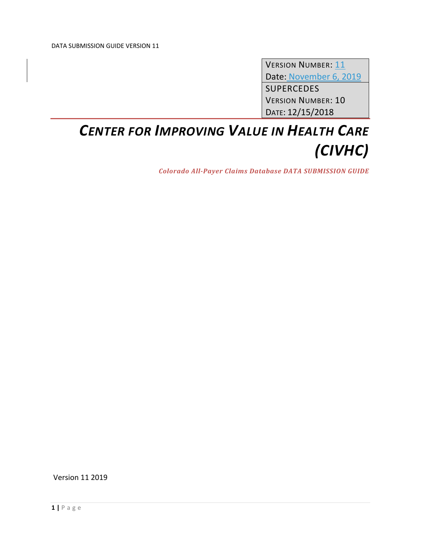VERSION NUMBER: 11 Date: November 6, 2019 SUPERCEDES VERSION NUMBER: 10 DATE: 12/15/2018

# *CENTER FOR IMPROVING VALUE IN HEALTH CARE (CIVHC)*

*Colorado All‐Payer Claims Database DATA SUBMISSION GUIDE*

Version 11 2019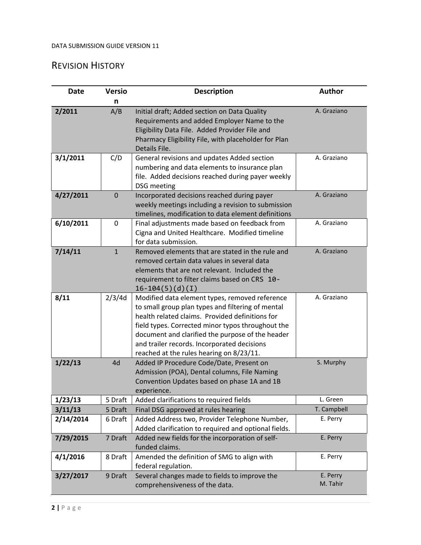# REVISION HISTORY

| <b>Date</b> | <b>Versio</b> | <b>Description</b>                                                                                                                                                                                                                                                                                                                                         | <b>Author</b>        |
|-------------|---------------|------------------------------------------------------------------------------------------------------------------------------------------------------------------------------------------------------------------------------------------------------------------------------------------------------------------------------------------------------------|----------------------|
|             | n             |                                                                                                                                                                                                                                                                                                                                                            |                      |
| 2/2011      | A/B           | Initial draft; Added section on Data Quality<br>Requirements and added Employer Name to the<br>Eligibility Data File. Added Provider File and<br>Pharmacy Eligibility File, with placeholder for Plan<br>Details File.                                                                                                                                     | A. Graziano          |
| 3/1/2011    | C/D           | General revisions and updates Added section<br>numbering and data elements to insurance plan<br>file. Added decisions reached during payer weekly<br><b>DSG</b> meeting                                                                                                                                                                                    | A. Graziano          |
| 4/27/2011   | $\mathbf 0$   | Incorporated decisions reached during payer<br>weekly meetings including a revision to submission<br>timelines, modification to data element definitions                                                                                                                                                                                                   | A. Graziano          |
| 6/10/2011   | 0             | Final adjustments made based on feedback from<br>Cigna and United Healthcare. Modified timeline<br>for data submission.                                                                                                                                                                                                                                    | A. Graziano          |
| 7/14/11     | $\mathbf{1}$  | Removed elements that are stated in the rule and<br>removed certain data values in several data<br>elements that are not relevant. Included the<br>requirement to filter claims based on CRS 10-<br>$16-104(5)(d)(I)$                                                                                                                                      | A. Graziano          |
| 8/11        | 2/3/4d        | Modified data element types, removed reference<br>to small group plan types and filtering of mental<br>health related claims. Provided definitions for<br>field types. Corrected minor typos throughout the<br>document and clarified the purpose of the header<br>and trailer records. Incorporated decisions<br>reached at the rules hearing on 8/23/11. | A. Graziano          |
| 1/22/13     | 4d            | Added IP Procedure Code/Date, Present on<br>Admission (POA), Dental columns, File Naming<br>Convention Updates based on phase 1A and 1B<br>experience.                                                                                                                                                                                                     | S. Murphy            |
| 1/23/13     | 5 Draft       | Added clarifications to required fields                                                                                                                                                                                                                                                                                                                    | L. Green             |
| 3/11/13     | 5 Draft       | Final DSG approved at rules hearing                                                                                                                                                                                                                                                                                                                        | T. Campbell          |
| 2/14/2014   | 6 Draft       | Added Address two, Provider Telephone Number,<br>Added clarification to required and optional fields.                                                                                                                                                                                                                                                      | E. Perry             |
| 7/29/2015   | 7 Draft       | Added new fields for the incorporation of self-<br>funded claims.                                                                                                                                                                                                                                                                                          | E. Perry             |
| 4/1/2016    | 8 Draft       | Amended the definition of SMG to align with<br>federal regulation.                                                                                                                                                                                                                                                                                         | E. Perry             |
| 3/27/2017   | 9 Draft       | Several changes made to fields to improve the<br>comprehensiveness of the data.                                                                                                                                                                                                                                                                            | E. Perry<br>M. Tahir |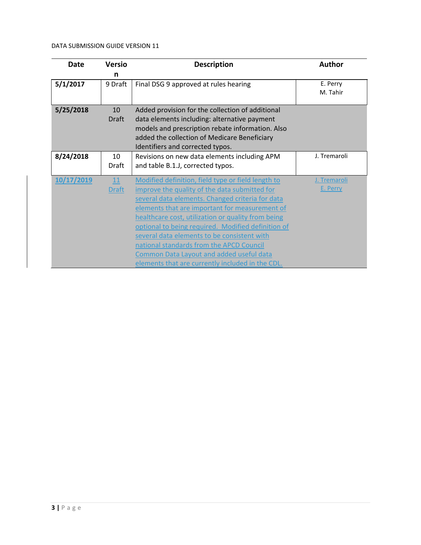| <b>Date</b> | <b>Versio</b>             | <b>Description</b>                                                                                                                                                                                                                                                                                                                                                                                                                                                                                               | <b>Author</b>            |
|-------------|---------------------------|------------------------------------------------------------------------------------------------------------------------------------------------------------------------------------------------------------------------------------------------------------------------------------------------------------------------------------------------------------------------------------------------------------------------------------------------------------------------------------------------------------------|--------------------------|
|             | n                         |                                                                                                                                                                                                                                                                                                                                                                                                                                                                                                                  |                          |
| 5/1/2017    | 9 Draft                   | Final DSG 9 approved at rules hearing                                                                                                                                                                                                                                                                                                                                                                                                                                                                            | E. Perry<br>M. Tahir     |
| 5/25/2018   | 10<br>Draft               | Added provision for the collection of additional<br>data elements including: alternative payment<br>models and prescription rebate information. Also<br>added the collection of Medicare Beneficiary<br>Identifiers and corrected typos.                                                                                                                                                                                                                                                                         |                          |
| 8/24/2018   | 10<br>Draft               | Revisions on new data elements including APM<br>and table B.1.J, corrected typos.                                                                                                                                                                                                                                                                                                                                                                                                                                | J. Tremaroli             |
| 10/17/2019  | <b>11</b><br><b>Draft</b> | Modified definition, field type or field length to<br>improve the quality of the data submitted for<br>several data elements. Changed criteria for data<br>elements that are important for measurement of<br>healthcare cost, utilization or quality from being<br>optional to being required. Modified definition of<br>several data elements to be consistent with<br>national standards from the APCD Council<br>Common Data Layout and added useful data<br>elements that are currently included in the CDL. | J. Tremaroli<br>E. Perry |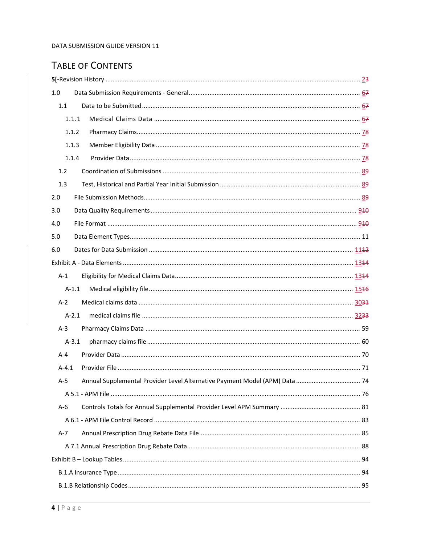# TABLE OF CONTENTS

| 1.0       |  |
|-----------|--|
| 1.1       |  |
| 1.1.1     |  |
| 1.1.2     |  |
| 1.1.3     |  |
| 1.1.4     |  |
| 1.2       |  |
| 1.3       |  |
| 2.0       |  |
| 3.0       |  |
| 4.0       |  |
| 5.0       |  |
| 6.0       |  |
|           |  |
| $A-1$     |  |
| $A-1.1$   |  |
| $A-2$     |  |
| $A-2.1$   |  |
| $A-3$     |  |
| $A-3.1$   |  |
| $A - 4$   |  |
| $A - 4.1$ |  |
| A-5       |  |
|           |  |
| $A-6$     |  |
|           |  |
| $A-7$     |  |
|           |  |
|           |  |
|           |  |
|           |  |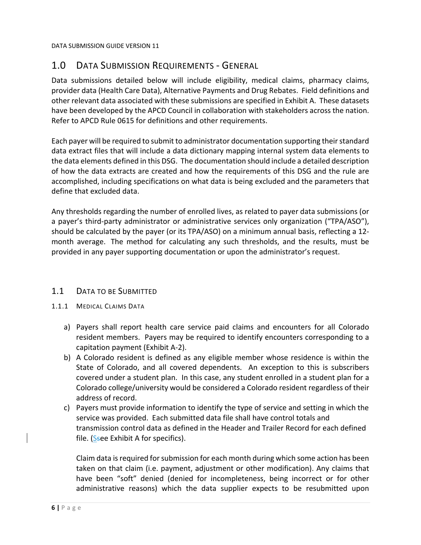# 1.0 DATA SUBMISSION REQUIREMENTS ‐ GENERAL

Data submissions detailed below will include eligibility, medical claims, pharmacy claims, provider data (Health Care Data), Alternative Payments and Drug Rebates. Field definitions and other relevant data associated with these submissions are specified in Exhibit A. These datasets have been developed by the APCD Council in collaboration with stakeholders across the nation. Refer to APCD Rule 0615 for definitions and other requirements.

Each payer will be required to submit to administrator documentation supporting theirstandard data extract files that will include a data dictionary mapping internal system data elements to the data elements defined in this DSG. The documentation should include a detailed description of how the data extracts are created and how the requirements of this DSG and the rule are accomplished, including specifications on what data is being excluded and the parameters that define that excluded data.

Any thresholds regarding the number of enrolled lives, as related to payer data submissions (or a payer's third-party administrator or administrative services only organization ("TPA/ASO"), should be calculated by the payer (or its TPA/ASO) on a minimum annual basis, reflecting a 12‐ month average. The method for calculating any such thresholds, and the results, must be provided in any payer supporting documentation or upon the administrator's request.

# 1.1 DATA TO BE SUBMITTED

### 1.1.1 MEDICAL CLAIMS DATA

- a) Payers shall report health care service paid claims and encounters for all Colorado resident members. Payers may be required to identify encounters corresponding to a capitation payment (Exhibit A‐2).
- b) A Colorado resident is defined as any eligible member whose residence is within the State of Colorado, and all covered dependents. An exception to this is subscribers covered under a student plan. In this case, any student enrolled in a student plan for a Colorado college/university would be considered a Colorado resident regardless of their address of record.
- c) Payers must provide information to identify the type of service and setting in which the service was provided. Each submitted data file shall have control totals and transmission control data as defined in the Header and Trailer Record for each defined file. ( $S$ see Exhibit A for specifics).

Claim data isrequired forsubmission for each month during which some action has been taken on that claim (i.e. payment, adjustment or other modification). Any claims that have been "soft" denied (denied for incompleteness, being incorrect or for other administrative reasons) which the data supplier expects to be resubmitted upon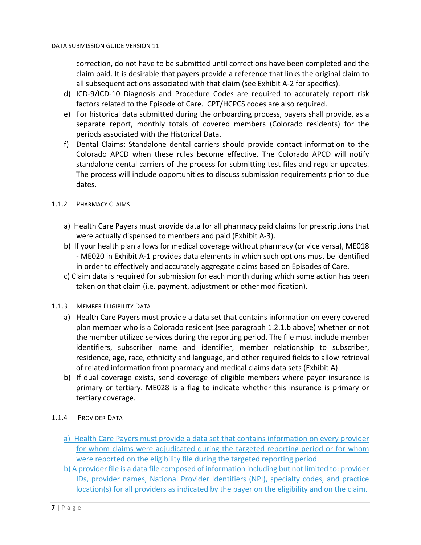correction, do not have to be submitted until corrections have been completed and the claim paid. It is desirable that payers provide a reference that links the original claim to all subsequent actions associated with that claim (see Exhibit A‐2 for specifics).

- d) ICD‐9/ICD‐10 Diagnosis and Procedure Codes are required to accurately report risk factors related to the Episode of Care. CPT/HCPCS codes are also required.
- e) For historical data submitted during the onboarding process, payers shall provide, as a separate report, monthly totals of covered members (Colorado residents) for the periods associated with the Historical Data.
- f) Dental Claims: Standalone dental carriers should provide contact information to the Colorado APCD when these rules become effective. The Colorado APCD will notify standalone dental carriers of the process for submitting test files and regular updates. The process will include opportunities to discuss submission requirements prior to due dates.

### 1.1.2 PHARMACY CLAIMS

- a) Health Care Payers must provide data for all pharmacy paid claims for prescriptions that were actually dispensed to members and paid (Exhibit A‐3).
- b) If your health plan allows for medical coverage without pharmacy (or vice versa), ME018 ‐ ME020 in Exhibit A‐1 provides data elements in which such options must be identified in order to effectively and accurately aggregate claims based on Episodes of Care.
- c) Claim data is required for submission for each month during which some action has been taken on that claim (i.e. payment, adjustment or other modification).

### 1.1.3 MEMBER ELIGIBILITY DATA

- a) Health Care Payers must provide a data set that contains information on every covered plan member who is a Colorado resident (see paragraph 1.2.1.b above) whether or not the member utilized services during the reporting period. The file must include member identifiers, subscriber name and identifier, member relationship to subscriber, residence, age, race, ethnicity and language, and other required fields to allow retrieval of related information from pharmacy and medical claims data sets (Exhibit A).
- b) If dual coverage exists, send coverage of eligible members where payer insurance is primary or tertiary. ME028 is a flag to indicate whether this insurance is primary or tertiary coverage.

### 1.1.4 PROVIDER DATA

- a) Health Care Payers must provide a data set that contains information on every provider for whom claims were adjudicated during the targeted reporting period or for whom were reported on the eligibility file during the targeted reporting period.
- b) A provider file is a data file composed of information including but not limited to: provider IDs, provider names, National Provider Identifiers (NPI), specialty codes, and practice location(s) for all providers as indicated by the payer on the eligibility and on the claim.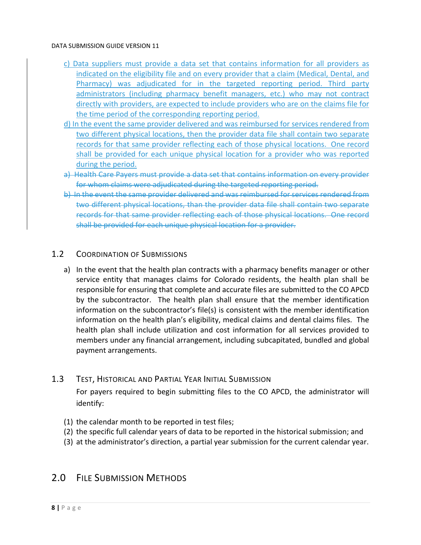- c) Data suppliers must provide a data set that contains information for all providers as indicated on the eligibility file and on every provider that a claim (Medical, Dental, and Pharmacy) was adjudicated for in the targeted reporting period. Third party administrators (including pharmacy benefit managers, etc.) who may not contract directly with providers, are expected to include providers who are on the claims file for the time period of the corresponding reporting period.
- d) In the event the same provider delivered and was reimbursed for services rendered from two different physical locations, then the provider data file shall contain two separate records for that same provider reflecting each of those physical locations. One record shall be provided for each unique physical location for a provider who was reported during the period.
- a) Health Care Payers must provide a data set that contains information on every provider for whom claims were adjudicated during the targeted reporting period.
- b) In the event the same provider delivered and was reimbursed for services rendered from two different physical locations, than the provider data file shall contain two separate records for that same provider reflecting each of those physical locations. One record shall be provided for each unique physical location for a provider.

# 1.2 COORDINATION OF SUBMISSIONS

a) In the event that the health plan contracts with a pharmacy benefits manager or other service entity that manages claims for Colorado residents, the health plan shall be responsible for ensuring that complete and accurate files are submitted to the CO APCD by the subcontractor. The health plan shall ensure that the member identification information on the subcontractor's file(s) is consistent with the member identification information on the health plan's eligibility, medical claims and dental claims files. The health plan shall include utilization and cost information for all services provided to members under any financial arrangement, including subcapitated, bundled and global payment arrangements.

# 1.3 TEST, HISTORICAL AND PARTIAL YEAR INITIAL SUBMISSION

For payers required to begin submitting files to the CO APCD, the administrator will identify:

- (1) the calendar month to be reported in test files;
- (2) the specific full calendar years of data to be reported in the historical submission; and
- (3) at the administrator's direction, a partial year submission for the current calendar year.

# 2.0 FILE SUBMISSION METHODS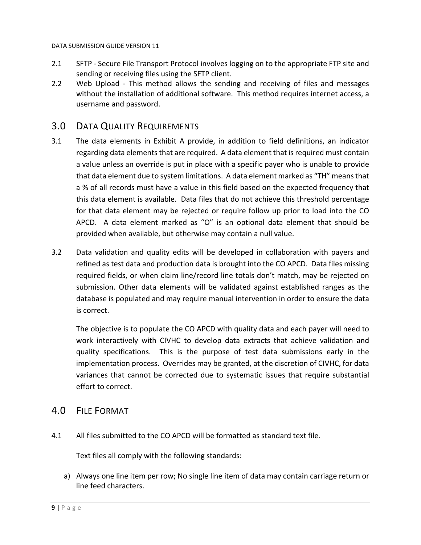- 2.1 SFTP Secure File Transport Protocol involves logging on to the appropriate FTP site and sending or receiving files using the SFTP client.
- 2.2 Web Upload This method allows the sending and receiving of files and messages without the installation of additional software. This method requires internet access, a username and password.

# 3.0 DATA QUALITY REQUIREMENTS

- 3.1 The data elements in Exhibit A provide, in addition to field definitions, an indicator regarding data elements that are required. A data element that is required must contain a value unless an override is put in place with a specific payer who is unable to provide that data element due to system limitations. A data element marked as "TH" meansthat a % of all records must have a value in this field based on the expected frequency that this data element is available. Data files that do not achieve this threshold percentage for that data element may be rejected or require follow up prior to load into the CO APCD. A data element marked as "O" is an optional data element that should be provided when available, but otherwise may contain a null value.
- 3.2 Data validation and quality edits will be developed in collaboration with payers and refined as test data and production data is brought into the CO APCD. Data files missing required fields, or when claim line/record line totals don't match, may be rejected on submission. Other data elements will be validated against established ranges as the database is populated and may require manual intervention in order to ensure the data is correct.

The objective is to populate the CO APCD with quality data and each payer will need to work interactively with CIVHC to develop data extracts that achieve validation and quality specifications. This is the purpose of test data submissions early in the implementation process. Overrides may be granted, at the discretion of CIVHC, for data variances that cannot be corrected due to systematic issues that require substantial effort to correct.

# 4.0 FILE FORMAT

4.1 All files submitted to the CO APCD will be formatted as standard text file.

Text files all comply with the following standards:

a) Always one line item per row; No single line item of data may contain carriage return or line feed characters.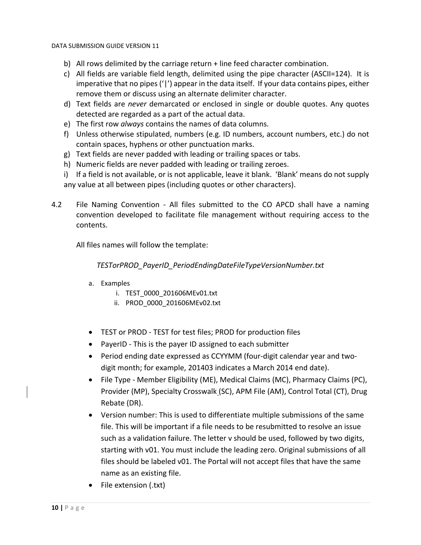- b) All rows delimited by the carriage return + line feed character combination.
- c) All fields are variable field length, delimited using the pipe character (ASCII=124). It is imperative that no pipes ('|') appear in the data itself. If your data contains pipes, either remove them or discuss using an alternate delimiter character.
- d) Text fields are *never* demarcated or enclosed in single or double quotes. Any quotes detected are regarded as a part of the actual data.
- e) The first row *always* contains the names of data columns.
- f) Unless otherwise stipulated, numbers (e.g. ID numbers, account numbers, etc.) do not contain spaces, hyphens or other punctuation marks.
- g) Text fields are never padded with leading or trailing spaces or tabs.
- h) Numeric fields are never padded with leading or trailing zeroes.
- i) If a field is not available, or is not applicable, leave it blank. 'Blank' means do not supply any value at all between pipes (including quotes or other characters).
- 4.2 File Naming Convention All files submitted to the CO APCD shall have a naming convention developed to facilitate file management without requiring access to the contents.

All files names will follow the template:

*TESTorPROD\_PayerID\_PeriodEndingDateFileTypeVersionNumber.txt*

- a. Examples
	- i. TEST\_0000\_201606MEv01.txt
	- ii. PROD\_0000\_201606MEv02.txt
- TEST or PROD TEST for test files; PROD for production files
- PayerID This is the payer ID assigned to each submitter
- Period ending date expressed as CCYYMM (four-digit calendar year and twodigit month; for example, 201403 indicates a March 2014 end date).
- File Type ‐ Member Eligibility (ME), Medical Claims (MC), Pharmacy Claims (PC), Provider (MP), Specialty Crosswalk (SC), APM File (AM), Control Total (CT), Drug Rebate (DR).
- Version number: This is used to differentiate multiple submissions of the same file. This will be important if a file needs to be resubmitted to resolve an issue such as a validation failure. The letter v should be used, followed by two digits, starting with v01. You must include the leading zero. Original submissions of all files should be labeled v01. The Portal will not accept files that have the same name as an existing file.
- File extension (.txt)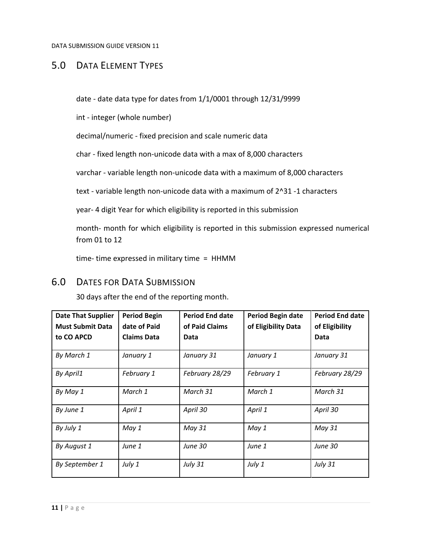# 5.0 DATA ELEMENT TYPES

date ‐ date data type for dates from 1/1/0001 through 12/31/9999

int ‐ integer (whole number)

decimal/numeric ‐ fixed precision and scale numeric data

char ‐ fixed length non‐unicode data with a max of 8,000 characters

varchar ‐ variable length non‐unicode data with a maximum of 8,000 characters

text - variable length non-unicode data with a maximum of 2^31 -1 characters

year‐ 4 digit Year for which eligibility is reported in this submission

month‐ month for which eligibility is reported in this submission expressed numerical from 01 to 12

time‐ time expressed in military time = HHMM

# 6.0 DATES FOR DATA SUBMISSION

30 days after the end of the reporting month.

| <b>Date That Supplier</b><br><b>Must Submit Data</b><br>to CO APCD | <b>Period Begin</b><br>date of Paid<br><b>Claims Data</b> | <b>Period End date</b><br>of Paid Claims<br>Data | <b>Period Begin date</b><br>of Eligibility Data | <b>Period End date</b><br>of Eligibility<br>Data |
|--------------------------------------------------------------------|-----------------------------------------------------------|--------------------------------------------------|-------------------------------------------------|--------------------------------------------------|
| By March 1                                                         | January 1                                                 | January 31                                       | January 1                                       | January 31                                       |
| By April1                                                          | February 1                                                | February 28/29                                   | February 1                                      | February 28/29                                   |
| By May 1                                                           | March 1                                                   | March 31                                         | March 1                                         | March 31                                         |
| By June 1                                                          | April 1                                                   | April 30                                         | April 1                                         | April 30                                         |
| By July 1                                                          | May 1                                                     | May 31                                           | May 1                                           | May 31                                           |
| By August 1                                                        | June 1                                                    | <b>June 30</b>                                   | June 1                                          | <b>June 30</b>                                   |
| By September 1                                                     | July 1                                                    | <b>July 31</b>                                   | July 1                                          | <b>July 31</b>                                   |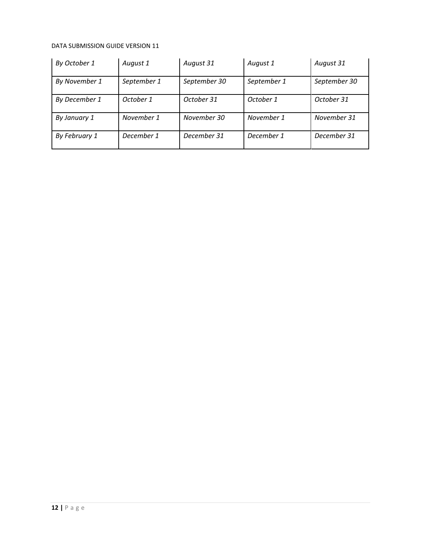| By October 1  | August 1    | August 31    | August 1    | August 31    |
|---------------|-------------|--------------|-------------|--------------|
| By November 1 | September 1 | September 30 | September 1 | September 30 |
| By December 1 | October 1   | October 31   | October 1   | October 31   |
| By January 1  | November 1  | November 30  | November 1  | November 31  |
| By February 1 | December 1  | December 31  | December 1  | December 31  |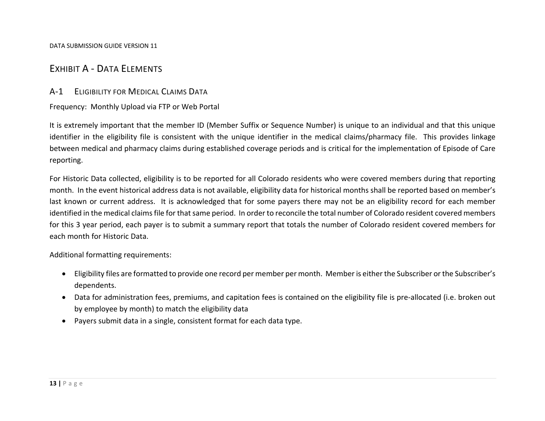# EXHIBIT A ‐ DATA ELEMENTS

# A‐1 ELIGIBILITY FOR MEDICAL CLAIMS DATA

Frequency: Monthly Upload via FTP or Web Portal

It is extremely important that the member ID (Member Suffix or Sequence Number) is unique to an individual and that this unique identifier in the eligibility file is consistent with the unique identifier in the medical claims/pharmacy file. This provides linkage between medical and pharmacy claims during established coverage periods and is critical for the implementation of Episode of Care reporting.

For Historic Data collected, eligibility is to be reported for all Colorado residents who were covered members during that reporting month. In the event historical address data is not available, eligibility data for historical months shall be reported based on member's last known or current address. It is acknowledged that for some payers there may not be an eligibility record for each member identified in the medical claims file for that same period. In order to reconcile the total number of Colorado resident covered members for this 3 year period, each payer is to submit <sup>a</sup> summary report that totals the number of Colorado resident covered members for each month for Historic Data.

Additional formatting requirements:

- Eligibility files are formatted to provide one record per member per month. Member is either the Subscriber or the Subscriber's dependents.
- Data for administration fees, premiums, and capitation fees is contained on the eligibility file is pre-allocated (i.e. broken out by employee by month) to match the eligibility data
- $\bullet$ Payers submit data in <sup>a</sup> single, consistent format for each data type.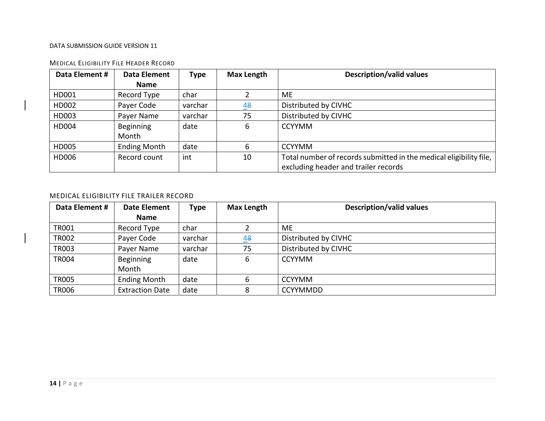| Data Element # | <b>Data Element</b> | <b>Type</b> | <b>Max Length</b> | <b>Description/valid values</b>                                    |
|----------------|---------------------|-------------|-------------------|--------------------------------------------------------------------|
|                | <b>Name</b>         |             |                   |                                                                    |
| HD001          | Record Type         | char        |                   | <b>ME</b>                                                          |
| HD002          | Payer Code          | varchar     | 48                | Distributed by CIVHC                                               |
| HD003          | Payer Name          | varchar     | 75                | Distributed by CIVHC                                               |
| HD004          | Beginning           | date        | 6                 | <b>CCYYMM</b>                                                      |
|                | Month               |             |                   |                                                                    |
| HD005          | <b>Ending Month</b> | date        | 6                 | <b>CCYYMM</b>                                                      |
| HD006          | Record count        | int         | 10                | Total number of records submitted in the medical eligibility file, |
|                |                     |             |                   | excluding header and trailer records                               |

#### MEDICAL ELIGIBILITY FILE HEADER RECORD

#### MEDICAL ELIGIBILITY FILE TRAILER RECORD

| Data Element # | Date Element           | Type    | <b>Max Length</b> | <b>Description/valid values</b> |
|----------------|------------------------|---------|-------------------|---------------------------------|
|                | <b>Name</b>            |         |                   |                                 |
| <b>TR001</b>   | Record Type            | char    |                   | ME                              |
| <b>TR002</b>   | Payer Code             | varchar | 48                | Distributed by CIVHC            |
| <b>TR003</b>   | Payer Name             | varchar | 75                | Distributed by CIVHC            |
| <b>TR004</b>   | Beginning              | date    | 6                 | <b>CCYYMM</b>                   |
|                | Month                  |         |                   |                                 |
| <b>TR005</b>   | <b>Ending Month</b>    | date    | 6                 | <b>CCYYMM</b>                   |
| <b>TR006</b>   | <b>Extraction Date</b> | date    | 8                 | <b>CCYYMMDD</b>                 |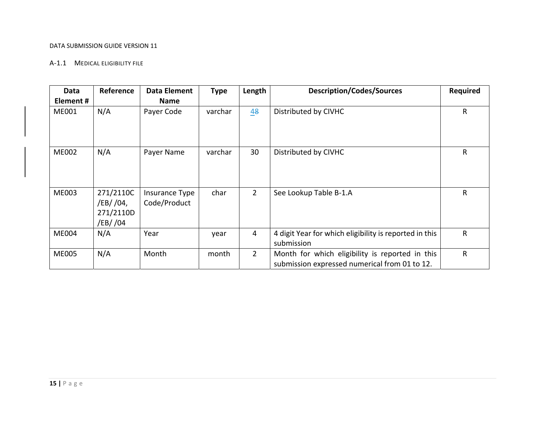#### A‐1.1 MEDICAL ELIGIBILITY FILE

| Data         | Reference                                       | <b>Data Element</b>            | <b>Type</b> | Length         | <b>Description/Codes/Sources</b>                                                                 | Required |
|--------------|-------------------------------------------------|--------------------------------|-------------|----------------|--------------------------------------------------------------------------------------------------|----------|
| Element#     |                                                 | Name                           |             |                |                                                                                                  |          |
| ME001        | N/A                                             | Payer Code                     | varchar     | 48             | Distributed by CIVHC                                                                             | R        |
| <b>ME002</b> | N/A                                             | Payer Name                     | varchar     | 30             | Distributed by CIVHC                                                                             | R        |
| <b>ME003</b> | 271/2110C<br>/EB/ /04,<br>271/2110D<br>/EB/ /04 | Insurance Type<br>Code/Product | char        | $\overline{2}$ | See Lookup Table B-1.A                                                                           | R        |
| <b>ME004</b> | N/A                                             | Year                           | year        | 4              | 4 digit Year for which eligibility is reported in this<br>submission                             | R        |
| <b>ME005</b> | N/A                                             | Month                          | month       | $2^{\circ}$    | Month for which eligibility is reported in this<br>submission expressed numerical from 01 to 12. | R        |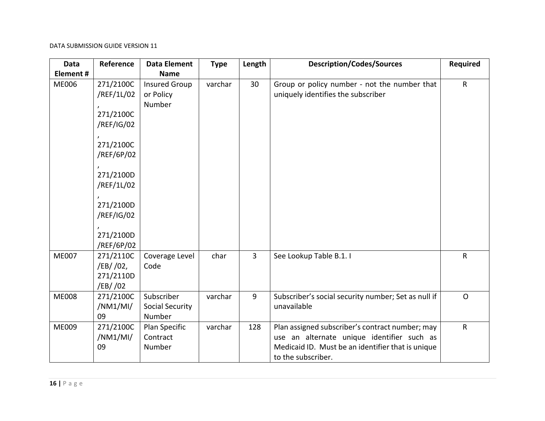| Data         | Reference                                                                                                                                                      | <b>Data Element</b>                            | <b>Type</b> | Length         | <b>Description/Codes/Sources</b>                                                                                                                                         | <b>Required</b> |
|--------------|----------------------------------------------------------------------------------------------------------------------------------------------------------------|------------------------------------------------|-------------|----------------|--------------------------------------------------------------------------------------------------------------------------------------------------------------------------|-----------------|
| Element#     |                                                                                                                                                                | <b>Name</b>                                    |             |                |                                                                                                                                                                          |                 |
| <b>ME006</b> | 271/2100C<br>/REF/1L/02<br>271/2100C<br>/REF/IG/02<br>271/2100C<br>/REF/6P/02<br>271/2100D<br>/REF/1L/02<br>271/2100D<br>/REF/IG/02<br>271/2100D<br>/REF/6P/02 | <b>Insured Group</b><br>or Policy<br>Number    | varchar     | 30             | Group or policy number - not the number that<br>uniquely identifies the subscriber                                                                                       | ${\sf R}$       |
| <b>ME007</b> | 271/2110C<br>/EB/ /02,<br>271/2110D<br>/EB/ /02                                                                                                                | Coverage Level<br>Code                         | char        | $\overline{3}$ | See Lookup Table B.1. I                                                                                                                                                  | $\mathsf{R}$    |
| <b>ME008</b> | 271/2100C<br>/NM1/MI/<br>09                                                                                                                                    | Subscriber<br><b>Social Security</b><br>Number | varchar     | 9              | Subscriber's social security number; Set as null if<br>unavailable                                                                                                       | $\mathsf{O}$    |
| ME009        | 271/2100C<br>/NM1/MI/<br>09                                                                                                                                    | Plan Specific<br>Contract<br>Number            | varchar     | 128            | Plan assigned subscriber's contract number; may<br>use an alternate unique identifier such as<br>Medicaid ID. Must be an identifier that is unique<br>to the subscriber. | $\mathsf{R}$    |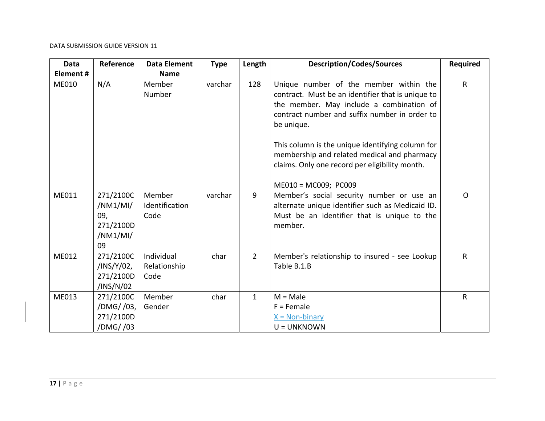| Data     | Reference                                                   | <b>Data Element</b>                | <b>Type</b> | Length         | <b>Description/Codes/Sources</b>                                                                                                                                                                                                                                                                                                                            | <b>Required</b> |
|----------|-------------------------------------------------------------|------------------------------------|-------------|----------------|-------------------------------------------------------------------------------------------------------------------------------------------------------------------------------------------------------------------------------------------------------------------------------------------------------------------------------------------------------------|-----------------|
| Element# |                                                             | <b>Name</b>                        |             |                |                                                                                                                                                                                                                                                                                                                                                             |                 |
| ME010    | N/A                                                         | Member<br>Number                   | varchar     | 128            | Unique number of the member within the<br>contract. Must be an identifier that is unique to<br>the member. May include a combination of<br>contract number and suffix number in order to<br>be unique.<br>This column is the unique identifying column for<br>membership and related medical and pharmacy<br>claims. Only one record per eligibility month. | $\mathsf{R}$    |
|          |                                                             |                                    |             |                | ME010 = MC009; PC009                                                                                                                                                                                                                                                                                                                                        |                 |
| ME011    | 271/2100C<br>/NM1/MI/<br>09,<br>271/2100D<br>/NM1/MI/<br>09 | Member<br>Identification<br>Code   | varchar     | 9              | Member's social security number or use an<br>alternate unique identifier such as Medicaid ID.<br>Must be an identifier that is unique to the<br>member.                                                                                                                                                                                                     | $\Omega$        |
| ME012    | 271/2100C<br>/INS/Y/02,<br>271/2100D<br>/INS/N/02           | Individual<br>Relationship<br>Code | char        | $\overline{2}$ | Member's relationship to insured - see Lookup<br>Table B.1.B                                                                                                                                                                                                                                                                                                | $\mathsf{R}$    |
| ME013    | 271/2100C<br>/DMG//03,<br>271/2100D<br>/DMG//03             | Member<br>Gender                   | char        | $\mathbf{1}$   | $M = Male$<br>$F =$ Female<br>$X = Non-binary$<br>U = UNKNOWN                                                                                                                                                                                                                                                                                               | $\mathsf{R}$    |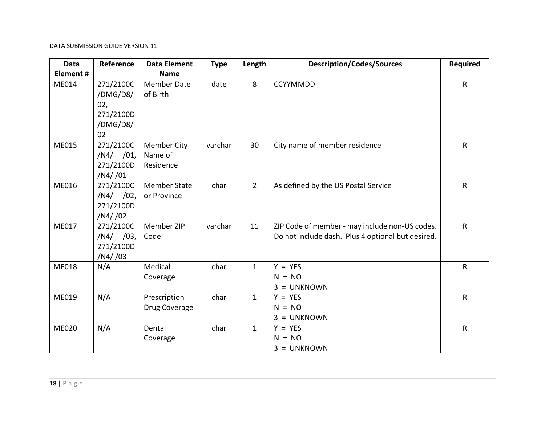| <b>Data</b>  | Reference                                                   | <b>Data Element</b>                        | <b>Type</b> | Length         | <b>Description/Codes/Sources</b>                                                                    | <b>Required</b> |
|--------------|-------------------------------------------------------------|--------------------------------------------|-------------|----------------|-----------------------------------------------------------------------------------------------------|-----------------|
| Element#     |                                                             | <b>Name</b>                                |             |                |                                                                                                     |                 |
| ME014        | 271/2100C<br>/DMG/D8/<br>02,<br>271/2100D<br>/DMG/D8/<br>02 | <b>Member Date</b><br>of Birth             | date        | 8              | CCYYMMDD                                                                                            | $\mathsf R$     |
| <b>ME015</b> | 271/2100C<br>$/N4/$ /01,<br>271/2100D<br>/N4//01            | <b>Member City</b><br>Name of<br>Residence | varchar     | 30             | City name of member residence                                                                       | R               |
| <b>ME016</b> | 271/2100C<br>$/N4/$ /02,<br>271/2100D<br>/N4//02            | <b>Member State</b><br>or Province         | char        | $\overline{2}$ | As defined by the US Postal Service                                                                 | R               |
| ME017        | 271/2100C<br>$/N4/$ /03,<br>271/2100D<br>/N4//03            | Member ZIP<br>Code                         | varchar     | 11             | ZIP Code of member - may include non-US codes.<br>Do not include dash. Plus 4 optional but desired. | $\mathsf{R}$    |
| <b>ME018</b> | N/A                                                         | Medical<br>Coverage                        | char        | $\mathbf{1}$   | $Y = YES$<br>$N = NO$<br>$3 = UNKNOWN$                                                              | $\mathsf{R}$    |
| ME019        | N/A                                                         | Prescription<br>Drug Coverage              | char        | $\mathbf{1}$   | $Y = YES$<br>$N = NO$<br>$3 = UNKNOWN$                                                              | $\mathsf{R}$    |
| <b>ME020</b> | N/A                                                         | Dental<br>Coverage                         | char        | $\mathbf{1}$   | $Y = YES$<br>$N = NO$<br>$3 = UNKNOWN$                                                              | $\mathsf R$     |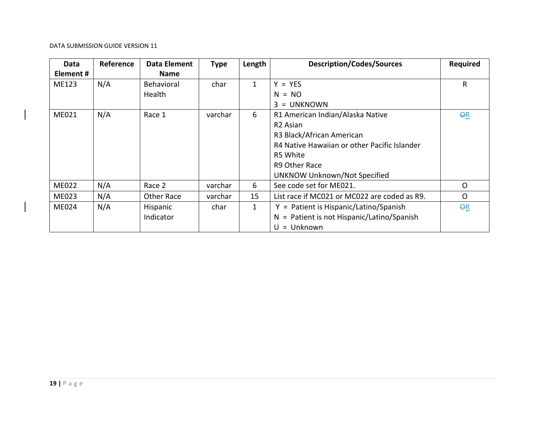| Data         | Reference | Data Element      | <b>Type</b> | Length       | <b>Description/Codes/Sources</b>             | <b>Required</b> |
|--------------|-----------|-------------------|-------------|--------------|----------------------------------------------|-----------------|
| Element#     |           | <b>Name</b>       |             |              |                                              |                 |
| ME123        | N/A       | <b>Behavioral</b> | char        | $\mathbf{1}$ | $Y = YES$                                    | R               |
|              |           | Health            |             |              | $N = NO$                                     |                 |
|              |           |                   |             |              | $3 = UNKNOWN$                                |                 |
| ME021        | N/A       | Race 1            | varchar     | 6            | R1 American Indian/Alaska Native             | $\overline{QR}$ |
|              |           |                   |             |              | R <sub>2</sub> Asian                         |                 |
|              |           |                   |             |              | R3 Black/African American                    |                 |
|              |           |                   |             |              | R4 Native Hawaiian or other Pacific Islander |                 |
|              |           |                   |             |              | R5 White                                     |                 |
|              |           |                   |             |              | R9 Other Race                                |                 |
|              |           |                   |             |              | <b>UNKNOW Unknown/Not Specified</b>          |                 |
| <b>ME022</b> | N/A       | Race 2            | varchar     | 6            | See code set for ME021.                      | $\Omega$        |
| <b>ME023</b> | N/A       | Other Race        | varchar     | 15           | List race if MC021 or MC022 are coded as R9. | $\mathsf{O}$    |
| <b>ME024</b> | N/A       | Hispanic          | char        | $\mathbf{1}$ | $Y =$ Patient is Hispanic/Latino/Spanish     | QR              |
|              |           | Indicator         |             |              | $N =$ Patient is not Hispanic/Latino/Spanish |                 |
|              |           |                   |             |              | $U =$ Unknown                                |                 |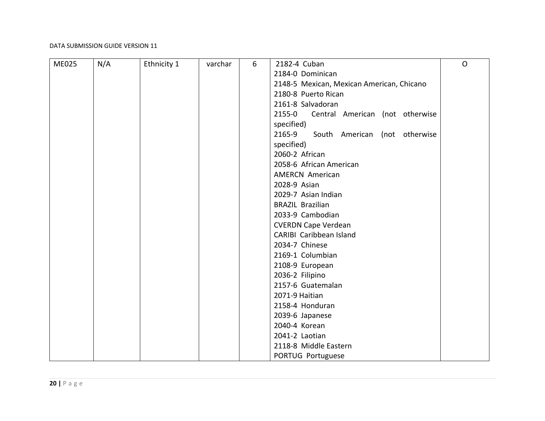| ME025 | N/A | Ethnicity 1 | varchar | 6 | 2182-4 Cuban                              | $\mathsf{O}$ |
|-------|-----|-------------|---------|---|-------------------------------------------|--------------|
|       |     |             |         |   | 2184-0 Dominican                          |              |
|       |     |             |         |   | 2148-5 Mexican, Mexican American, Chicano |              |
|       |     |             |         |   | 2180-8 Puerto Rican                       |              |
|       |     |             |         |   | 2161-8 Salvadoran                         |              |
|       |     |             |         |   | 2155-0<br>Central American (not otherwise |              |
|       |     |             |         |   | specified)                                |              |
|       |     |             |         |   | 2165-9<br>South American (not otherwise   |              |
|       |     |             |         |   | specified)                                |              |
|       |     |             |         |   | 2060-2 African                            |              |
|       |     |             |         |   | 2058-6 African American                   |              |
|       |     |             |         |   | <b>AMERCN American</b>                    |              |
|       |     |             |         |   | 2028-9 Asian                              |              |
|       |     |             |         |   | 2029-7 Asian Indian                       |              |
|       |     |             |         |   | <b>BRAZIL Brazilian</b>                   |              |
|       |     |             |         |   | 2033-9 Cambodian                          |              |
|       |     |             |         |   | <b>CVERDN Cape Verdean</b>                |              |
|       |     |             |         |   | <b>CARIBI</b> Caribbean Island            |              |
|       |     |             |         |   | 2034-7 Chinese                            |              |
|       |     |             |         |   | 2169-1 Columbian                          |              |
|       |     |             |         |   | 2108-9 European                           |              |
|       |     |             |         |   | 2036-2 Filipino                           |              |
|       |     |             |         |   | 2157-6 Guatemalan                         |              |
|       |     |             |         |   | 2071-9 Haitian                            |              |
|       |     |             |         |   | 2158-4 Honduran                           |              |
|       |     |             |         |   | 2039-6 Japanese                           |              |
|       |     |             |         |   | 2040-4 Korean                             |              |
|       |     |             |         |   | 2041-2 Laotian                            |              |
|       |     |             |         |   | 2118-8 Middle Eastern                     |              |
|       |     |             |         |   | PORTUG Portuguese                         |              |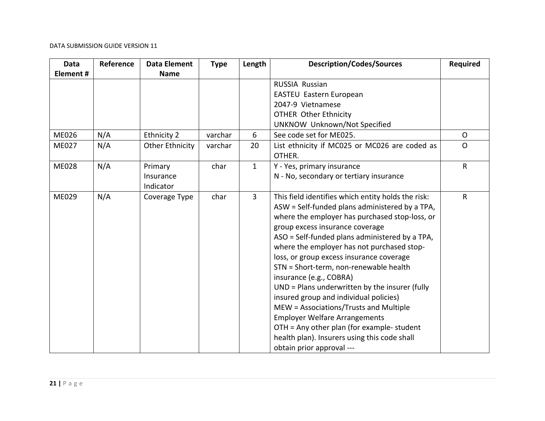| <b>Data</b>  | Reference | Data Element           | <b>Type</b> | Length         | <b>Description/Codes/Sources</b>                   | <b>Required</b> |
|--------------|-----------|------------------------|-------------|----------------|----------------------------------------------------|-----------------|
| Element#     |           | <b>Name</b>            |             |                |                                                    |                 |
|              |           |                        |             |                | <b>RUSSIA Russian</b>                              |                 |
|              |           |                        |             |                | EASTEU Eastern European                            |                 |
|              |           |                        |             |                | 2047-9 Vietnamese                                  |                 |
|              |           |                        |             |                | <b>OTHER Other Ethnicity</b>                       |                 |
|              |           |                        |             |                | <b>UNKNOW Unknown/Not Specified</b>                |                 |
| <b>ME026</b> | N/A       | Ethnicity 2            | varchar     | 6              | See code set for ME025.                            | $\Omega$        |
| ME027        | N/A       | <b>Other Ethnicity</b> | varchar     | 20             | List ethnicity if MC025 or MC026 are coded as      | $\mathsf{O}$    |
|              |           |                        |             |                | OTHER.                                             |                 |
| <b>ME028</b> | N/A       | Primary                | char        | $\mathbf{1}$   | Y - Yes, primary insurance                         | $\mathsf{R}$    |
|              |           | Insurance              |             |                | N - No, secondary or tertiary insurance            |                 |
|              |           | Indicator              |             |                |                                                    |                 |
| ME029        | N/A       | Coverage Type          | char        | $\overline{3}$ | This field identifies which entity holds the risk: | $\mathsf{R}$    |
|              |           |                        |             |                | ASW = Self-funded plans administered by a TPA,     |                 |
|              |           |                        |             |                | where the employer has purchased stop-loss, or     |                 |
|              |           |                        |             |                | group excess insurance coverage                    |                 |
|              |           |                        |             |                | ASO = Self-funded plans administered by a TPA,     |                 |
|              |           |                        |             |                | where the employer has not purchased stop-         |                 |
|              |           |                        |             |                | loss, or group excess insurance coverage           |                 |
|              |           |                        |             |                | STN = Short-term, non-renewable health             |                 |
|              |           |                        |             |                | insurance (e.g., COBRA)                            |                 |
|              |           |                        |             |                | UND = Plans underwritten by the insurer (fully     |                 |
|              |           |                        |             |                | insured group and individual policies)             |                 |
|              |           |                        |             |                | MEW = Associations/Trusts and Multiple             |                 |
|              |           |                        |             |                | <b>Employer Welfare Arrangements</b>               |                 |
|              |           |                        |             |                | OTH = Any other plan (for example- student         |                 |
|              |           |                        |             |                | health plan). Insurers using this code shall       |                 |
|              |           |                        |             |                | obtain prior approval ---                          |                 |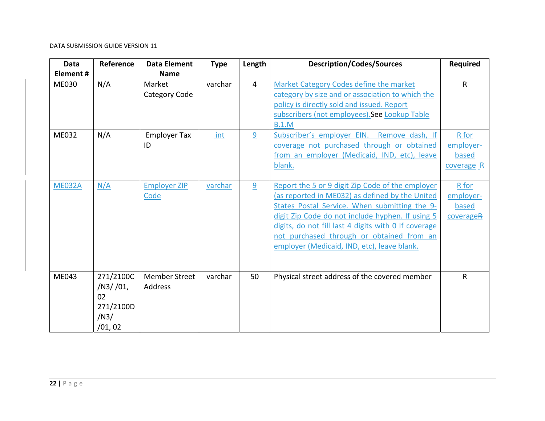| <b>Data</b>   | Reference | <b>Data Element</b>  | <b>Type</b> | Length         | <b>Description/Codes/Sources</b>                     | <b>Required</b> |
|---------------|-----------|----------------------|-------------|----------------|------------------------------------------------------|-----------------|
| Element#      |           | <b>Name</b>          |             |                |                                                      |                 |
| <b>ME030</b>  | N/A       | Market               | varchar     | $\overline{4}$ | Market Category Codes define the market              | $\mathsf{R}$    |
|               |           | Category Code        |             |                | category by size and or association to which the     |                 |
|               |           |                      |             |                | policy is directly sold and issued. Report           |                 |
|               |           |                      |             |                | subscribers (not employees). See Lookup Table        |                 |
|               |           |                      |             |                | <b>B.1.M</b>                                         |                 |
| ME032         | N/A       | <b>Employer Tax</b>  | int         | 9              | Subscriber's employer EIN. Remove dash, If           | R for           |
|               |           | ID                   |             |                | coverage not purchased through or obtained           | employer-       |
|               |           |                      |             |                | from an employer (Medicaid, IND, etc), leave         | based           |
|               |           |                      |             |                | blank.                                               | coverage-R      |
|               |           |                      |             |                |                                                      |                 |
| <b>ME032A</b> | N/A       | <b>Employer ZIP</b>  | varchar     | 9              | Report the 5 or 9 digit Zip Code of the employer     | R for           |
|               |           | Code                 |             |                | (as reported in ME032) as defined by the United      | employer-       |
|               |           |                      |             |                | States Postal Service. When submitting the 9-        | based           |
|               |           |                      |             |                | digit Zip Code do not include hyphen. If using 5     | coverageR       |
|               |           |                      |             |                | digits, do not fill last 4 digits with 0 If coverage |                 |
|               |           |                      |             |                | not purchased through or obtained from an            |                 |
|               |           |                      |             |                | employer (Medicaid, IND, etc), leave blank.          |                 |
|               |           |                      |             |                |                                                      |                 |
|               |           |                      |             |                |                                                      |                 |
| ME043         | 271/2100C | <b>Member Street</b> | varchar     | 50             | Physical street address of the covered member        | $\mathsf{R}$    |
|               | /N3/101,  | Address              |             |                |                                                      |                 |
|               | 02        |                      |             |                |                                                      |                 |
|               | 271/2100D |                      |             |                |                                                      |                 |
|               | /N3/      |                      |             |                |                                                      |                 |
|               | /01,02    |                      |             |                |                                                      |                 |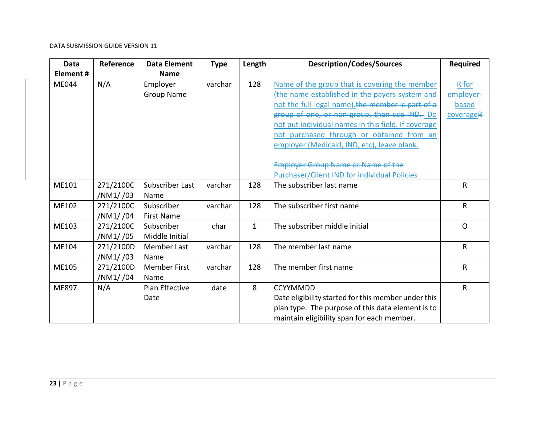| Data         | Reference | <b>Data Element</b> | <b>Type</b> | Length       | <b>Description/Codes/Sources</b>                    | <b>Required</b> |
|--------------|-----------|---------------------|-------------|--------------|-----------------------------------------------------|-----------------|
| Element#     |           | <b>Name</b>         |             |              |                                                     |                 |
| <b>ME044</b> | N/A       | Employer            | varchar     | 128          | Name of the group that is covering the member       | R for           |
|              |           | <b>Group Name</b>   |             |              | (the name established in the payers system and      | employer-       |
|              |           |                     |             |              | not the full legal name). the member is part of a   | based           |
|              |           |                     |             |              | group of one, or non group, then use IND.- Do       | coverageR       |
|              |           |                     |             |              | not put individual names in this field. If coverage |                 |
|              |           |                     |             |              | not purchased through or obtained from an           |                 |
|              |           |                     |             |              | employer (Medicaid, IND, etc), leave blank.         |                 |
|              |           |                     |             |              |                                                     |                 |
|              |           |                     |             |              | <b>Employer Group Name or Name of the</b>           |                 |
|              |           |                     |             |              | <b>Purchaser/Client IND for individual Policies</b> |                 |
| ME101        | 271/2100C | Subscriber Last     | varchar     | 128          | The subscriber last name                            | R               |
|              | /NM1//03  | Name                |             |              |                                                     |                 |
| ME102        | 271/2100C | Subscriber          | varchar     | 128          | The subscriber first name                           | R               |
|              | /NM1//04  | <b>First Name</b>   |             |              |                                                     |                 |
| ME103        | 271/2100C | Subscriber          | char        | $\mathbf{1}$ | The subscriber middle initial                       | $\Omega$        |
|              | /NM1//05  | Middle Initial      |             |              |                                                     |                 |
| ME104        | 271/2100D | Member Last         | varchar     | 128          | The member last name                                | R               |
|              | /NM1//03  | Name                |             |              |                                                     |                 |
| ME105        | 271/2100D | <b>Member First</b> | varchar     | 128          | The member first name                               | R               |
|              | /NM1//04  | Name                |             |              |                                                     |                 |
| ME897        | N/A       | Plan Effective      | date        | 8            | <b>CCYYMMDD</b>                                     | R               |
|              |           | Date                |             |              | Date eligibility started for this member under this |                 |
|              |           |                     |             |              | plan type. The purpose of this data element is to   |                 |
|              |           |                     |             |              | maintain eligibility span for each member.          |                 |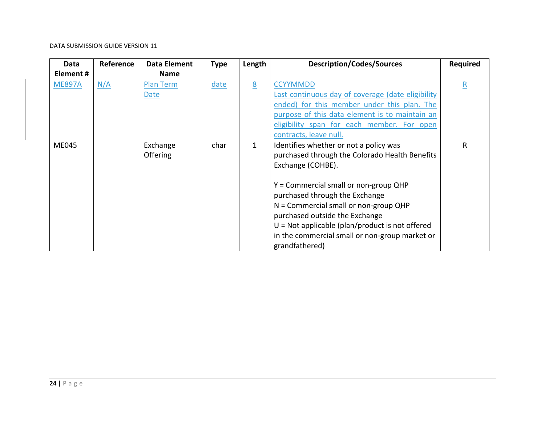| Data          | Reference | <b>Data Element</b> | <b>Type</b> | Length       | <b>Description/Codes/Sources</b>                  | <b>Required</b>          |
|---------------|-----------|---------------------|-------------|--------------|---------------------------------------------------|--------------------------|
| Element #     |           | <b>Name</b>         |             |              |                                                   |                          |
| <b>ME897A</b> | N/A       | <b>Plan Term</b>    | date        | 8            | <b>CCYYMMDD</b>                                   | $\underline{\mathsf{R}}$ |
|               |           | Date                |             |              | Last continuous day of coverage (date eligibility |                          |
|               |           |                     |             |              | ended) for this member under this plan. The       |                          |
|               |           |                     |             |              | purpose of this data element is to maintain an    |                          |
|               |           |                     |             |              | eligibility span for each member. For open        |                          |
|               |           |                     |             |              | contracts, leave null.                            |                          |
| <b>ME045</b>  |           | Exchange            | char        | $\mathbf{1}$ | Identifies whether or not a policy was            | R                        |
|               |           | Offering            |             |              | purchased through the Colorado Health Benefits    |                          |
|               |           |                     |             |              | Exchange (COHBE).                                 |                          |
|               |           |                     |             |              |                                                   |                          |
|               |           |                     |             |              | $Y =$ Commercial small or non-group QHP           |                          |
|               |           |                     |             |              | purchased through the Exchange                    |                          |
|               |           |                     |             |              | $N =$ Commercial small or non-group QHP           |                          |
|               |           |                     |             |              | purchased outside the Exchange                    |                          |
|               |           |                     |             |              | $U = Not$ applicable (plan/product is not offered |                          |
|               |           |                     |             |              | in the commercial small or non-group market or    |                          |
|               |           |                     |             |              | grandfathered)                                    |                          |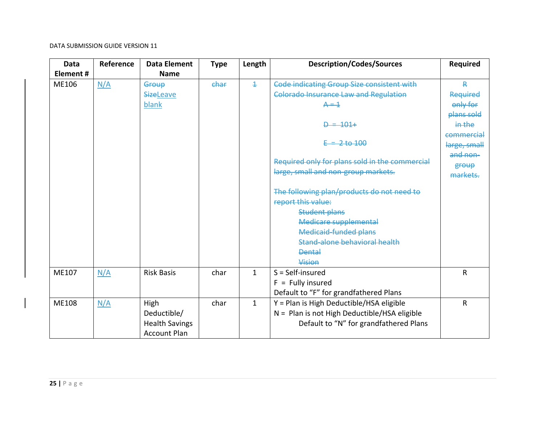| Data         | Reference | <b>Data Element</b>   | <b>Type</b> | Length         | <b>Description/Codes/Sources</b>               | <b>Required</b> |
|--------------|-----------|-----------------------|-------------|----------------|------------------------------------------------|-----------------|
| Element#     |           | <b>Name</b>           |             |                |                                                |                 |
| ME106        | N/A       | Group                 | char        | $\overline{1}$ | Code indicating Group Size consistent with     | ₽               |
|              |           | <b>SizeLeave</b>      |             |                | <b>Colorado Insurance Law and Regulation</b>   | Required        |
|              |           | blank                 |             |                | $A = 1$                                        | only for        |
|              |           |                       |             |                |                                                | plans sold      |
|              |           |                       |             |                | $D = 101+$                                     | in the          |
|              |           |                       |             |                |                                                | commercial      |
|              |           |                       |             |                | $E = 2 to 100$                                 | large, small    |
|              |           |                       |             |                |                                                | and non-        |
|              |           |                       |             |                | Required only for plans sold in the commercial | group           |
|              |           |                       |             |                | large, small and non-group markets.            | markets.        |
|              |           |                       |             |                | The following plan/products do not need to     |                 |
|              |           |                       |             |                | report this value:                             |                 |
|              |           |                       |             |                | <b>Student plans</b>                           |                 |
|              |           |                       |             |                | Medicare supplemental                          |                 |
|              |           |                       |             |                | <b>Medicaid-funded plans</b>                   |                 |
|              |           |                       |             |                | Stand-alone behavioral health                  |                 |
|              |           |                       |             |                | <b>Dental</b>                                  |                 |
|              |           |                       |             |                | Vision                                         |                 |
| ME107        | N/A       | <b>Risk Basis</b>     | char        | 1              | $S = Self-insured$                             | R               |
|              |           |                       |             |                | $F =$ Fully insured                            |                 |
|              |           |                       |             |                | Default to "F" for grandfathered Plans         |                 |
| <b>ME108</b> | N/A       | High                  | char        | $\mathbf{1}$   | Y = Plan is High Deductible/HSA eligible       | R               |
|              |           | Deductible/           |             |                | $N =$ Plan is not High Deductible/HSA eligible |                 |
|              |           | <b>Health Savings</b> |             |                | Default to "N" for grandfathered Plans         |                 |
|              |           | <b>Account Plan</b>   |             |                |                                                |                 |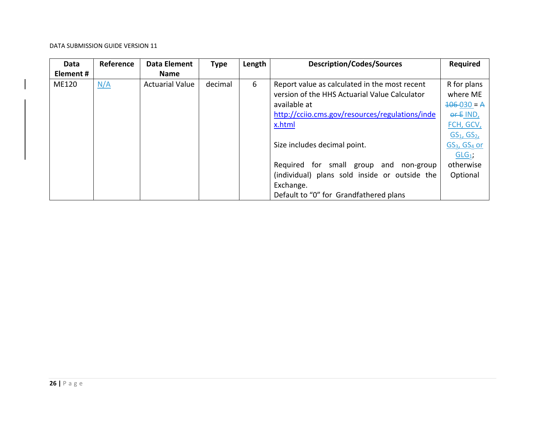| Data         | Reference | <b>Data Element</b>    | <b>Type</b> | Length | <b>Description/Codes/Sources</b>                | <b>Required</b>                      |
|--------------|-----------|------------------------|-------------|--------|-------------------------------------------------|--------------------------------------|
| Element#     |           | <b>Name</b>            |             |        |                                                 |                                      |
| <b>ME120</b> | N/A       | <b>Actuarial Value</b> | decimal     | 6      | Report value as calculated in the most recent   | R for plans                          |
|              |           |                        |             |        | version of the HHS Actuarial Value Calculator   | where ME                             |
|              |           |                        |             |        | available at                                    | $106-030 = A$                        |
|              |           |                        |             |        | http://cciio.cms.gov/resources/regulations/inde | $0F$ IND,                            |
|              |           |                        |             |        | x.html                                          | FCH, GCV,                            |
|              |           |                        |             |        |                                                 | $GS_{1}$ , $GS_{2}$                  |
|              |           |                        |             |        | Size includes decimal point.                    | GS <sub>3</sub> , GS <sub>4</sub> or |
|              |           |                        |             |        |                                                 | $GLG_1$ ;                            |
|              |           |                        |             |        | Required for small group and<br>non-group       | otherwise                            |
|              |           |                        |             |        | (individual) plans sold inside or outside the   | Optional                             |
|              |           |                        |             |        | Exchange.                                       |                                      |
|              |           |                        |             |        | Default to "0" for Grandfathered plans          |                                      |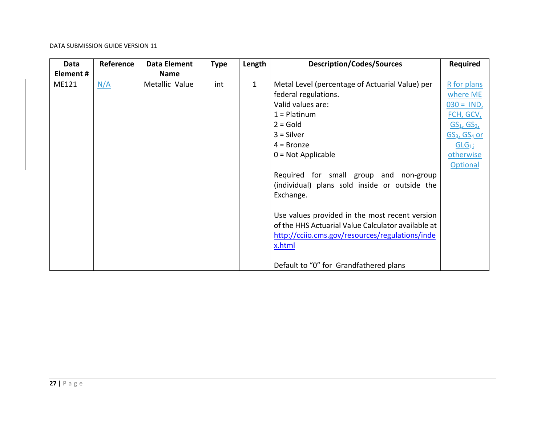| Data     | Reference | <b>Data Element</b> | <b>Type</b> | Length       | <b>Description/Codes/Sources</b>                   | <b>Required</b>                      |
|----------|-----------|---------------------|-------------|--------------|----------------------------------------------------|--------------------------------------|
| Element# |           | <b>Name</b>         |             |              |                                                    |                                      |
| ME121    | N/A       | Metallic Value      | int         | $\mathbf{1}$ | Metal Level (percentage of Actuarial Value) per    | R for plans                          |
|          |           |                     |             |              | federal regulations.                               | where ME                             |
|          |           |                     |             |              | Valid values are:                                  | $030 = IND$ ,                        |
|          |           |                     |             |              | $1 =$ Platinum                                     | <u>FCH, GCV,</u>                     |
|          |           |                     |             |              | $2 = Gold$                                         | GS <sub>1</sub> , GS <sub>2</sub>    |
|          |           |                     |             |              | $3 =$ Silver                                       | GS <sub>3</sub> , GS <sub>4</sub> or |
|          |           |                     |             |              | $4 =$ Bronze                                       | $GLG_1$ ;                            |
|          |           |                     |             |              | $0 = Not Applicable$                               | otherwise                            |
|          |           |                     |             |              |                                                    | <b>Optional</b>                      |
|          |           |                     |             |              | Required for small group and non-group             |                                      |
|          |           |                     |             |              | (individual) plans sold inside or outside the      |                                      |
|          |           |                     |             |              | Exchange.                                          |                                      |
|          |           |                     |             |              |                                                    |                                      |
|          |           |                     |             |              | Use values provided in the most recent version     |                                      |
|          |           |                     |             |              | of the HHS Actuarial Value Calculator available at |                                      |
|          |           |                     |             |              | http://cciio.cms.gov/resources/regulations/inde    |                                      |
|          |           |                     |             |              | x.html                                             |                                      |
|          |           |                     |             |              |                                                    |                                      |
|          |           |                     |             |              | Default to "0" for Grandfathered plans             |                                      |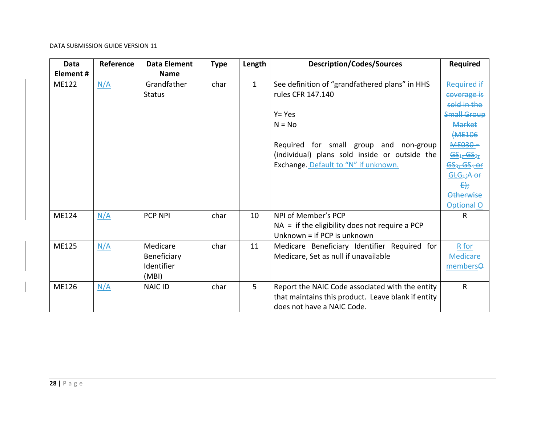| <b>Data</b>  | Reference | <b>Data Element</b> | <b>Type</b> | Length       | <b>Description/Codes/Sources</b>                   | Required                                                                    |
|--------------|-----------|---------------------|-------------|--------------|----------------------------------------------------|-----------------------------------------------------------------------------|
| Element#     |           | <b>Name</b>         |             |              |                                                    |                                                                             |
| <b>ME122</b> | N/A       | Grandfather         | char        | $\mathbf{1}$ | See definition of "grandfathered plans" in HHS     | <b>Required if</b>                                                          |
|              |           | <b>Status</b>       |             |              | rules CFR 147.140                                  | coverage is                                                                 |
|              |           |                     |             |              |                                                    | sold in the                                                                 |
|              |           |                     |             |              | $Y = Yes$                                          | <b>Small Group</b>                                                          |
|              |           |                     |             |              | $N = No$                                           | <b>Market</b>                                                               |
|              |           |                     |             |              |                                                    | <b>(ME106</b>                                                               |
|              |           |                     |             |              | Required for small group and non-group             | $ME030 =$                                                                   |
|              |           |                     |             |              | (individual) plans sold inside or outside the      | 65 <sub>1</sub> , 65 <sub>27</sub>                                          |
|              |           |                     |             |              | Exchange. Default to "N" if unknown.               | <u>GS3, GS4 or</u>                                                          |
|              |           |                     |             |              |                                                    | $\underline{\mathsf{G}\mathsf{L}\mathsf{G}}_{4}$ $\overline{\mathsf{H}}$ of |
|              |           |                     |             |              |                                                    | $E_{ij}$                                                                    |
|              |           |                     |             |              |                                                    | <b>Otherwise</b>                                                            |
|              |           |                     |             |              |                                                    | Optional O                                                                  |
| <b>ME124</b> | N/A       | <b>PCP NPI</b>      | char        | 10           | NPI of Member's PCP                                | R                                                                           |
|              |           |                     |             |              | $NA =$ if the eligibility does not require a PCP   |                                                                             |
|              |           |                     |             |              | Unknown = if PCP is unknown                        |                                                                             |
| <b>ME125</b> | N/A       | Medicare            | char        | 11           | Medicare Beneficiary Identifier Required for       | R for                                                                       |
|              |           | Beneficiary         |             |              | Medicare, Set as null if unavailable               | <b>Medicare</b>                                                             |
|              |           | Identifier          |             |              |                                                    | memberse                                                                    |
|              |           | (MBI)               |             |              |                                                    |                                                                             |
| ME126        | N/A       | <b>NAIC ID</b>      | char        | 5            | Report the NAIC Code associated with the entity    | R                                                                           |
|              |           |                     |             |              | that maintains this product. Leave blank if entity |                                                                             |
|              |           |                     |             |              | does not have a NAIC Code.                         |                                                                             |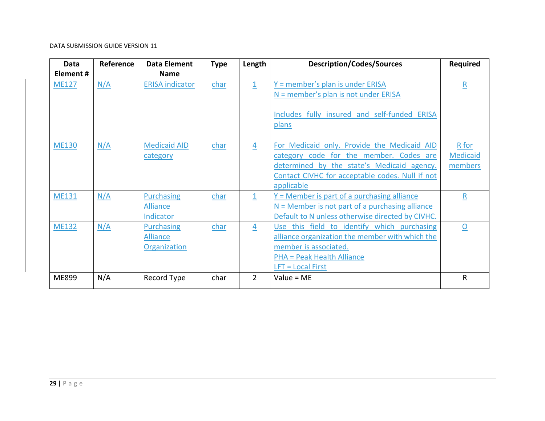| Data         | Reference | <b>Data Element</b>                                         | <b>Type</b> | Length         | <b>Description/Codes/Sources</b>                                                                                                                                                                      | <b>Required</b>                     |
|--------------|-----------|-------------------------------------------------------------|-------------|----------------|-------------------------------------------------------------------------------------------------------------------------------------------------------------------------------------------------------|-------------------------------------|
| Element#     |           | <b>Name</b>                                                 |             |                |                                                                                                                                                                                                       |                                     |
| <b>ME127</b> | N/A       | <b>ERISA indicator</b>                                      | char        | $\mathbf{1}$   | Y = member's plan is under ERISA<br>$N =$ member's plan is not under ERISA<br>Includes fully insured and self-funded ERISA<br>plans                                                                   | $\underline{\mathsf{R}}$            |
| <b>ME130</b> | N/A       | <b>Medicaid AID</b><br>category                             | char        | 4              | For Medicaid only. Provide the Medicaid AID<br>category code for the member. Codes are<br>determined by the state's Medicaid agency.<br>Contact CIVHC for acceptable codes. Null if not<br>applicable | R for<br><b>Medicaid</b><br>members |
| <b>ME131</b> | N/A       | <b>Purchasing</b><br><b>Alliance</b><br>Indicator           | char        | $\mathbf{1}$   | $Y =$ Member is part of a purchasing alliance<br>$N =$ Member is not part of a purchasing alliance<br>Default to N unless otherwise directed by CIVHC.                                                | $\underline{\mathsf{R}}$            |
| <b>ME132</b> | N/A       | <b>Purchasing</b><br><b>Alliance</b><br><b>Organization</b> | char        | $\overline{4}$ | Use this field to identify which purchasing<br>alliance organization the member with which the<br>member is associated.<br><b>PHA = Peak Health Alliance</b><br>$LFT = Local First$                   | $\Omega$                            |
| ME899        | N/A       | Record Type                                                 | char        | $\overline{2}$ | Value = $ME$                                                                                                                                                                                          | $\mathsf{R}$                        |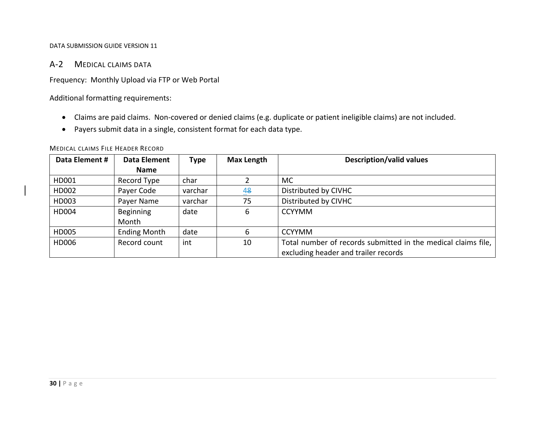### A‐2 MEDICAL CLAIMS DATA

Frequency: Monthly Upload via FTP or Web Portal

Additional formatting requirements:

- Claims are paid claims. Non‐covered or denied claims (e.g. duplicate or patient ineligible claims) are not included.
- Payers submit data in <sup>a</sup> single, consistent format for each data type.

| Data Element # | <b>Data Element</b> | <b>Type</b> | <b>Max Length</b> | <b>Description/valid values</b>                               |
|----------------|---------------------|-------------|-------------------|---------------------------------------------------------------|
|                | Name                |             |                   |                                                               |
| HD001          | Record Type         | char        |                   | <b>MC</b>                                                     |
| HD002          | Payer Code          | varchar     | 48                | Distributed by CIVHC                                          |
| HD003          | Payer Name          | varchar     | 75                | Distributed by CIVHC                                          |
| HD004          | <b>Beginning</b>    | date        | 6                 | <b>CCYYMM</b>                                                 |
|                | Month               |             |                   |                                                               |
| HD005          | <b>Ending Month</b> | date        | 6                 | <b>CCYYMM</b>                                                 |
| HD006          | Record count        | int         | 10                | Total number of records submitted in the medical claims file, |
|                |                     |             |                   | excluding header and trailer records                          |

#### MEDICAL CLAIMS FILE HEADER RECORD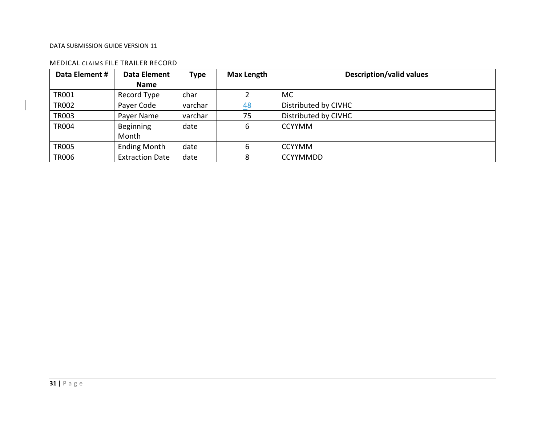#### MEDICAL CLAIMS FILE TRAILER RECORD

| Data Element # | Data Element           | <b>Type</b> | <b>Max Length</b> | <b>Description/valid values</b> |  |  |  |
|----------------|------------------------|-------------|-------------------|---------------------------------|--|--|--|
|                | <b>Name</b>            |             |                   |                                 |  |  |  |
| <b>TR001</b>   | Record Type            | char        |                   | <b>MC</b>                       |  |  |  |
| <b>TR002</b>   | Payer Code             | varchar     | 48                | Distributed by CIVHC            |  |  |  |
| <b>TR003</b>   | Payer Name             | varchar     | 75                | Distributed by CIVHC            |  |  |  |
| <b>TR004</b>   | Beginning              | date        | 6                 | <b>CCYYMM</b>                   |  |  |  |
|                | Month                  |             |                   |                                 |  |  |  |
| <b>TR005</b>   | <b>Ending Month</b>    | date        | 6                 | <b>CCYYMM</b>                   |  |  |  |
| <b>TR006</b>   | <b>Extraction Date</b> | date        | 8                 | <b>CCYYMMDD</b>                 |  |  |  |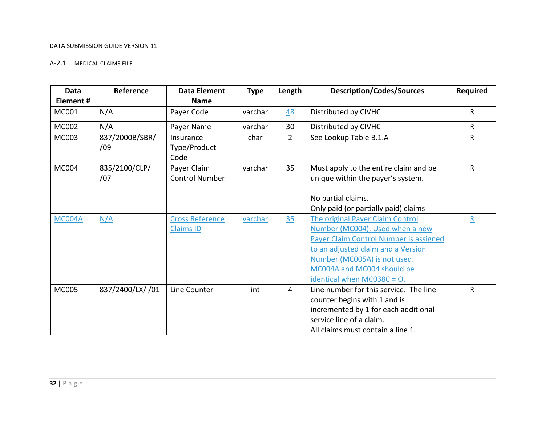#### A‐2.1 MEDICAL CLAIMS FILE

| Data          | Reference        | <b>Data Element</b>    | <b>Type</b> | Length         | <b>Description/Codes/Sources</b>              | <b>Required</b>         |
|---------------|------------------|------------------------|-------------|----------------|-----------------------------------------------|-------------------------|
| Element#      |                  | <b>Name</b>            |             |                |                                               |                         |
| MC001         | N/A              | Payer Code             | varchar     | $\frac{48}{5}$ | Distributed by CIVHC                          | $\mathsf{R}$            |
| <b>MC002</b>  | N/A              | Payer Name             | varchar     | 30             | Distributed by CIVHC                          | $\mathsf{R}$            |
| MC003         | 837/2000B/SBR/   | Insurance              | char        | $\overline{2}$ | See Lookup Table B.1.A                        | $\mathsf{R}$            |
|               | /09              | Type/Product<br>Code   |             |                |                                               |                         |
| <b>MC004</b>  | 835/2100/CLP/    | Payer Claim            | varchar     | 35             | Must apply to the entire claim and be         | $\mathsf{R}$            |
|               | /07              | <b>Control Number</b>  |             |                | unique within the payer's system.             |                         |
|               |                  |                        |             |                | No partial claims.                            |                         |
|               |                  |                        |             |                | Only paid (or partially paid) claims          |                         |
| <b>MC004A</b> | N/A              | <b>Cross Reference</b> | varchar     | 35             | The original Payer Claim Control              | $\overline{\mathbf{R}}$ |
|               |                  | <b>Claims ID</b>       |             |                | Number (MC004). Used when a new               |                         |
|               |                  |                        |             |                | <b>Payer Claim Control Number is assigned</b> |                         |
|               |                  |                        |             |                | to an adjusted claim and a Version            |                         |
|               |                  |                        |             |                | Number (MC005A) is not used.                  |                         |
|               |                  |                        |             |                | MC004A and MC004 should be                    |                         |
|               |                  |                        |             |                | identical when $MC038C = O$ .                 |                         |
| <b>MC005</b>  | 837/2400/LX/ /01 | Line Counter           | int         | $\overline{4}$ | Line number for this service. The line        | $\mathsf{R}$            |
|               |                  |                        |             |                | counter begins with 1 and is                  |                         |
|               |                  |                        |             |                | incremented by 1 for each additional          |                         |
|               |                  |                        |             |                | service line of a claim.                      |                         |
|               |                  |                        |             |                | All claims must contain a line 1.             |                         |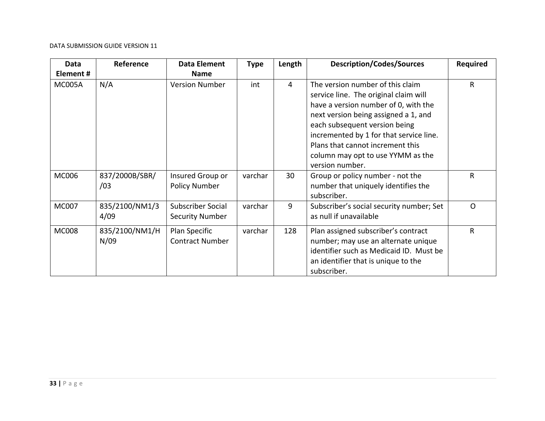| Data         | Reference              | <b>Data Element</b>                         | <b>Type</b> | Length         | <b>Description/Codes/Sources</b>                                                                                                                                                                                                                                                                                                  | <b>Required</b> |
|--------------|------------------------|---------------------------------------------|-------------|----------------|-----------------------------------------------------------------------------------------------------------------------------------------------------------------------------------------------------------------------------------------------------------------------------------------------------------------------------------|-----------------|
| Element#     |                        | <b>Name</b>                                 |             |                |                                                                                                                                                                                                                                                                                                                                   |                 |
| MC005A       | N/A                    | <b>Version Number</b>                       | int         | $\overline{4}$ | The version number of this claim<br>service line. The original claim will<br>have a version number of 0, with the<br>next version being assigned a 1, and<br>each subsequent version being<br>incremented by 1 for that service line.<br>Plans that cannot increment this<br>column may opt to use YYMM as the<br>version number. | R               |
| <b>MC006</b> | 837/2000B/SBR/<br>/03  | Insured Group or<br><b>Policy Number</b>    | varchar     | 30             | Group or policy number - not the<br>number that uniquely identifies the<br>subscriber.                                                                                                                                                                                                                                            | R               |
| <b>MC007</b> | 835/2100/NM1/3<br>4/09 | Subscriber Social<br><b>Security Number</b> | varchar     | 9              | Subscriber's social security number; Set<br>as null if unavailable                                                                                                                                                                                                                                                                | $\Omega$        |
| <b>MC008</b> | 835/2100/NM1/H<br>N/09 | Plan Specific<br><b>Contract Number</b>     | varchar     | 128            | Plan assigned subscriber's contract<br>number; may use an alternate unique<br>identifier such as Medicaid ID. Must be<br>an identifier that is unique to the<br>subscriber.                                                                                                                                                       | R               |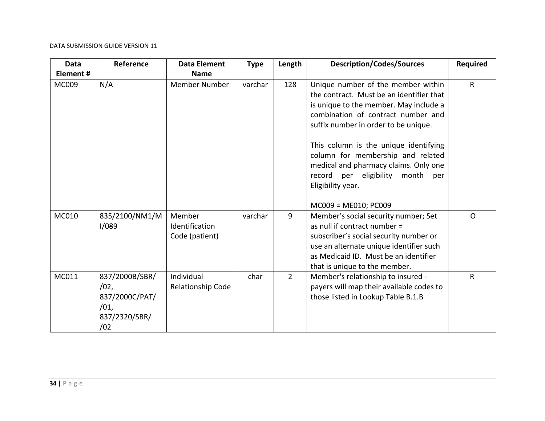| <b>Data</b> | Reference                                                                | <b>Data Element</b>                        | <b>Type</b> | Length         | <b>Description/Codes/Sources</b>                                                                                                                                                                                                                                                                                                                                                             | <b>Required</b> |
|-------------|--------------------------------------------------------------------------|--------------------------------------------|-------------|----------------|----------------------------------------------------------------------------------------------------------------------------------------------------------------------------------------------------------------------------------------------------------------------------------------------------------------------------------------------------------------------------------------------|-----------------|
| Element#    |                                                                          | <b>Name</b>                                |             |                |                                                                                                                                                                                                                                                                                                                                                                                              |                 |
| MC009       | N/A                                                                      | <b>Member Number</b>                       | varchar     | 128            | Unique number of the member within<br>the contract. Must be an identifier that<br>is unique to the member. May include a<br>combination of contract number and<br>suffix number in order to be unique.<br>This column is the unique identifying<br>column for membership and related<br>medical and pharmacy claims. Only one<br>record per eligibility<br>month<br>per<br>Eligibility year. | $\mathsf{R}$    |
|             |                                                                          |                                            |             |                | MC009 = ME010; PC009                                                                                                                                                                                                                                                                                                                                                                         |                 |
| MC010       | 835/2100/NM1/M<br>1/089                                                  | Member<br>Identification<br>Code (patient) | varchar     | 9              | Member's social security number; Set<br>as null if contract number =<br>subscriber's social security number or<br>use an alternate unique identifier such<br>as Medicaid ID. Must be an identifier<br>that is unique to the member.                                                                                                                                                          | $\Omega$        |
| MC011       | 837/2000B/SBR/<br>/02,<br>837/2000C/PAT/<br>/01,<br>837/2320/SBR/<br>/02 | Individual<br>Relationship Code            | char        | $\overline{2}$ | Member's relationship to insured -<br>payers will map their available codes to<br>those listed in Lookup Table B.1.B                                                                                                                                                                                                                                                                         | $\mathsf{R}$    |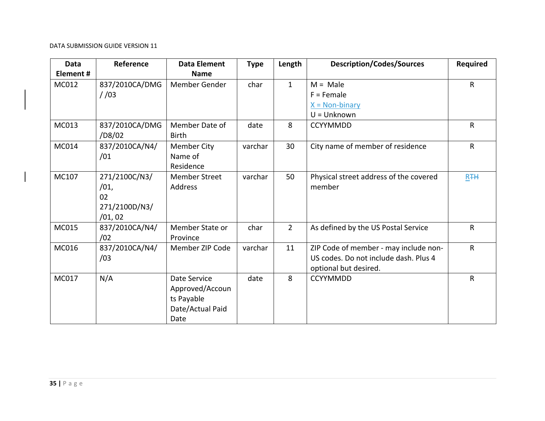| Data         | Reference      | <b>Data Element</b>  | <b>Type</b> | Length         | <b>Description/Codes/Sources</b>       | <b>Required</b>       |
|--------------|----------------|----------------------|-------------|----------------|----------------------------------------|-----------------------|
| Element#     |                | <b>Name</b>          |             |                |                                        |                       |
| MC012        | 837/2010CA/DMG | Member Gender        | char        | $\mathbf{1}$   | $M = Male$                             | $\mathsf{R}$          |
|              | 1/03           |                      |             |                | $F =$ Female                           |                       |
|              |                |                      |             |                | $X = Non-binary$                       |                       |
|              |                |                      |             |                | $U =$ Unknown                          |                       |
| MC013        | 837/2010CA/DMG | Member Date of       | date        | 8              | <b>CCYYMMDD</b>                        | $\mathsf{R}$          |
|              | /D8/02         | <b>Birth</b>         |             |                |                                        |                       |
| MC014        | 837/2010CA/N4/ | <b>Member City</b>   | varchar     | 30             | City name of member of residence       | $\mathsf{R}$          |
|              | /01            | Name of              |             |                |                                        |                       |
|              |                | Residence            |             |                |                                        |                       |
| MC107        | 271/2100C/N3/  | <b>Member Street</b> | varchar     | 50             | Physical street address of the covered | <b>R</b> <sub>+</sub> |
|              | /01,           | Address              |             |                | member                                 |                       |
|              | 02             |                      |             |                |                                        |                       |
|              | 271/2100D/N3/  |                      |             |                |                                        |                       |
|              | /01,02         |                      |             |                |                                        |                       |
| MC015        | 837/2010CA/N4/ | Member State or      | char        | $\overline{2}$ | As defined by the US Postal Service    | $\sf R$               |
|              | /02            | Province             |             |                |                                        |                       |
| MC016        | 837/2010CA/N4/ | Member ZIP Code      | varchar     | 11             | ZIP Code of member - may include non-  | $\mathsf{R}$          |
|              | /03            |                      |             |                | US codes. Do not include dash. Plus 4  |                       |
|              |                |                      |             |                | optional but desired.                  |                       |
| <b>MC017</b> | N/A            | Date Service         | date        | 8              | <b>CCYYMMDD</b>                        | $\mathsf{R}$          |
|              |                | Approved/Accoun      |             |                |                                        |                       |
|              |                | ts Payable           |             |                |                                        |                       |
|              |                | Date/Actual Paid     |             |                |                                        |                       |
|              |                | Date                 |             |                |                                        |                       |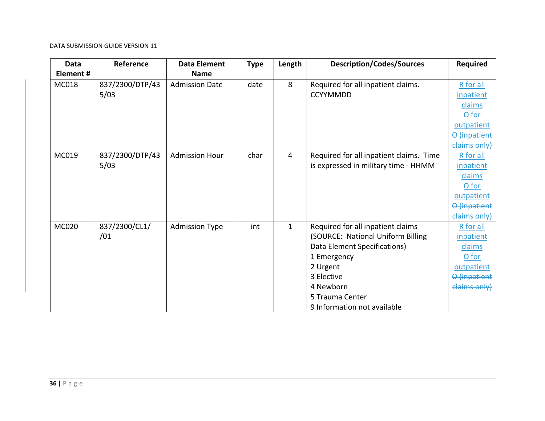| <b>Data</b>  | Reference       | <b>Data Element</b>   | <b>Type</b> | Length         | <b>Description/Codes/Sources</b>        | <b>Required</b> |
|--------------|-----------------|-----------------------|-------------|----------------|-----------------------------------------|-----------------|
| Element#     |                 | <b>Name</b>           |             |                |                                         |                 |
| MC018        | 837/2300/DTP/43 | <b>Admission Date</b> | date        | 8              | Required for all inpatient claims.      | R for all       |
|              | 5/03            |                       |             |                | <b>CCYYMMDD</b>                         | inpatient       |
|              |                 |                       |             |                |                                         | claims          |
|              |                 |                       |             |                |                                         | O for           |
|              |                 |                       |             |                |                                         | outpatient      |
|              |                 |                       |             |                |                                         | O (inpatient    |
|              |                 |                       |             |                |                                         | claims only)    |
| MC019        | 837/2300/DTP/43 | <b>Admission Hour</b> | char        | $\overline{4}$ | Required for all inpatient claims. Time | R for all       |
|              | 5/03            |                       |             |                | is expressed in military time - HHMM    | inpatient       |
|              |                 |                       |             |                |                                         | claims          |
|              |                 |                       |             |                |                                         | O for           |
|              |                 |                       |             |                |                                         | outpatient      |
|              |                 |                       |             |                |                                         | O (inpatient    |
|              |                 |                       |             |                |                                         | claims only)    |
| <b>MC020</b> | 837/2300/CL1/   | <b>Admission Type</b> | int         | $\mathbf{1}$   | Required for all inpatient claims       | R for all       |
|              | /01             |                       |             |                | (SOURCE: National Uniform Billing       | inpatient       |
|              |                 |                       |             |                | Data Element Specifications)            | claims          |
|              |                 |                       |             |                | 1 Emergency                             | O for           |
|              |                 |                       |             |                | 2 Urgent                                | outpatient      |
|              |                 |                       |             |                | 3 Elective                              | O (inpatient    |
|              |                 |                       |             |                | 4 Newborn                               | claims only)    |
|              |                 |                       |             |                | 5 Trauma Center                         |                 |
|              |                 |                       |             |                | 9 Information not available             |                 |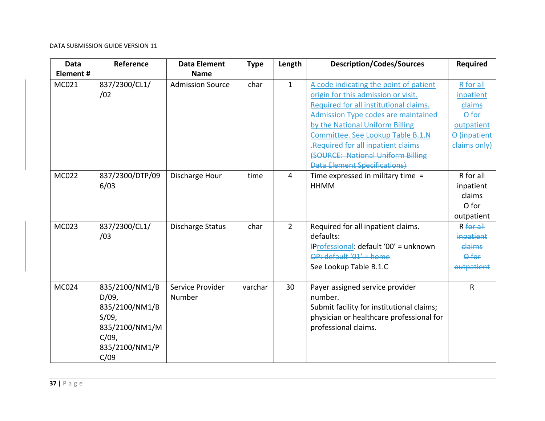| <b>Data</b><br>Element# | Reference                                                                                                        | <b>Data Element</b><br><b>Name</b> | <b>Type</b> | Length         | <b>Description/Codes/Sources</b>                                                                                                                                                                                                                                                                                                                               | <b>Required</b>                                                                         |
|-------------------------|------------------------------------------------------------------------------------------------------------------|------------------------------------|-------------|----------------|----------------------------------------------------------------------------------------------------------------------------------------------------------------------------------------------------------------------------------------------------------------------------------------------------------------------------------------------------------------|-----------------------------------------------------------------------------------------|
| MC021                   | 837/2300/CL1/<br>/02                                                                                             | <b>Admission Source</b>            | char        | $\mathbf{1}$   | A code indicating the point of patient<br>origin for this admission or visit.<br>Required for all institutional claims.<br><b>Admission Type codes are maintained</b><br>by the National Uniform Billing<br>Committee. See Lookup Table B.1.N<br>Required for all inpatient claims<br>(SOURCE: National Uniform Billing<br><b>Data Element Specifications)</b> | R for all<br>inpatient<br>claims<br>O for<br>outpatient<br>O (inpatient<br>claims only) |
| MC022                   | 837/2300/DTP/09<br>6/03                                                                                          | Discharge Hour                     | time        | $\overline{4}$ | Time expressed in military time $=$<br><b>HHMM</b>                                                                                                                                                                                                                                                                                                             | R for all<br>inpatient<br>claims<br>O for<br>outpatient                                 |
| MC023                   | 837/2300/CL1/<br>/03                                                                                             | <b>Discharge Status</b>            | char        | $\overline{2}$ | Required for all inpatient claims.<br>defaults:<br>+Professional: default '00' = unknown<br>OP: default '01' = home<br>See Lookup Table B.1.C                                                                                                                                                                                                                  | $R$ for $aH$<br>inpatient<br>claims<br>Ofor<br>outpatient                               |
| MC024                   | 835/2100/NM1/B<br>$D/09$ ,<br>835/2100/NM1/B<br>$S/09$ ,<br>835/2100/NM1/M<br>$C/09$ ,<br>835/2100/NM1/P<br>C/09 | Service Provider<br>Number         | varchar     | 30             | Payer assigned service provider<br>number.<br>Submit facility for institutional claims;<br>physician or healthcare professional for<br>professional claims.                                                                                                                                                                                                    | $\mathsf{R}$                                                                            |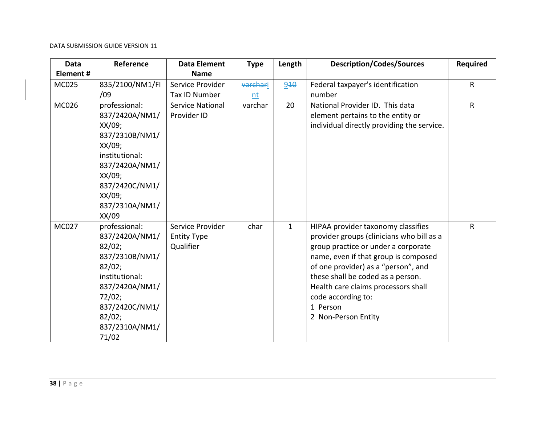| <b>Data</b>  | Reference                | <b>Data Element</b>     | <b>Type</b> | Length       | <b>Description/Codes/Sources</b>                                         | <b>Required</b> |
|--------------|--------------------------|-------------------------|-------------|--------------|--------------------------------------------------------------------------|-----------------|
| Element#     |                          | <b>Name</b>             |             |              |                                                                          |                 |
| MC025        | 835/2100/NM1/FI          | Service Provider        | varchari    | 940          | Federal taxpayer's identification                                        | $\mathsf{R}$    |
|              | /09                      | Tax ID Number           | nt          |              | number                                                                   |                 |
| <b>MC026</b> | professional:            | <b>Service National</b> | varchar     | 20           | National Provider ID. This data                                          | $\mathsf{R}$    |
|              | 837/2420A/NM1/           | Provider ID             |             |              | element pertains to the entity or                                        |                 |
|              | XX/09;                   |                         |             |              | individual directly providing the service.                               |                 |
|              | 837/2310B/NM1/           |                         |             |              |                                                                          |                 |
|              | XX/09;                   |                         |             |              |                                                                          |                 |
|              | institutional:           |                         |             |              |                                                                          |                 |
|              | 837/2420A/NM1/           |                         |             |              |                                                                          |                 |
|              | XX/09;                   |                         |             |              |                                                                          |                 |
|              | 837/2420C/NM1/           |                         |             |              |                                                                          |                 |
|              | XX/09;                   |                         |             |              |                                                                          |                 |
|              | 837/2310A/NM1/           |                         |             |              |                                                                          |                 |
|              | XX/09                    |                         |             |              |                                                                          |                 |
| MC027        | professional:            | Service Provider        | char        | $\mathbf{1}$ | HIPAA provider taxonomy classifies                                       | $\mathsf{R}$    |
|              | 837/2420A/NM1/           | <b>Entity Type</b>      |             |              | provider groups (clinicians who bill as a                                |                 |
|              | 82/02;                   | Qualifier               |             |              | group practice or under a corporate                                      |                 |
|              | 837/2310B/NM1/           |                         |             |              | name, even if that group is composed                                     |                 |
|              | 82/02;<br>institutional: |                         |             |              | of one provider) as a "person", and<br>these shall be coded as a person. |                 |
|              | 837/2420A/NM1/           |                         |             |              | Health care claims processors shall                                      |                 |
|              | 72/02;                   |                         |             |              | code according to:                                                       |                 |
|              | 837/2420C/NM1/           |                         |             |              | 1 Person                                                                 |                 |
|              | 82/02;                   |                         |             |              | 2 Non-Person Entity                                                      |                 |
|              | 837/2310A/NM1/           |                         |             |              |                                                                          |                 |
|              | 71/02                    |                         |             |              |                                                                          |                 |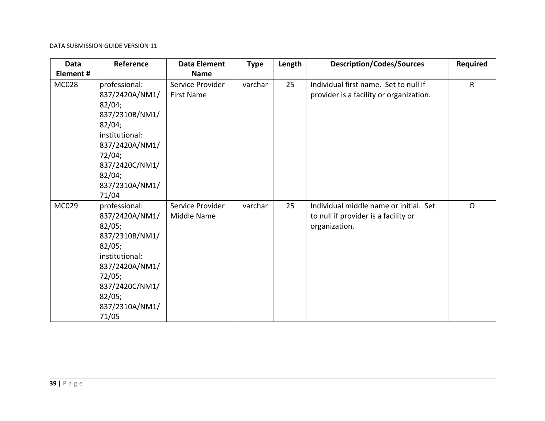| <b>Data</b>  | Reference                                                                                                                                                                  | <b>Data Element</b>                   | <b>Type</b> | Length | <b>Description/Codes/Sources</b>                                                                | <b>Required</b> |
|--------------|----------------------------------------------------------------------------------------------------------------------------------------------------------------------------|---------------------------------------|-------------|--------|-------------------------------------------------------------------------------------------------|-----------------|
| Element#     |                                                                                                                                                                            | <b>Name</b>                           |             |        |                                                                                                 |                 |
| <b>MC028</b> | professional:<br>837/2420A/NM1/<br>82/04;<br>837/2310B/NM1/<br>82/04;<br>institutional:<br>837/2420A/NM1/<br>72/04;<br>837/2420C/NM1/<br>82/04;<br>837/2310A/NM1/<br>71/04 | Service Provider<br><b>First Name</b> | varchar     | 25     | Individual first name. Set to null if<br>provider is a facility or organization.                | R               |
| MC029        | professional:<br>837/2420A/NM1/<br>82/05;<br>837/2310B/NM1/<br>82/05;<br>institutional:<br>837/2420A/NM1/<br>72/05;<br>837/2420C/NM1/<br>82/05;<br>837/2310A/NM1/<br>71/05 | Service Provider<br>Middle Name       | varchar     | 25     | Individual middle name or initial. Set<br>to null if provider is a facility or<br>organization. | $\mathsf{O}$    |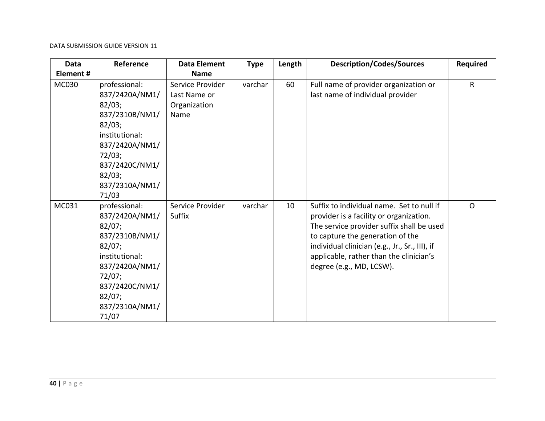| <b>Data</b>  | Reference                                                                                                                                                                  | <b>Data Element</b>                                      | <b>Type</b> | Length | <b>Description/Codes/Sources</b>                                                                                                                                                                                                                                                               | <b>Required</b> |
|--------------|----------------------------------------------------------------------------------------------------------------------------------------------------------------------------|----------------------------------------------------------|-------------|--------|------------------------------------------------------------------------------------------------------------------------------------------------------------------------------------------------------------------------------------------------------------------------------------------------|-----------------|
| Element#     |                                                                                                                                                                            | <b>Name</b>                                              |             |        |                                                                                                                                                                                                                                                                                                |                 |
| <b>MC030</b> | professional:<br>837/2420A/NM1/<br>82/03;<br>837/2310B/NM1/<br>82/03;<br>institutional:<br>837/2420A/NM1/<br>72/03;<br>837/2420C/NM1/<br>82/03;<br>837/2310A/NM1/<br>71/03 | Service Provider<br>Last Name or<br>Organization<br>Name | varchar     | 60     | Full name of provider organization or<br>last name of individual provider                                                                                                                                                                                                                      | R               |
| MC031        | professional:<br>837/2420A/NM1/<br>82/07;<br>837/2310B/NM1/<br>82/07;<br>institutional:<br>837/2420A/NM1/<br>72/07;<br>837/2420C/NM1/<br>82/07;<br>837/2310A/NM1/<br>71/07 | Service Provider<br>Suffix                               | varchar     | 10     | Suffix to individual name. Set to null if<br>provider is a facility or organization.<br>The service provider suffix shall be used<br>to capture the generation of the<br>individual clinician (e.g., Jr., Sr., III), if<br>applicable, rather than the clinician's<br>degree (e.g., MD, LCSW). | $\mathsf{O}$    |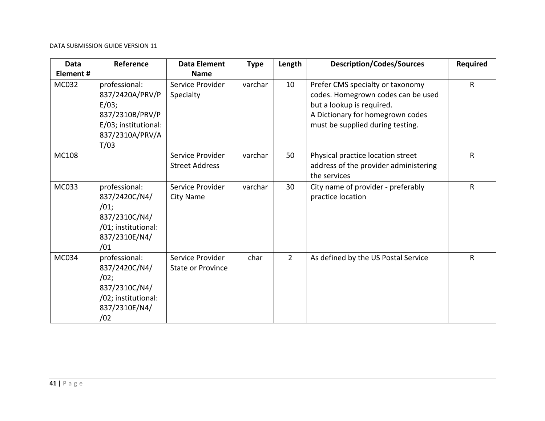| <b>Data</b> | Reference                                                                                                       | <b>Data Element</b>                          | <b>Type</b> | Length         | <b>Description/Codes/Sources</b>                                                                                                                                            | <b>Required</b> |
|-------------|-----------------------------------------------------------------------------------------------------------------|----------------------------------------------|-------------|----------------|-----------------------------------------------------------------------------------------------------------------------------------------------------------------------------|-----------------|
| Element #   |                                                                                                                 | <b>Name</b>                                  |             |                |                                                                                                                                                                             |                 |
| MC032       | professional:<br>837/2420A/PRV/P<br>E/03;<br>837/2310B/PRV/P<br>E/03; institutional:<br>837/2310A/PRV/A<br>T/03 | Service Provider<br>Specialty                | varchar     | 10             | Prefer CMS specialty or taxonomy<br>codes. Homegrown codes can be used<br>but a lookup is required.<br>A Dictionary for homegrown codes<br>must be supplied during testing. | $\mathsf{R}$    |
| MC108       |                                                                                                                 | Service Provider<br><b>Street Address</b>    | varchar     | 50             | Physical practice location street<br>address of the provider administering<br>the services                                                                                  | R               |
| MC033       | professional:<br>837/2420C/N4/<br>/01;<br>837/2310C/N4/<br>/01; institutional:<br>837/2310E/N4/<br>/01          | Service Provider<br><b>City Name</b>         | varchar     | 30             | City name of provider - preferably<br>practice location                                                                                                                     | R               |
| MC034       | professional:<br>837/2420C/N4/<br>/02;<br>837/2310C/N4/<br>/02; institutional:<br>837/2310E/N4/<br>/02          | Service Provider<br><b>State or Province</b> | char        | $\overline{2}$ | As defined by the US Postal Service                                                                                                                                         | R               |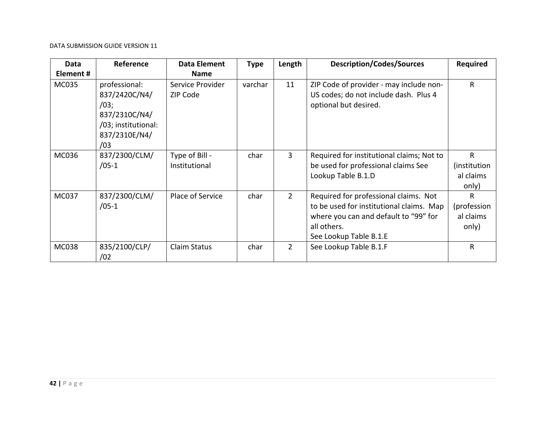| Data<br>Element# | Reference                                                                                              | <b>Data Element</b><br><b>Name</b> | <b>Type</b> | Length      | <b>Description/Codes/Sources</b>                                                                                                                                    | <b>Required</b>                         |
|------------------|--------------------------------------------------------------------------------------------------------|------------------------------------|-------------|-------------|---------------------------------------------------------------------------------------------------------------------------------------------------------------------|-----------------------------------------|
| <b>MC035</b>     | professional:<br>837/2420C/N4/<br>/03;<br>837/2310C/N4/<br>/03; institutional:<br>837/2310E/N4/<br>/03 | Service Provider<br>ZIP Code       | varchar     | 11          | ZIP Code of provider - may include non-<br>US codes; do not include dash. Plus 4<br>optional but desired.                                                           | $\mathsf{R}$                            |
| MC036            | 837/2300/CLM/<br>$/05-1$                                                                               | Type of Bill -<br>Institutional    | char        | 3           | Required for institutional claims; Not to<br>be used for professional claims See<br>Lookup Table B.1.D                                                              | R<br>(institution<br>al claims<br>only) |
| <b>MC037</b>     | 837/2300/CLM/<br>$/05-1$                                                                               | Place of Service                   | char        | $2^{\circ}$ | Required for professional claims. Not<br>to be used for institutional claims. Map<br>where you can and default to "99" for<br>all others.<br>See Lookup Table B.1.E | R<br>(profession<br>al claims<br>only)  |
| <b>MC038</b>     | 835/2100/CLP/<br>/02                                                                                   | Claim Status                       | char        | $2^{\circ}$ | See Lookup Table B.1.F                                                                                                                                              | $\mathsf{R}$                            |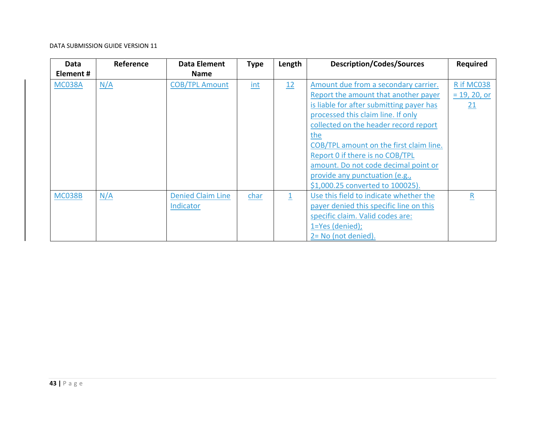| Data          | Reference | <b>Data Element</b>      | <b>Type</b> | Length | <b>Description/Codes/Sources</b>         | <b>Required</b> |
|---------------|-----------|--------------------------|-------------|--------|------------------------------------------|-----------------|
| Element#      |           | <b>Name</b>              |             |        |                                          |                 |
| <b>MC038A</b> | N/A       | <b>COB/TPL Amount</b>    | int         | 12     | Amount due from a secondary carrier.     | R if MC038      |
|               |           |                          |             |        | Report the amount that another payer     | $= 19, 20, or$  |
|               |           |                          |             |        | is liable for after submitting payer has | 21              |
|               |           |                          |             |        | processed this claim line. If only       |                 |
|               |           |                          |             |        | collected on the header record report    |                 |
|               |           |                          |             |        | the                                      |                 |
|               |           |                          |             |        | COB/TPL amount on the first claim line.  |                 |
|               |           |                          |             |        | Report 0 if there is no COB/TPL          |                 |
|               |           |                          |             |        | amount. Do not code decimal point or     |                 |
|               |           |                          |             |        | provide any punctuation (e.g.,           |                 |
|               |           |                          |             |        | \$1,000.25 converted to 100025).         |                 |
| <b>MC038B</b> | N/A       | <b>Denied Claim Line</b> | char        | 1      | Use this field to indicate whether the   | $\mathsf{R}$    |
|               |           | Indicator                |             |        | payer denied this specific line on this  |                 |
|               |           |                          |             |        | specific claim. Valid codes are:         |                 |
|               |           |                          |             |        | 1=Yes (denied);                          |                 |
|               |           |                          |             |        | 2= No (not denied).                      |                 |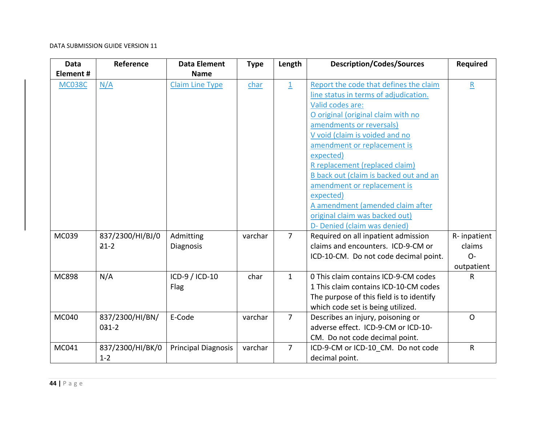| <b>Data</b>   | Reference        | <b>Data Element</b>        | <b>Type</b> | Length         | <b>Description/Codes/Sources</b>         | Required        |
|---------------|------------------|----------------------------|-------------|----------------|------------------------------------------|-----------------|
| Element#      |                  | <b>Name</b>                |             |                |                                          |                 |
| <b>MC038C</b> | N/A              | <b>Claim Line Type</b>     | char        | $\overline{1}$ | Report the code that defines the claim   | $\underline{R}$ |
|               |                  |                            |             |                | line status in terms of adjudication.    |                 |
|               |                  |                            |             |                | Valid codes are:                         |                 |
|               |                  |                            |             |                | O original (original claim with no       |                 |
|               |                  |                            |             |                | amendments or reversals)                 |                 |
|               |                  |                            |             |                | V void (claim is voided and no           |                 |
|               |                  |                            |             |                | amendment or replacement is              |                 |
|               |                  |                            |             |                | expected)                                |                 |
|               |                  |                            |             |                | R replacement (replaced claim)           |                 |
|               |                  |                            |             |                | B back out (claim is backed out and an   |                 |
|               |                  |                            |             |                | amendment or replacement is              |                 |
|               |                  |                            |             |                | expected)                                |                 |
|               |                  |                            |             |                | A amendment (amended claim after         |                 |
|               |                  |                            |             |                | original claim was backed out)           |                 |
|               |                  |                            |             |                | D- Denied (claim was denied)             |                 |
| MC039         | 837/2300/HI/BJ/0 | Admitting                  | varchar     | $\overline{7}$ | Required on all inpatient admission      | R-inpatient     |
|               | $21-2$           | Diagnosis                  |             |                | claims and encounters. ICD-9-CM or       | claims          |
|               |                  |                            |             |                | ICD-10-CM. Do not code decimal point.    | $O -$           |
|               |                  |                            |             |                |                                          | outpatient      |
| <b>MC898</b>  | N/A              | ICD-9 / ICD-10             | char        | $\mathbf{1}$   | 0 This claim contains ICD-9-CM codes     | R               |
|               |                  | Flag                       |             |                | 1 This claim contains ICD-10-CM codes    |                 |
|               |                  |                            |             |                | The purpose of this field is to identify |                 |
|               |                  |                            |             |                | which code set is being utilized.        |                 |
| MC040         | 837/2300/HI/BN/  | E-Code                     | varchar     | $\overline{7}$ | Describes an injury, poisoning or        | $\mathsf{O}$    |
|               | $031-2$          |                            |             |                | adverse effect. ICD-9-CM or ICD-10-      |                 |
|               |                  |                            |             |                | CM. Do not code decimal point.           |                 |
| MC041         | 837/2300/HI/BK/0 | <b>Principal Diagnosis</b> | varchar     | $\overline{7}$ | ICD-9-CM or ICD-10 CM. Do not code       | $\mathsf{R}$    |
|               | $1 - 2$          |                            |             |                | decimal point.                           |                 |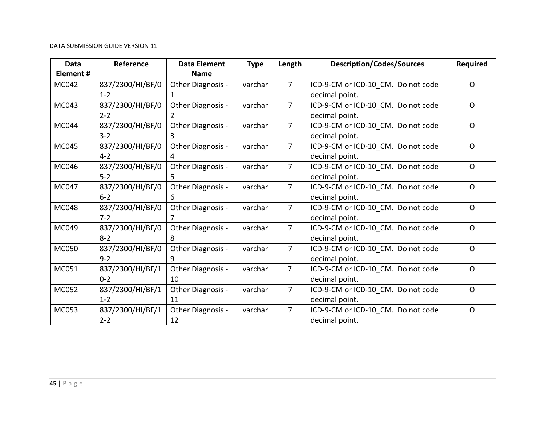| <b>Data</b>  | Reference        | <b>Data Element</b> | <b>Type</b> | Length         | <b>Description/Codes/Sources</b>   | <b>Required</b> |
|--------------|------------------|---------------------|-------------|----------------|------------------------------------|-----------------|
| Element#     |                  | <b>Name</b>         |             |                |                                    |                 |
| MC042        | 837/2300/HI/BF/0 | Other Diagnosis -   | varchar     | $\overline{7}$ | ICD-9-CM or ICD-10_CM. Do not code | $\Omega$        |
|              | $1 - 2$          |                     |             |                | decimal point.                     |                 |
| MC043        | 837/2300/HI/BF/0 | Other Diagnosis -   | varchar     | $\overline{7}$ | ICD-9-CM or ICD-10_CM. Do not code | $\Omega$        |
|              | $2 - 2$          | 2                   |             |                | decimal point.                     |                 |
| MC044        | 837/2300/HI/BF/0 | Other Diagnosis -   | varchar     | $\overline{7}$ | ICD-9-CM or ICD-10 CM. Do not code | $\Omega$        |
|              | $3 - 2$          | 3.                  |             |                | decimal point.                     |                 |
| MC045        | 837/2300/HI/BF/0 | Other Diagnosis -   | varchar     | $\overline{7}$ | ICD-9-CM or ICD-10 CM. Do not code | $\Omega$        |
|              | $4 - 2$          | 4                   |             |                | decimal point.                     |                 |
| <b>MC046</b> | 837/2300/HI/BF/0 | Other Diagnosis -   | varchar     | $\overline{7}$ | ICD-9-CM or ICD-10 CM. Do not code | $\Omega$        |
|              | $5 - 2$          | 5.                  |             |                | decimal point.                     |                 |
| <b>MC047</b> | 837/2300/HI/BF/0 | Other Diagnosis -   | varchar     | $\overline{7}$ | ICD-9-CM or ICD-10 CM. Do not code | $\Omega$        |
|              | $6 - 2$          | 6                   |             |                | decimal point.                     |                 |
| <b>MC048</b> | 837/2300/HI/BF/0 | Other Diagnosis -   | varchar     | $\overline{7}$ | ICD-9-CM or ICD-10_CM. Do not code | $\Omega$        |
|              | $7 - 2$          |                     |             |                | decimal point.                     |                 |
| MC049        | 837/2300/HI/BF/0 | Other Diagnosis -   | varchar     | $\overline{7}$ | ICD-9-CM or ICD-10 CM. Do not code | $\mathsf{O}$    |
|              | $8 - 2$          | 8                   |             |                | decimal point.                     |                 |
| <b>MC050</b> | 837/2300/HI/BF/0 | Other Diagnosis -   | varchar     | $\overline{7}$ | ICD-9-CM or ICD-10 CM. Do not code | $\mathsf{O}$    |
|              | $9 - 2$          | 9                   |             |                | decimal point.                     |                 |
| MC051        | 837/2300/HI/BF/1 | Other Diagnosis -   | varchar     | $\overline{7}$ | ICD-9-CM or ICD-10_CM. Do not code | $\Omega$        |
|              | $0 - 2$          | 10                  |             |                | decimal point.                     |                 |
| MC052        | 837/2300/HI/BF/1 | Other Diagnosis -   | varchar     | $\overline{7}$ | ICD-9-CM or ICD-10_CM. Do not code | $\Omega$        |
|              | $1 - 2$          | 11                  |             |                | decimal point.                     |                 |
| MC053        | 837/2300/HI/BF/1 | Other Diagnosis -   | varchar     | $\overline{7}$ | ICD-9-CM or ICD-10 CM. Do not code | $\Omega$        |
|              | $2 - 2$          | 12                  |             |                | decimal point.                     |                 |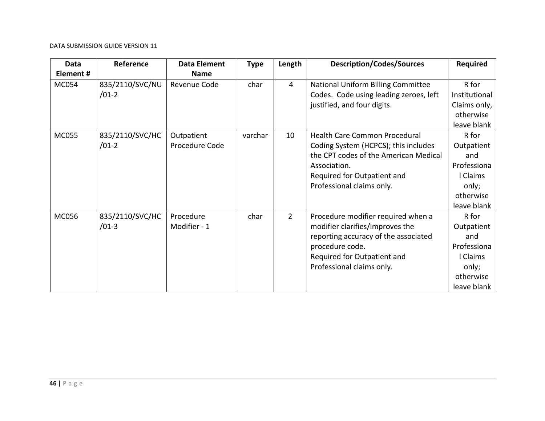| Data         | Reference                  | <b>Data Element</b> | <b>Type</b> | Length         | <b>Description/Codes/Sources</b>                                             | <b>Required</b>        |
|--------------|----------------------------|---------------------|-------------|----------------|------------------------------------------------------------------------------|------------------------|
| Element#     |                            | <b>Name</b>         |             |                |                                                                              |                        |
| MC054        | 835/2110/SVC/NU<br>$/01-2$ | Revenue Code        | char        | 4              | National Uniform Billing Committee<br>Codes. Code using leading zeroes, left | R for<br>Institutional |
|              |                            |                     |             |                | justified, and four digits.                                                  | Claims only,           |
|              |                            |                     |             |                |                                                                              | otherwise              |
|              |                            |                     |             |                |                                                                              | leave blank            |
| <b>MC055</b> | 835/2110/SVC/HC            | Outpatient          | varchar     | 10             | Health Care Common Procedural                                                | R for                  |
|              | $/01-2$                    | Procedure Code      |             |                | Coding System (HCPCS); this includes                                         | Outpatient             |
|              |                            |                     |             |                | the CPT codes of the American Medical                                        | and                    |
|              |                            |                     |             |                | Association.                                                                 | Professiona            |
|              |                            |                     |             |                | Required for Outpatient and                                                  | l Claims               |
|              |                            |                     |             |                | Professional claims only.                                                    | only;                  |
|              |                            |                     |             |                |                                                                              | otherwise              |
|              |                            |                     |             |                |                                                                              | leave blank            |
| <b>MC056</b> | 835/2110/SVC/HC            | Procedure           | char        | $\overline{2}$ | Procedure modifier required when a                                           | R for                  |
|              | $/01-3$                    | Modifier - 1        |             |                | modifier clarifies/improves the                                              | Outpatient             |
|              |                            |                     |             |                | reporting accuracy of the associated                                         | and                    |
|              |                            |                     |             |                | procedure code.                                                              | Professiona            |
|              |                            |                     |             |                | Required for Outpatient and                                                  | l Claims               |
|              |                            |                     |             |                | Professional claims only.                                                    | only;                  |
|              |                            |                     |             |                |                                                                              | otherwise              |
|              |                            |                     |             |                |                                                                              | leave blank            |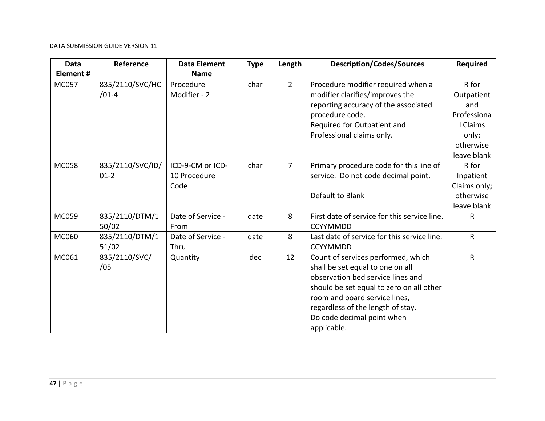| <b>Data</b>  | Reference                  | <b>Data Element</b>                      | <b>Type</b> | Length         | <b>Description/Codes/Sources</b>                                                                                                                                                                                                                                           | <b>Required</b>                                                             |
|--------------|----------------------------|------------------------------------------|-------------|----------------|----------------------------------------------------------------------------------------------------------------------------------------------------------------------------------------------------------------------------------------------------------------------------|-----------------------------------------------------------------------------|
| Element#     |                            | <b>Name</b>                              |             |                |                                                                                                                                                                                                                                                                            |                                                                             |
| <b>MC057</b> | 835/2110/SVC/HC<br>$/01-4$ | Procedure<br>Modifier - 2                | char        | $\overline{2}$ | Procedure modifier required when a<br>modifier clarifies/improves the<br>reporting accuracy of the associated<br>procedure code.<br>Required for Outpatient and<br>Professional claims only.                                                                               | R for<br>Outpatient<br>and<br>Professiona<br>I Claims<br>only;<br>otherwise |
|              |                            |                                          |             |                |                                                                                                                                                                                                                                                                            | leave blank                                                                 |
| <b>MC058</b> | 835/2110/SVC/ID/<br>$01-2$ | ICD-9-CM or ICD-<br>10 Procedure<br>Code | char        | $\overline{7}$ | Primary procedure code for this line of<br>service. Do not code decimal point.<br>Default to Blank                                                                                                                                                                         | R for<br>Inpatient<br>Claims only;<br>otherwise<br>leave blank              |
| MC059        | 835/2110/DTM/1<br>50/02    | Date of Service -<br>From                | date        | 8              | First date of service for this service line.<br><b>CCYYMMDD</b>                                                                                                                                                                                                            | R.                                                                          |
| MC060        | 835/2110/DTM/1<br>51/02    | Date of Service -<br>Thru                | date        | 8              | Last date of service for this service line.<br><b>CCYYMMDD</b>                                                                                                                                                                                                             | R                                                                           |
| MC061        | 835/2110/SVC/<br>/05       | Quantity                                 | dec         | 12             | Count of services performed, which<br>shall be set equal to one on all<br>observation bed service lines and<br>should be set equal to zero on all other<br>room and board service lines,<br>regardless of the length of stay.<br>Do code decimal point when<br>applicable. | $\mathsf R$                                                                 |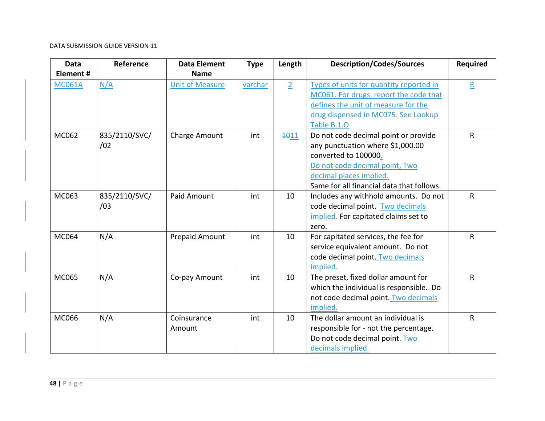| <b>Data</b><br>Element# | Reference            | <b>Data Element</b><br><b>Name</b> | <b>Type</b> | Length         | <b>Description/Codes/Sources</b>                                                                                                                                                                           | <b>Required</b> |
|-------------------------|----------------------|------------------------------------|-------------|----------------|------------------------------------------------------------------------------------------------------------------------------------------------------------------------------------------------------------|-----------------|
| <b>MC061A</b>           | N/A                  | <b>Unit of Measure</b>             | varchar     | $\overline{2}$ | Types of units for quantity reported in<br>MC061. For drugs, report the code that<br>defines the unit of measure for the<br>drug dispensed in MC075. See Lookup<br>Table B.1.O                             | $\mathbf{R}$    |
| MC062                   | 835/2110/SVC/<br>/02 | Charge Amount                      | int         | 4011           | Do not code decimal point or provide<br>any punctuation where \$1,000.00<br>converted to 100000.<br>Do not code decimal point, Two<br>decimal places implied.<br>Same for all financial data that follows. | $\mathsf{R}$    |
| MC063                   | 835/2110/SVC/<br>/03 | Paid Amount                        | int         | 10             | Includes any withhold amounts. Do not<br>code decimal point. Two decimals<br>implied. For capitated claims set to<br>zero.                                                                                 | ${\sf R}$       |
| MC064                   | N/A                  | <b>Prepaid Amount</b>              | int         | 10             | For capitated services, the fee for<br>service equivalent amount. Do not<br>code decimal point. Two decimals<br>implied.                                                                                   | R               |
| MC065                   | N/A                  | Co-pay Amount                      | int         | 10             | The preset, fixed dollar amount for<br>which the individual is responsible. Do<br>not code decimal point. Two decimals<br>implied.                                                                         | $\mathsf{R}$    |
| MC066                   | N/A                  | Coinsurance<br>Amount              | int         | 10             | The dollar amount an individual is<br>responsible for - not the percentage.<br>Do not code decimal point. Two<br>decimals implied.                                                                         | $\mathsf{R}$    |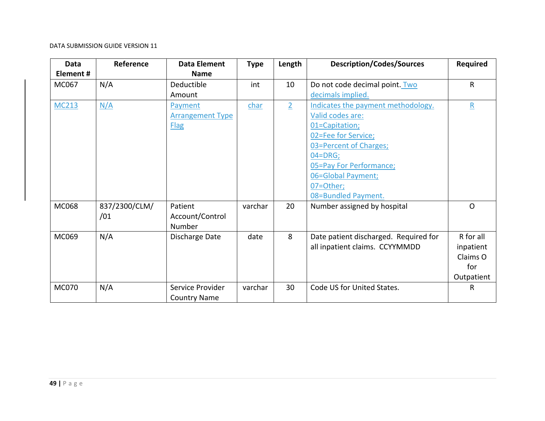| <b>Data</b>  | Reference     | <b>Data Element</b>     | <b>Type</b> | Length         | <b>Description/Codes/Sources</b>      | <b>Required</b> |
|--------------|---------------|-------------------------|-------------|----------------|---------------------------------------|-----------------|
| Element#     |               | <b>Name</b>             |             |                |                                       |                 |
| MC067        | N/A           | Deductible              | int         | 10             | Do not code decimal point. Two        | $\mathsf{R}$    |
|              |               | Amount                  |             |                | decimals implied.                     |                 |
| MC213        | N/A           | Payment                 | char        | $\overline{2}$ | Indicates the payment methodology.    | $\mathsf{R}$    |
|              |               | <b>Arrangement Type</b> |             |                | Valid codes are:                      |                 |
|              |               | <b>Flag</b>             |             |                | 01=Capitation;                        |                 |
|              |               |                         |             |                | 02=Fee for Service;                   |                 |
|              |               |                         |             |                | 03=Percent of Charges;                |                 |
|              |               |                         |             |                | $04 = DRG;$                           |                 |
|              |               |                         |             |                | 05=Pay For Performance;               |                 |
|              |               |                         |             |                | 06=Global Payment;                    |                 |
|              |               |                         |             |                | 07=Other;                             |                 |
|              |               |                         |             |                | 08=Bundled Payment.                   |                 |
| MC068        | 837/2300/CLM/ | Patient                 | varchar     | 20             | Number assigned by hospital           | $\Omega$        |
|              | /01           | Account/Control         |             |                |                                       |                 |
|              |               | Number                  |             |                |                                       |                 |
| MC069        | N/A           | Discharge Date          | date        | 8              | Date patient discharged. Required for | R for all       |
|              |               |                         |             |                | all inpatient claims. CCYYMMDD        | inpatient       |
|              |               |                         |             |                |                                       | Claims O        |
|              |               |                         |             |                |                                       | for             |
|              |               |                         |             |                |                                       | Outpatient      |
| <b>MC070</b> | N/A           | Service Provider        | varchar     | 30             | Code US for United States.            | R               |
|              |               | <b>Country Name</b>     |             |                |                                       |                 |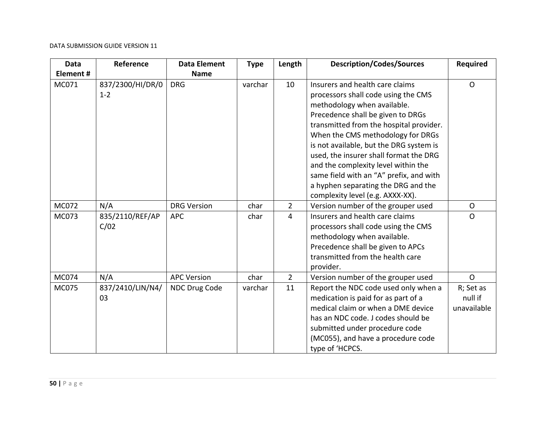| Data         | Reference        | <b>Data Element</b> | <b>Type</b> | Length         | <b>Description/Codes/Sources</b>        | Required       |
|--------------|------------------|---------------------|-------------|----------------|-----------------------------------------|----------------|
| Element#     |                  | <b>Name</b>         |             |                |                                         |                |
| MC071        | 837/2300/HI/DR/0 | <b>DRG</b>          | varchar     | 10             | Insurers and health care claims         | $\Omega$       |
|              | $1 - 2$          |                     |             |                | processors shall code using the CMS     |                |
|              |                  |                     |             |                | methodology when available.             |                |
|              |                  |                     |             |                | Precedence shall be given to DRGs       |                |
|              |                  |                     |             |                | transmitted from the hospital provider. |                |
|              |                  |                     |             |                | When the CMS methodology for DRGs       |                |
|              |                  |                     |             |                | is not available, but the DRG system is |                |
|              |                  |                     |             |                | used, the insurer shall format the DRG  |                |
|              |                  |                     |             |                | and the complexity level within the     |                |
|              |                  |                     |             |                | same field with an "A" prefix, and with |                |
|              |                  |                     |             |                | a hyphen separating the DRG and the     |                |
|              |                  |                     |             |                | complexity level (e.g. AXXX-XX).        |                |
| <b>MC072</b> | N/A              | <b>DRG Version</b>  | char        | $\overline{2}$ | Version number of the grouper used      | $\Omega$       |
| <b>MC073</b> | 835/2110/REF/AP  | <b>APC</b>          | char        | $\overline{4}$ | Insurers and health care claims         | $\mathsf{O}$   |
|              | C/02             |                     |             |                | processors shall code using the CMS     |                |
|              |                  |                     |             |                | methodology when available.             |                |
|              |                  |                     |             |                | Precedence shall be given to APCs       |                |
|              |                  |                     |             |                | transmitted from the health care        |                |
|              |                  |                     |             |                | provider.                               |                |
| <b>MC074</b> | N/A              | <b>APC Version</b>  | char        | $\overline{2}$ | Version number of the grouper used      | $\overline{O}$ |
| <b>MC075</b> | 837/2410/LIN/N4/ | NDC Drug Code       | varchar     | 11             | Report the NDC code used only when a    | R; Set as      |
|              | 03               |                     |             |                | medication is paid for as part of a     | null if        |
|              |                  |                     |             |                | medical claim or when a DME device      | unavailable    |
|              |                  |                     |             |                | has an NDC code. J codes should be      |                |
|              |                  |                     |             |                | submitted under procedure code          |                |
|              |                  |                     |             |                | (MC055), and have a procedure code      |                |
|              |                  |                     |             |                | type of 'HCPCS.                         |                |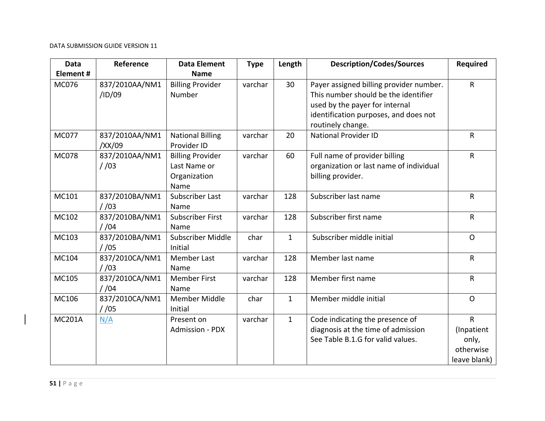| <b>Data</b>   | Reference                 | <b>Data Element</b>                                             | <b>Type</b> | Length       | <b>Description/Codes/Sources</b>                                                                                                                                                | Required                                              |
|---------------|---------------------------|-----------------------------------------------------------------|-------------|--------------|---------------------------------------------------------------------------------------------------------------------------------------------------------------------------------|-------------------------------------------------------|
| Element#      |                           | <b>Name</b>                                                     |             |              |                                                                                                                                                                                 |                                                       |
| <b>MC076</b>  | 837/2010AA/NM1<br>/ID/09  | <b>Billing Provider</b><br>Number                               | varchar     | 30           | Payer assigned billing provider number.<br>This number should be the identifier<br>used by the payer for internal<br>identification purposes, and does not<br>routinely change. | R                                                     |
| <b>MC077</b>  | 837/2010AA/NM1<br>/XX/09  | <b>National Billing</b><br>Provider ID                          | varchar     | 20           | <b>National Provider ID</b>                                                                                                                                                     | ${\sf R}$                                             |
| <b>MC078</b>  | 837/2010AA/NM1<br>1/03    | <b>Billing Provider</b><br>Last Name or<br>Organization<br>Name | varchar     | 60           | Full name of provider billing<br>organization or last name of individual<br>billing provider.                                                                                   | $\sf R$                                               |
| MC101         | 837/2010BA/NM1<br>/ 03    | Subscriber Last<br>Name                                         | varchar     | 128          | Subscriber last name                                                                                                                                                            | R                                                     |
| MC102         | 837/2010BA/NM1<br>/ 104   | <b>Subscriber First</b><br>Name                                 | varchar     | 128          | Subscriber first name                                                                                                                                                           | $\mathsf R$                                           |
| MC103         | 837/2010BA/NM1<br>$/$ /05 | Subscriber Middle<br>Initial                                    | char        | $\mathbf{1}$ | Subscriber middle initial                                                                                                                                                       | $\Omega$                                              |
| MC104         | 837/2010CA/NM1<br>1/03    | <b>Member Last</b><br>Name                                      | varchar     | 128          | Member last name                                                                                                                                                                | $\mathsf R$                                           |
| MC105         | 837/2010CA/NM1<br>$/$ /04 | <b>Member First</b><br>Name                                     | varchar     | 128          | Member first name                                                                                                                                                               | R                                                     |
| MC106         | 837/2010CA/NM1<br>1/05    | Member Middle<br>Initial                                        | char        | $\mathbf{1}$ | Member middle initial                                                                                                                                                           | $\Omega$                                              |
| <b>MC201A</b> | N/A                       | Present on<br><b>Admission - PDX</b>                            | varchar     | $\mathbf{1}$ | Code indicating the presence of<br>diagnosis at the time of admission<br>See Table B.1.G for valid values.                                                                      | R<br>(Inpatient<br>only,<br>otherwise<br>leave blank) |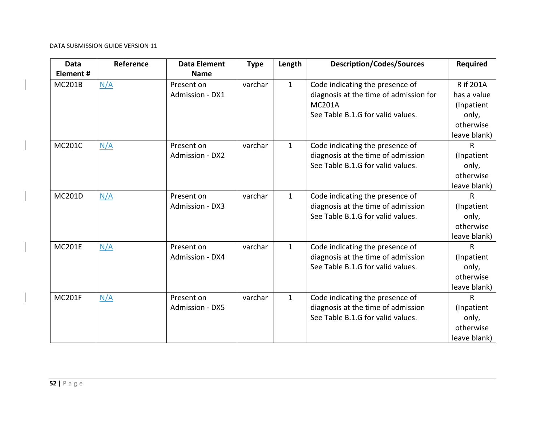| <b>Data</b>   | Reference | <b>Data Element</b>    | <b>Type</b> | Length       | <b>Description/Codes/Sources</b>       | <b>Required</b>  |
|---------------|-----------|------------------------|-------------|--------------|----------------------------------------|------------------|
| Element #     |           | <b>Name</b>            |             |              |                                        |                  |
| <b>MC201B</b> | N/A       | Present on             | varchar     | $\mathbf{1}$ | Code indicating the presence of        | <b>R</b> if 201A |
|               |           | Admission - DX1        |             |              | diagnosis at the time of admission for | has a value      |
|               |           |                        |             |              | <b>MC201A</b>                          | (Inpatient       |
|               |           |                        |             |              | See Table B.1.G for valid values.      | only,            |
|               |           |                        |             |              |                                        | otherwise        |
|               |           |                        |             |              |                                        | leave blank)     |
| <b>MC201C</b> | N/A       | Present on             | varchar     | $\mathbf{1}$ | Code indicating the presence of        | R                |
|               |           | Admission - DX2        |             |              | diagnosis at the time of admission     | (Inpatient       |
|               |           |                        |             |              | See Table B.1.G for valid values.      | only,            |
|               |           |                        |             |              |                                        | otherwise        |
|               |           |                        |             |              |                                        | leave blank)     |
| <b>MC201D</b> | N/A       | Present on             | varchar     | $\mathbf{1}$ | Code indicating the presence of        | $\mathsf{R}$     |
|               |           | Admission - DX3        |             |              | diagnosis at the time of admission     | (Inpatient       |
|               |           |                        |             |              | See Table B.1.G for valid values.      | only,            |
|               |           |                        |             |              |                                        | otherwise        |
|               |           |                        |             |              |                                        | leave blank)     |
| <b>MC201E</b> | N/A       | Present on             | varchar     | $\mathbf{1}$ | Code indicating the presence of        | $\mathsf{R}$     |
|               |           | Admission - DX4        |             |              | diagnosis at the time of admission     | (Inpatient       |
|               |           |                        |             |              | See Table B.1.G for valid values.      | only,            |
|               |           |                        |             |              |                                        | otherwise        |
|               |           |                        |             |              |                                        | leave blank)     |
| <b>MC201F</b> | N/A       | Present on             | varchar     | $\mathbf{1}$ | Code indicating the presence of        | R                |
|               |           | <b>Admission - DX5</b> |             |              | diagnosis at the time of admission     | (Inpatient       |
|               |           |                        |             |              | See Table B.1.G for valid values.      | only,            |
|               |           |                        |             |              |                                        | otherwise        |
|               |           |                        |             |              |                                        | leave blank)     |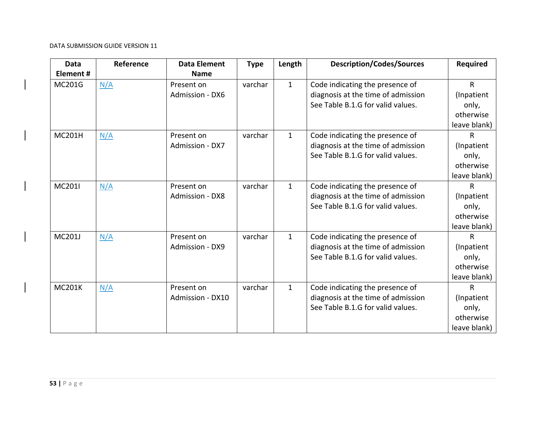| <b>Data</b><br>Element # | Reference | <b>Data Element</b><br><b>Name</b> | <b>Type</b> | Length       | <b>Description/Codes/Sources</b>                                                                           | <b>Required</b>                                                  |
|--------------------------|-----------|------------------------------------|-------------|--------------|------------------------------------------------------------------------------------------------------------|------------------------------------------------------------------|
| <b>MC201G</b>            | N/A       | Present on<br>Admission - DX6      | varchar     | $\mathbf{1}$ | Code indicating the presence of<br>diagnosis at the time of admission<br>See Table B.1.G for valid values. | $\mathsf{R}$<br>(Inpatient<br>only,<br>otherwise<br>leave blank) |
| <b>MC201H</b>            | N/A       | Present on<br>Admission - DX7      | varchar     | $\mathbf{1}$ | Code indicating the presence of<br>diagnosis at the time of admission<br>See Table B.1.G for valid values. | R<br>(Inpatient<br>only,<br>otherwise<br>leave blank)            |
| MC201I                   | N/A       | Present on<br>Admission - DX8      | varchar     | $\mathbf{1}$ | Code indicating the presence of<br>diagnosis at the time of admission<br>See Table B.1.G for valid values. | R<br>(Inpatient<br>only,<br>otherwise<br>leave blank)            |
| <b>MC201J</b>            | N/A       | Present on<br>Admission - DX9      | varchar     | $\mathbf{1}$ | Code indicating the presence of<br>diagnosis at the time of admission<br>See Table B.1.G for valid values. | $\mathsf{R}$<br>(Inpatient<br>only,<br>otherwise<br>leave blank) |
| <b>MC201K</b>            | N/A       | Present on<br>Admission - DX10     | varchar     | $\mathbf{1}$ | Code indicating the presence of<br>diagnosis at the time of admission<br>See Table B.1.G for valid values. | $\mathsf{R}$<br>(Inpatient<br>only,<br>otherwise<br>leave blank) |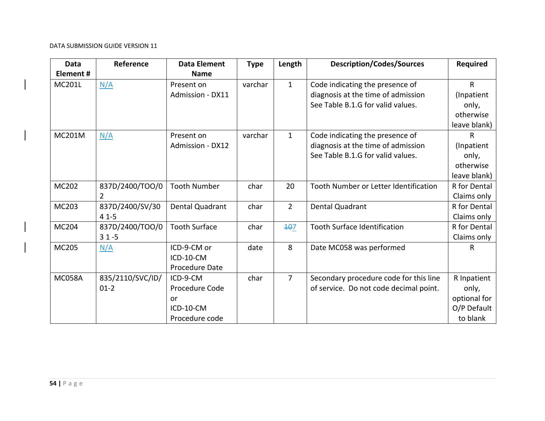| <b>Data</b>   | Reference        | <b>Data Element</b>    | <b>Type</b> | Length         | <b>Description/Codes/Sources</b>       | <b>Required</b> |
|---------------|------------------|------------------------|-------------|----------------|----------------------------------------|-----------------|
| Element#      |                  | <b>Name</b>            |             |                |                                        |                 |
| <b>MC201L</b> | N/A              | Present on             | varchar     | $\mathbf{1}$   | Code indicating the presence of        | $\mathsf{R}$    |
|               |                  | Admission - DX11       |             |                | diagnosis at the time of admission     | (Inpatient      |
|               |                  |                        |             |                | See Table B.1.G for valid values.      | only,           |
|               |                  |                        |             |                |                                        | otherwise       |
|               |                  |                        |             |                |                                        | leave blank)    |
| <b>MC201M</b> | N/A              | Present on             | varchar     | $\mathbf{1}$   | Code indicating the presence of        | R               |
|               |                  | Admission - DX12       |             |                | diagnosis at the time of admission     | (Inpatient      |
|               |                  |                        |             |                | See Table B.1.G for valid values.      | only,           |
|               |                  |                        |             |                |                                        | otherwise       |
|               |                  |                        |             |                |                                        | leave blank)    |
| MC202         | 837D/2400/TOO/0  | <b>Tooth Number</b>    | char        | 20             | Tooth Number or Letter Identification  | R for Dental    |
|               | $\overline{2}$   |                        |             |                |                                        | Claims only     |
| MC203         | 837D/2400/SV/30  | <b>Dental Quadrant</b> | char        | $\overline{2}$ | Dental Quadrant                        | R for Dental    |
|               | $41-5$           |                        |             |                |                                        | Claims only     |
| MC204         | 837D/2400/TOO/0  | <b>Tooth Surface</b>   | char        | 107            | <b>Tooth Surface Identification</b>    | R for Dental    |
|               | $31 - 5$         |                        |             |                |                                        | Claims only     |
| MC205         | N/A              | ICD-9-CM or            | date        | 8              | Date MC058 was performed               | R               |
|               |                  | ICD-10-CM              |             |                |                                        |                 |
|               |                  | Procedure Date         |             |                |                                        |                 |
| <b>MC058A</b> | 835/2110/SVC/ID/ | ICD-9-CM               | char        | $\overline{7}$ | Secondary procedure code for this line | R Inpatient     |
|               | $01 - 2$         | Procedure Code         |             |                | of service. Do not code decimal point. | only,           |
|               |                  | or                     |             |                |                                        | optional for    |
|               |                  | ICD-10-CM              |             |                |                                        | O/P Default     |
|               |                  | Procedure code         |             |                |                                        | to blank        |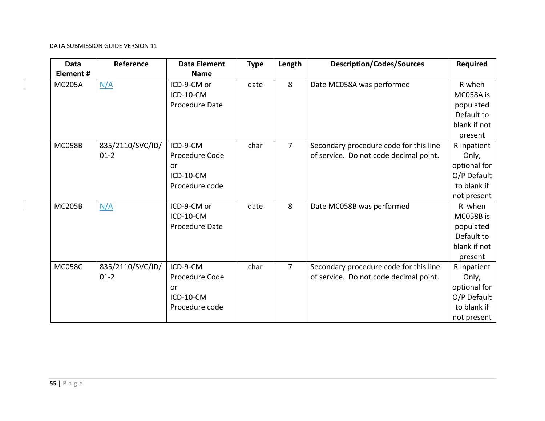| <b>Data</b>     | Reference                  | <b>Data Element</b>                                             | <b>Type</b> | Length         | <b>Description/Codes/Sources</b>                                                 | <b>Required</b>                                                                   |
|-----------------|----------------------------|-----------------------------------------------------------------|-------------|----------------|----------------------------------------------------------------------------------|-----------------------------------------------------------------------------------|
| <b>Element#</b> |                            | <b>Name</b>                                                     |             |                |                                                                                  |                                                                                   |
| <b>MC205A</b>   | N/A                        | ICD-9-CM or<br>ICD-10-CM<br>Procedure Date                      | date        | 8              | Date MC058A was performed                                                        | R when<br>MC058A is<br>populated<br>Default to<br>blank if not<br>present         |
| <b>MC058B</b>   | 835/2110/SVC/ID/<br>$01-2$ | ICD-9-CM<br>Procedure Code<br>or<br>ICD-10-CM<br>Procedure code | char        | $\overline{7}$ | Secondary procedure code for this line<br>of service. Do not code decimal point. | R Inpatient<br>Only,<br>optional for<br>O/P Default<br>to blank if<br>not present |
| <b>MC205B</b>   | N/A                        | ICD-9-CM or<br>ICD-10-CM<br>Procedure Date                      | date        | 8              | Date MC058B was performed                                                        | R when<br>MC058B is<br>populated<br>Default to<br>blank if not<br>present         |
| <b>MC058C</b>   | 835/2110/SVC/ID/<br>$01-2$ | ICD-9-CM<br>Procedure Code<br>or<br>ICD-10-CM<br>Procedure code | char        | $\overline{7}$ | Secondary procedure code for this line<br>of service. Do not code decimal point. | R Inpatient<br>Only,<br>optional for<br>O/P Default<br>to blank if<br>not present |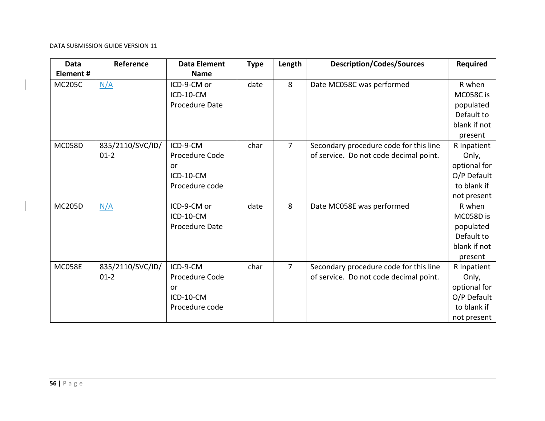| Data          | Reference        | <b>Data Element</b> | <b>Type</b> | Length         | <b>Description/Codes/Sources</b>       | <b>Required</b> |
|---------------|------------------|---------------------|-------------|----------------|----------------------------------------|-----------------|
| Element#      |                  | <b>Name</b>         |             |                |                                        |                 |
| <b>MC205C</b> | N/A              | ICD-9-CM or         | date        | 8              | Date MC058C was performed              | R when          |
|               |                  | ICD-10-CM           |             |                |                                        | MC058C is       |
|               |                  | Procedure Date      |             |                |                                        | populated       |
|               |                  |                     |             |                |                                        | Default to      |
|               |                  |                     |             |                |                                        | blank if not    |
|               |                  |                     |             |                |                                        | present         |
| <b>MC058D</b> | 835/2110/SVC/ID/ | ICD-9-CM            | char        | $\overline{7}$ | Secondary procedure code for this line | R Inpatient     |
|               | $01-2$           | Procedure Code      |             |                | of service. Do not code decimal point. | Only,           |
|               |                  | or                  |             |                |                                        | optional for    |
|               |                  | ICD-10-CM           |             |                |                                        | O/P Default     |
|               |                  | Procedure code      |             |                |                                        | to blank if     |
|               |                  |                     |             |                |                                        | not present     |
| <b>MC205D</b> | N/A              | ICD-9-CM or         | date        | 8              | Date MC058E was performed              | R when          |
|               |                  | ICD-10-CM           |             |                |                                        | MC058D is       |
|               |                  | Procedure Date      |             |                |                                        | populated       |
|               |                  |                     |             |                |                                        | Default to      |
|               |                  |                     |             |                |                                        | blank if not    |
|               |                  |                     |             |                |                                        | present         |
| <b>MC058E</b> | 835/2110/SVC/ID/ | ICD-9-CM            | char        | $\overline{7}$ | Secondary procedure code for this line | R Inpatient     |
|               | $01-2$           | Procedure Code      |             |                | of service. Do not code decimal point. | Only,           |
|               |                  | or                  |             |                |                                        | optional for    |
|               |                  | ICD-10-CM           |             |                |                                        | O/P Default     |
|               |                  | Procedure code      |             |                |                                        | to blank if     |
|               |                  |                     |             |                |                                        | not present     |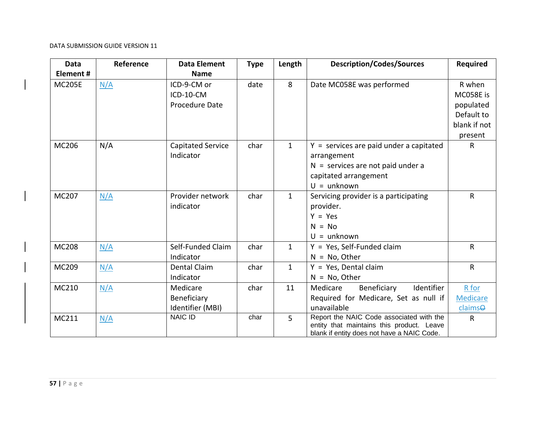| <b>Data</b><br>Element# | Reference | <b>Data Element</b><br><b>Name</b>          | <b>Type</b> | Length         | <b>Description/Codes/Sources</b>                                                                                                          | <b>Required</b>                                                           |
|-------------------------|-----------|---------------------------------------------|-------------|----------------|-------------------------------------------------------------------------------------------------------------------------------------------|---------------------------------------------------------------------------|
| <b>MC205E</b>           | N/A       | ICD-9-CM or<br>ICD-10-CM<br>Procedure Date  | date        | 8              | Date MC058E was performed                                                                                                                 | R when<br>MC058E is<br>populated<br>Default to<br>blank if not<br>present |
| MC206                   | N/A       | <b>Capitated Service</b><br>Indicator       | char        | $\mathbf{1}$   | $Y =$ services are paid under a capitated<br>arrangement<br>$N =$ services are not paid under a<br>capitated arrangement<br>$U =$ unknown | $\mathsf{R}$                                                              |
| MC207                   | N/A       | Provider network<br>indicator               | char        | $\mathbf{1}$   | Servicing provider is a participating<br>provider.<br>$Y = Yes$<br>$N = No$<br>$U =$ unknown                                              | $\mathsf{R}$                                                              |
| <b>MC208</b>            | N/A       | Self-Funded Claim<br>Indicator              | char        | $\mathbf{1}$   | $Y = Yes$ , Self-Funded claim<br>$N = No$ , Other                                                                                         | $\mathsf{R}$                                                              |
| MC209                   | N/A       | Dental Claim<br>Indicator                   | char        | $\mathbf{1}$   | $Y = Yes$ , Dental claim<br>$N = No$ , Other                                                                                              | $\mathsf{R}$                                                              |
| MC210                   | N/A       | Medicare<br>Beneficiary<br>Identifier (MBI) | char        | 11             | Identifier<br>Medicare<br>Beneficiary<br>Required for Medicare, Set as null if<br>unavailable                                             | R for<br><b>Medicare</b><br>claimse                                       |
| MC211                   | N/A       | <b>NAIC ID</b>                              | char        | $\overline{5}$ | Report the NAIC Code associated with the<br>entity that maintains this product. Leave<br>blank if entity does not have a NAIC Code.       | $\mathsf{R}$                                                              |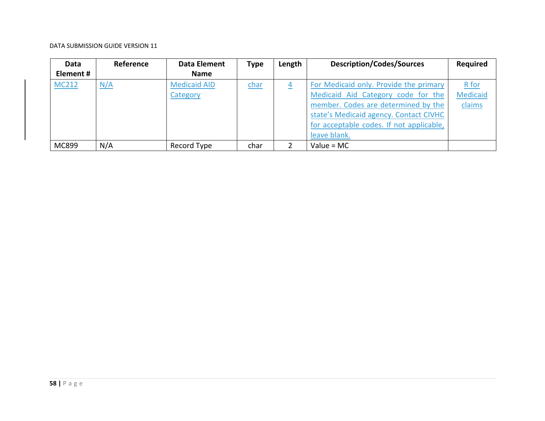| Data         | Reference | Data Element        | <b>Type</b> | Length   | <b>Description/Codes/Sources</b>         | <b>Required</b> |
|--------------|-----------|---------------------|-------------|----------|------------------------------------------|-----------------|
| Element #    |           | Name                |             |          |                                          |                 |
| <b>MC212</b> | N/A       | <b>Medicaid AID</b> | char        | <u>4</u> | For Medicaid only. Provide the primary   | R for           |
|              |           | Category            |             |          | Medicaid Aid Category code for the       | <b>Medicaid</b> |
|              |           |                     |             |          | member. Codes are determined by the      | claims          |
|              |           |                     |             |          | state's Medicaid agency. Contact CIVHC   |                 |
|              |           |                     |             |          | for acceptable codes. If not applicable, |                 |
|              |           |                     |             |          | leave blank.                             |                 |
| MC899        | N/A       | Record Type         | char        | 2        | Value = $MC$                             |                 |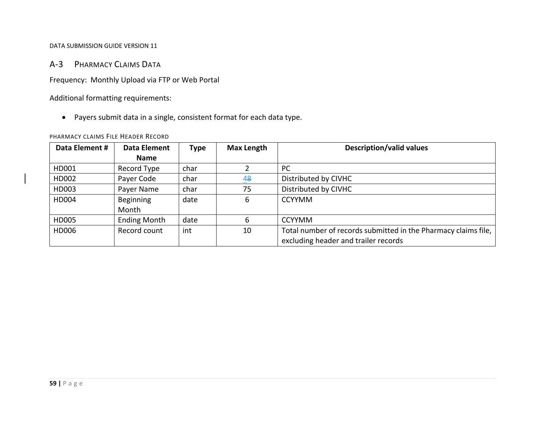# A‐3 PHARMACY CLAIMS DATA

Frequency: Monthly Upload via FTP or Web Portal

Additional formatting requirements:

Payers submit data in <sup>a</sup> single, consistent format for each data type.

# PHARMACY CLAIMS FILE HEADER RECORD

| Data Element # | Data Element        | Type | <b>Max Length</b> | <b>Description/valid values</b>                                |
|----------------|---------------------|------|-------------------|----------------------------------------------------------------|
|                | <b>Name</b>         |      |                   |                                                                |
| HD001          | Record Type         | char |                   | <b>PC</b>                                                      |
| HD002          | Payer Code          | char | 48                | Distributed by CIVHC                                           |
| HD003          | Payer Name          | char | 75                | Distributed by CIVHC                                           |
| HD004          | Beginning           | date | 6                 | <b>CCYYMM</b>                                                  |
|                | Month               |      |                   |                                                                |
| HD005          | <b>Ending Month</b> | date | 6                 | <b>CCYYMM</b>                                                  |
| HD006          | Record count        | int  | 10                | Total number of records submitted in the Pharmacy claims file, |
|                |                     |      |                   | excluding header and trailer records                           |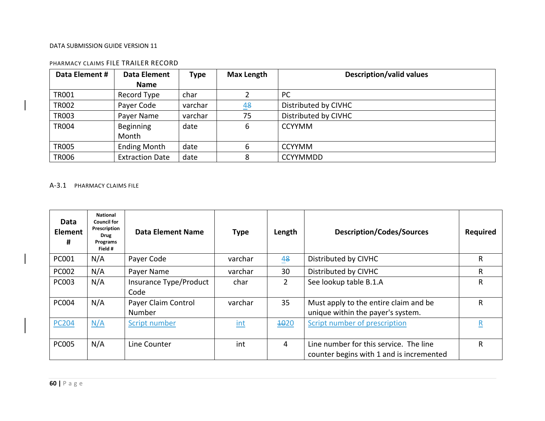| Data Element # | Data Element           | <b>Type</b> | <b>Max Length</b> | <b>Description/valid values</b> |
|----------------|------------------------|-------------|-------------------|---------------------------------|
|                | <b>Name</b>            |             |                   |                                 |
| <b>TR001</b>   | Record Type            | char        |                   | <b>PC</b>                       |
| <b>TR002</b>   | Payer Code             | varchar     | 48                | Distributed by CIVHC            |
| <b>TR003</b>   | Payer Name             | varchar     | 75                | Distributed by CIVHC            |
| <b>TR004</b>   | Beginning              | date        | 6                 | <b>CCYYMM</b>                   |
|                | Month                  |             |                   |                                 |
| <b>TR005</b>   | <b>Ending Month</b>    | date        | 6                 | <b>CCYYMM</b>                   |
| <b>TR006</b>   | <b>Extraction Date</b> | date        | 8                 | <b>CCYYMMDD</b>                 |

# PHARMACY CLAIMS FILE TRAILER RECORD

### A‐3.1 PHARMACY CLAIMS FILE

| Data<br><b>Element</b><br># | <b>National</b><br><b>Council for</b><br>Prescription<br>Drug<br>Programs<br>Field # | Data Element Name              | <b>Type</b> | Length         | <b>Description/Codes/Sources</b>                                                   | <b>Required</b> |
|-----------------------------|--------------------------------------------------------------------------------------|--------------------------------|-------------|----------------|------------------------------------------------------------------------------------|-----------------|
| <b>PC001</b>                | N/A                                                                                  | Payer Code                     | varchar     | 48             | Distributed by CIVHC                                                               | R               |
| <b>PC002</b>                | N/A                                                                                  | Payer Name                     | varchar     | 30             | Distributed by CIVHC                                                               | R.              |
| <b>PC003</b>                | N/A                                                                                  | Insurance Type/Product<br>Code | char        | $\overline{2}$ | See lookup table B.1.A                                                             | R               |
| <b>PC004</b>                | N/A                                                                                  | Payer Claim Control<br>Number  | varchar     | 35             | Must apply to the entire claim and be<br>unique within the payer's system.         | R               |
| <b>PC204</b>                | N/A                                                                                  | Script number                  | int         | 4020           | Script number of prescription                                                      | R               |
| <b>PC005</b>                | N/A                                                                                  | Line Counter                   | int         | 4              | Line number for this service. The line<br>counter begins with 1 and is incremented | R               |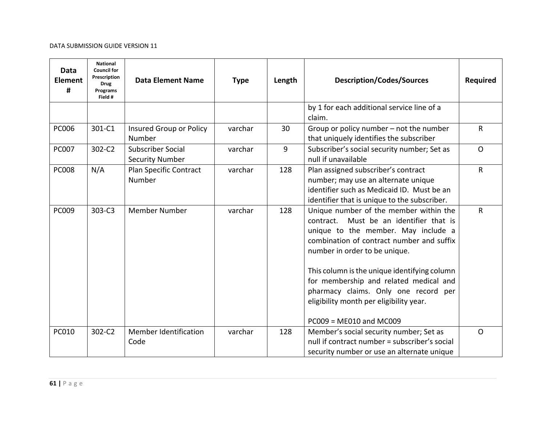| Data<br><b>Element</b><br># | <b>National</b><br><b>Council for</b><br>Prescription<br><b>Drug</b><br>Programs<br>Field # | <b>Data Element Name</b>                           | <b>Type</b> | Length | <b>Description/Codes/Sources</b>                                                                                                                                                                                                                                                                                                                                                                                    | <b>Required</b> |
|-----------------------------|---------------------------------------------------------------------------------------------|----------------------------------------------------|-------------|--------|---------------------------------------------------------------------------------------------------------------------------------------------------------------------------------------------------------------------------------------------------------------------------------------------------------------------------------------------------------------------------------------------------------------------|-----------------|
|                             |                                                                                             |                                                    |             |        | by 1 for each additional service line of a<br>claim.                                                                                                                                                                                                                                                                                                                                                                |                 |
| <b>PC006</b>                | 301-C1                                                                                      | Insured Group or Policy<br>Number                  | varchar     | 30     | Group or policy number - not the number<br>that uniquely identifies the subscriber                                                                                                                                                                                                                                                                                                                                  | R               |
| <b>PC007</b>                | 302-C2                                                                                      | <b>Subscriber Social</b><br><b>Security Number</b> | varchar     | 9      | Subscriber's social security number; Set as<br>null if unavailable                                                                                                                                                                                                                                                                                                                                                  | $\overline{O}$  |
| <b>PC008</b>                | N/A                                                                                         | Plan Specific Contract<br>Number                   | varchar     | 128    | Plan assigned subscriber's contract<br>number; may use an alternate unique<br>identifier such as Medicaid ID. Must be an<br>identifier that is unique to the subscriber.                                                                                                                                                                                                                                            | R               |
| <b>PC009</b>                | 303-C3                                                                                      | <b>Member Number</b>                               | varchar     | 128    | Unique number of the member within the<br>Must be an identifier that is<br>contract.<br>unique to the member. May include a<br>combination of contract number and suffix<br>number in order to be unique.<br>This column is the unique identifying column<br>for membership and related medical and<br>pharmacy claims. Only one record per<br>eligibility month per eligibility year.<br>$PC009 = ME010$ and MC009 | R               |
| <b>PC010</b>                | 302-C2                                                                                      | Member Identification<br>Code                      | varchar     | 128    | Member's social security number; Set as<br>null if contract number = subscriber's social<br>security number or use an alternate unique                                                                                                                                                                                                                                                                              | $\Omega$        |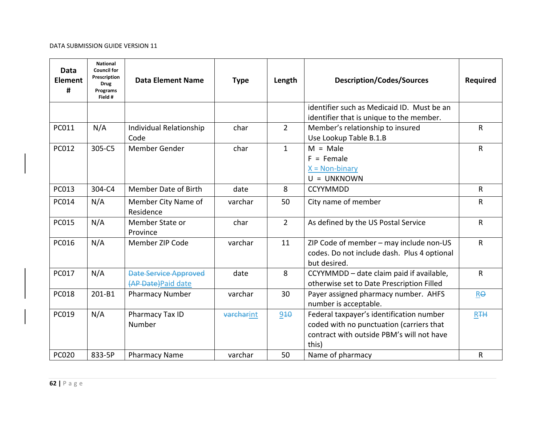| Data<br><b>Element</b><br># | <b>National</b><br><b>Council for</b><br>Prescription<br><b>Drug</b><br>Programs<br>Field # | <b>Data Element Name</b>                            | <b>Type</b>       | Length         | <b>Description/Codes/Sources</b>                                                                                                           | <b>Required</b> |
|-----------------------------|---------------------------------------------------------------------------------------------|-----------------------------------------------------|-------------------|----------------|--------------------------------------------------------------------------------------------------------------------------------------------|-----------------|
|                             |                                                                                             |                                                     |                   |                | identifier such as Medicaid ID. Must be an<br>identifier that is unique to the member.                                                     |                 |
| PC011                       | N/A                                                                                         | Individual Relationship<br>Code                     | char              | $\overline{2}$ | Member's relationship to insured<br>Use Lookup Table B.1.B                                                                                 | $\sf R$         |
| PC012                       | 305-C5                                                                                      | Member Gender                                       | char              | $\mathbf{1}$   | $M = Male$<br>$F =$ Female<br>$X = Non-binary$<br>$U = UNKNOWN$                                                                            | ${\sf R}$       |
| <b>PC013</b>                | 304-C4                                                                                      | Member Date of Birth                                | date              | 8              | <b>CCYYMMDD</b>                                                                                                                            | $\mathsf{R}$    |
| PC014                       | N/A                                                                                         | Member City Name of<br>Residence                    | varchar           | 50             | City name of member                                                                                                                        | $\mathsf{R}$    |
| <b>PC015</b>                | N/A                                                                                         | Member State or<br>Province                         | char              | $\overline{2}$ | As defined by the US Postal Service                                                                                                        | $\mathsf{R}$    |
| <b>PC016</b>                | N/A                                                                                         | Member ZIP Code                                     | varchar           | 11             | ZIP Code of member - may include non-US<br>codes. Do not include dash. Plus 4 optional<br>but desired.                                     | $\mathsf{R}$    |
| <b>PC017</b>                | N/A                                                                                         | <b>Date Service Approved</b><br>(AP Date) Paid date | date              | 8              | CCYYMMDD - date claim paid if available,<br>otherwise set to Date Prescription Filled                                                      | R               |
| <b>PC018</b>                | 201-B1                                                                                      | <b>Pharmacy Number</b>                              | varchar           | 30             | Payer assigned pharmacy number. AHFS<br>number is acceptable.                                                                              | Re              |
| PC019                       | N/A                                                                                         | Pharmacy Tax ID<br>Number                           | <b>varcharint</b> | 910            | Federal taxpayer's identification number<br>coded with no punctuation (carriers that<br>contract with outside PBM's will not have<br>this) | R <sub>TH</sub> |
| <b>PC020</b>                | 833-5P                                                                                      | <b>Pharmacy Name</b>                                | varchar           | 50             | Name of pharmacy                                                                                                                           | R               |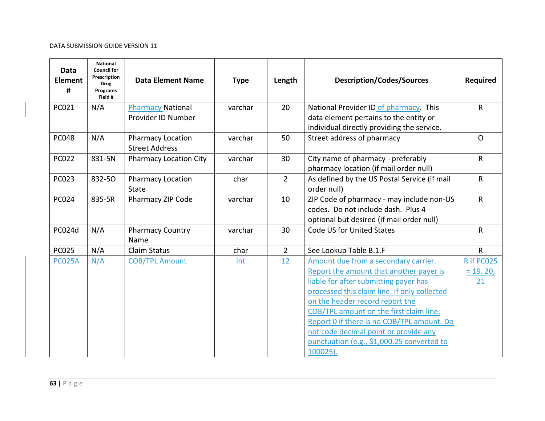| Data<br><b>Element</b><br># | National<br><b>Council for</b><br>Prescription<br><b>Drug</b><br>Programs<br>Field # | <b>Data Element Name</b>                          | <b>Type</b> | Length         | <b>Description/Codes/Sources</b>                                                                                                                                                                                                                                                                                                                                                                        | <b>Required</b>                 |
|-----------------------------|--------------------------------------------------------------------------------------|---------------------------------------------------|-------------|----------------|---------------------------------------------------------------------------------------------------------------------------------------------------------------------------------------------------------------------------------------------------------------------------------------------------------------------------------------------------------------------------------------------------------|---------------------------------|
| PC021                       | N/A                                                                                  | <b>Pharmacy National</b>                          | varchar     | 20             | National Provider ID of pharmacy. This                                                                                                                                                                                                                                                                                                                                                                  | $\mathsf{R}$                    |
|                             |                                                                                      | Provider ID Number                                |             |                | data element pertains to the entity or<br>individual directly providing the service.                                                                                                                                                                                                                                                                                                                    |                                 |
| <b>PC048</b>                | N/A                                                                                  | <b>Pharmacy Location</b><br><b>Street Address</b> | varchar     | 50             | Street address of pharmacy                                                                                                                                                                                                                                                                                                                                                                              | $\Omega$                        |
| <b>PC022</b>                | 831-5N                                                                               | <b>Pharmacy Location City</b>                     | varchar     | 30             | City name of pharmacy - preferably<br>pharmacy location (if mail order null)                                                                                                                                                                                                                                                                                                                            | $\mathsf{R}$                    |
| <b>PC023</b>                | 832-50                                                                               | <b>Pharmacy Location</b><br><b>State</b>          | char        | $\overline{2}$ | As defined by the US Postal Service (if mail<br>order null)                                                                                                                                                                                                                                                                                                                                             | $\mathsf{R}$                    |
| <b>PC024</b>                | 835-5R                                                                               | Pharmacy ZIP Code                                 | varchar     | 10             | ZIP Code of pharmacy - may include non-US<br>codes. Do not include dash. Plus 4<br>optional but desired (if mail order null)                                                                                                                                                                                                                                                                            | $\mathsf{R}$                    |
| PC024d                      | N/A                                                                                  | <b>Pharmacy Country</b><br>Name                   | varchar     | 30             | Code US for United States                                                                                                                                                                                                                                                                                                                                                                               | $\mathsf{R}$                    |
| <b>PC025</b>                | N/A                                                                                  | Claim Status                                      | char        | $\overline{2}$ | See Lookup Table B.1.F                                                                                                                                                                                                                                                                                                                                                                                  | $\mathsf{R}$                    |
| <b>PC025A</b>               | N/A                                                                                  | <b>COB/TPL Amount</b>                             | int         | 12             | Amount due from a secondary carrier.<br>Report the amount that another payer is<br>liable for after submitting payer has<br>processed this claim line. If only collected<br>on the header record report the<br>COB/TPL amount on the first claim line.<br>Report 0 if there is no COB/TPL amount. Do<br>not code decimal point or provide any<br>punctuation (e.g., \$1,000.25 converted to<br>100025). | R if PC025<br>$= 19, 20,$<br>21 |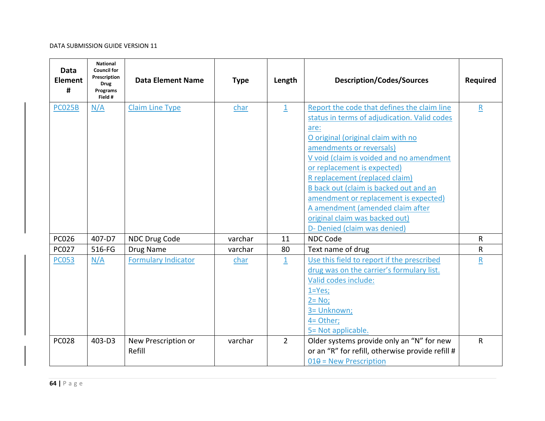| Data<br><b>Element</b><br># | <b>National</b><br><b>Council for</b><br>Prescription<br><b>Drug</b><br>Programs<br>Field # | <b>Data Element Name</b>      | <b>Type</b> | Length                  | <b>Description/Codes/Sources</b>                                                                                                                                                                                                                                                                                                                                                                                                                                            | <b>Required</b> |
|-----------------------------|---------------------------------------------------------------------------------------------|-------------------------------|-------------|-------------------------|-----------------------------------------------------------------------------------------------------------------------------------------------------------------------------------------------------------------------------------------------------------------------------------------------------------------------------------------------------------------------------------------------------------------------------------------------------------------------------|-----------------|
| <b>PC025B</b>               | N/A                                                                                         | <b>Claim Line Type</b>        | char        | $\overline{1}$          | Report the code that defines the claim line<br>status in terms of adjudication. Valid codes<br>are:<br>O original (original claim with no<br>amendments or reversals)<br>V void (claim is voided and no amendment<br>or replacement is expected)<br>R replacement (replaced claim)<br>B back out (claim is backed out and an<br>amendment or replacement is expected)<br>A amendment (amended claim after<br>original claim was backed out)<br>D- Denied (claim was denied) | $\mathsf R$     |
| PC026                       | 407-D7                                                                                      | NDC Drug Code                 | varchar     | 11                      | <b>NDC Code</b>                                                                                                                                                                                                                                                                                                                                                                                                                                                             | $\mathsf{R}$    |
| <b>PC027</b>                | 516-FG                                                                                      | Drug Name                     | varchar     | 80                      | Text name of drug                                                                                                                                                                                                                                                                                                                                                                                                                                                           | R               |
| <b>PC053</b>                | N/A                                                                                         | <b>Formulary Indicator</b>    | char        | $\overline{\mathbf{1}}$ | Use this field to report if the prescribed<br>drug was on the carrier's formulary list.<br>Valid codes include:<br>$1 = Yes;$<br>$2 = No;$<br>3= Unknown;<br>4= Other;<br>5= Not applicable.                                                                                                                                                                                                                                                                                | R               |
| <b>PC028</b>                | 403-D3                                                                                      | New Prescription or<br>Refill | varchar     | $\overline{2}$          | Older systems provide only an "N" for new<br>or an "R" for refill, otherwise provide refill #<br>$010 =$ New Prescription                                                                                                                                                                                                                                                                                                                                                   | $\mathsf{R}$    |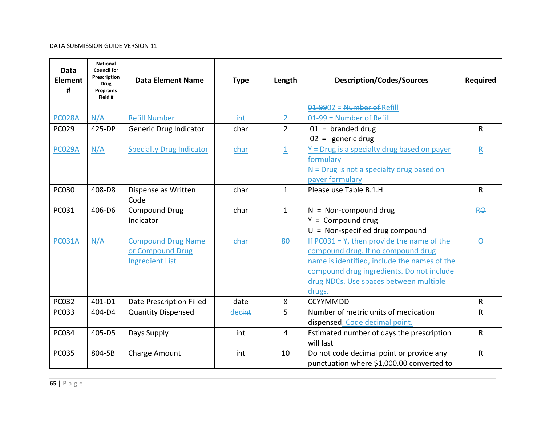| <b>Data</b><br><b>Element</b><br># | <b>National</b><br><b>Council for</b><br>Prescription<br><b>Drug</b><br>Programs<br>Field # | <b>Data Element Name</b>                                                | <b>Type</b> | Length             | <b>Description/Codes/Sources</b>                                                                                                                                                                                                     | <b>Required</b> |
|------------------------------------|---------------------------------------------------------------------------------------------|-------------------------------------------------------------------------|-------------|--------------------|--------------------------------------------------------------------------------------------------------------------------------------------------------------------------------------------------------------------------------------|-----------------|
|                                    |                                                                                             |                                                                         |             |                    | $01-9902$ = Number of Refill                                                                                                                                                                                                         |                 |
| <b>PC028A</b>                      | N/A                                                                                         | <b>Refill Number</b>                                                    | int         | $\overline{2}$     | 01-99 = Number of Refill                                                                                                                                                                                                             |                 |
| <b>PC029</b>                       | 425-DP                                                                                      | Generic Drug Indicator                                                  | char        | $\overline{2}$     | $01 =$ branded drug<br>$02 =$ generic drug                                                                                                                                                                                           | R               |
| <b>PC029A</b>                      | N/A                                                                                         | <b>Specialty Drug Indicator</b>                                         | char        | $\overline{\perp}$ | $Y = Drug$ is a specialty drug based on payer<br>formulary<br>$N = Drug$ is not a specialty drug based on<br>payer formulary                                                                                                         | ${\sf R}$       |
| <b>PC030</b>                       | 408-D8                                                                                      | Dispense as Written<br>Code                                             | char        | $\mathbf{1}$       | Please use Table B.1.H                                                                                                                                                                                                               | R               |
| PC031                              | 406-D6                                                                                      | <b>Compound Drug</b><br>Indicator                                       | char        | $\mathbf{1}$       | $N = Non-compound drug$<br>$Y = Compound drug$<br>$U = Non-specified drug compound$                                                                                                                                                  | <b>RO</b>       |
| <b>PC031A</b>                      | N/A                                                                                         | <b>Compound Drug Name</b><br>or Compound Drug<br><b>Ingredient List</b> | char        | 80                 | If $PC031 = Y$ , then provide the name of the<br>compound drug. If no compound drug<br>name is identified, include the names of the<br>compound drug ingredients. Do not include<br>drug NDCs. Use spaces between multiple<br>drugs. | $\overline{O}$  |
| <b>PC032</b>                       | 401-D1                                                                                      | <b>Date Prescription Filled</b>                                         | date        | 8                  | <b>CCYYMMDD</b>                                                                                                                                                                                                                      | R               |
| <b>PC033</b>                       | 404-D4                                                                                      | <b>Quantity Dispensed</b>                                               | decint      | 5                  | Number of metric units of medication<br>dispensed. Code decimal point.                                                                                                                                                               | R               |
| <b>PC034</b>                       | 405-D5                                                                                      | Days Supply                                                             | int         | 4                  | Estimated number of days the prescription<br>will last                                                                                                                                                                               | R               |
| <b>PC035</b>                       | 804-5B                                                                                      | Charge Amount                                                           | int         | 10                 | Do not code decimal point or provide any<br>punctuation where \$1,000.00 converted to                                                                                                                                                | $\mathsf R$     |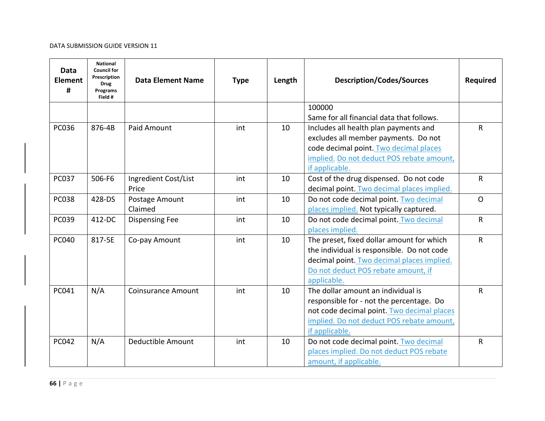| Data<br><b>Element</b><br># | <b>National</b><br><b>Council for</b><br>Prescription<br><b>Drug</b><br>Programs<br>Field # | <b>Data Element Name</b>  | <b>Type</b> | Length | <b>Description/Codes/Sources</b>                                                                                                                                                                                  | <b>Required</b> |
|-----------------------------|---------------------------------------------------------------------------------------------|---------------------------|-------------|--------|-------------------------------------------------------------------------------------------------------------------------------------------------------------------------------------------------------------------|-----------------|
|                             |                                                                                             |                           |             |        | 100000                                                                                                                                                                                                            |                 |
| <b>PC036</b>                | 876-4B                                                                                      | <b>Paid Amount</b>        | int         | 10     | Same for all financial data that follows.<br>Includes all health plan payments and<br>excludes all member payments. Do not<br>code decimal point. Two decimal places<br>implied. Do not deduct POS rebate amount, | $\mathsf{R}$    |
| <b>PC037</b>                | 506-F6                                                                                      | Ingredient Cost/List      | int         | 10     | if applicable.<br>Cost of the drug dispensed. Do not code                                                                                                                                                         | $\mathsf{R}$    |
|                             |                                                                                             | Price                     |             |        | decimal point. Two decimal places implied.                                                                                                                                                                        |                 |
| <b>PC038</b>                | 428-DS                                                                                      | Postage Amount<br>Claimed | int         | 10     | Do not code decimal point. Two decimal<br>places implied. Not typically captured.                                                                                                                                 | $\mathsf{O}$    |
| PC039                       | 412-DC                                                                                      | <b>Dispensing Fee</b>     | int         | 10     | Do not code decimal point. Two decimal<br>places implied.                                                                                                                                                         | $\mathsf{R}$    |
| <b>PC040</b>                | 817-5E                                                                                      | Co-pay Amount             | int         | 10     | The preset, fixed dollar amount for which<br>the individual is responsible. Do not code<br>decimal point. Two decimal places implied.<br>Do not deduct POS rebate amount, if<br>applicable.                       | R               |
| <b>PC041</b>                | N/A                                                                                         | <b>Coinsurance Amount</b> | int         | 10     | The dollar amount an individual is<br>responsible for - not the percentage. Do<br>not code decimal point. Two decimal places<br>implied. Do not deduct POS rebate amount,<br>if applicable.                       | $\mathsf{R}$    |
| <b>PC042</b>                | N/A                                                                                         | Deductible Amount         | int         | 10     | Do not code decimal point. Two decimal<br>places implied. Do not deduct POS rebate<br>amount, if applicable.                                                                                                      | R               |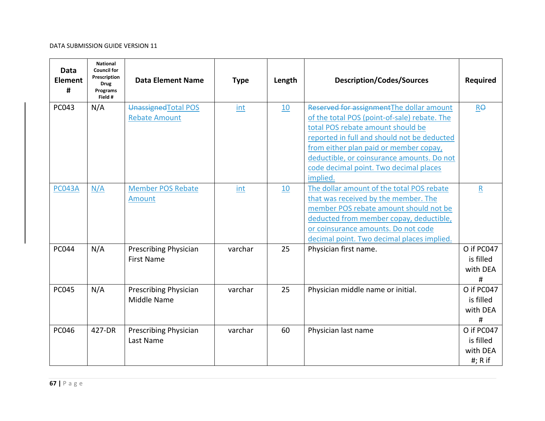| Data<br><b>Element</b><br># | <b>National</b><br><b>Council for</b><br>Prescription<br><b>Drug</b><br>Programs<br>Field # | <b>Data Element Name</b>                          | <b>Type</b> | Length | <b>Description/Codes/Sources</b>                                                                                                                                                                                                                                                                                            | <b>Required</b>                                  |
|-----------------------------|---------------------------------------------------------------------------------------------|---------------------------------------------------|-------------|--------|-----------------------------------------------------------------------------------------------------------------------------------------------------------------------------------------------------------------------------------------------------------------------------------------------------------------------------|--------------------------------------------------|
| <b>PC043</b>                | N/A                                                                                         | Unassigned Total POS<br><b>Rebate Amount</b>      | int         | 10     | Reserved for assignment The dollar amount<br>of the total POS (point-of-sale) rebate. The<br>total POS rebate amount should be<br>reported in full and should not be deducted<br>from either plan paid or member copay,<br>deductible, or coinsurance amounts. Do not<br>code decimal point. Two decimal places<br>implied. | $R\Theta$                                        |
| <b>PC043A</b>               | N/A                                                                                         | <b>Member POS Rebate</b><br>Amount                | int         | 10     | The dollar amount of the total POS rebate<br>that was received by the member. The<br>member POS rebate amount should not be<br>deducted from member copay, deductible,<br>or coinsurance amounts. Do not code<br>decimal point. Two decimal places implied.                                                                 | $\mathsf R$                                      |
| <b>PC044</b>                | N/A                                                                                         | <b>Prescribing Physician</b><br><b>First Name</b> | varchar     | 25     | Physician first name.                                                                                                                                                                                                                                                                                                       | O if PC047<br>is filled<br>with DEA<br>#         |
| <b>PC045</b>                | N/A                                                                                         | <b>Prescribing Physician</b><br>Middle Name       | varchar     | 25     | Physician middle name or initial.                                                                                                                                                                                                                                                                                           | O if PC047<br>is filled<br>with DEA<br>#         |
| <b>PC046</b>                | 427-DR                                                                                      | <b>Prescribing Physician</b><br>Last Name         | varchar     | 60     | Physician last name                                                                                                                                                                                                                                                                                                         | O if PC047<br>is filled<br>with DEA<br>#; $R$ if |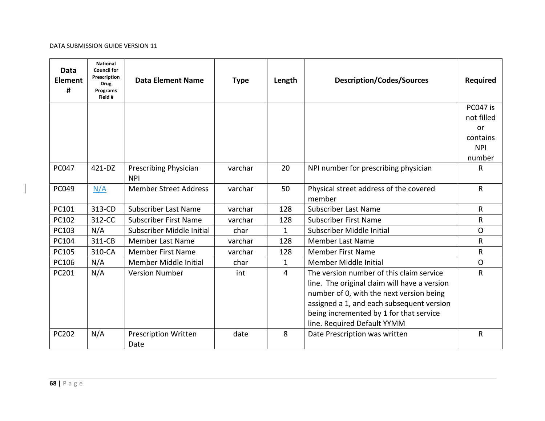| <b>Data</b><br><b>Element</b><br># | <b>National</b><br><b>Council for</b><br><b>Prescription</b><br><b>Drug</b><br>Programs<br>Field # | <b>Data Element Name</b>                   | <b>Type</b> | Length         | <b>Description/Codes/Sources</b>             | Required       |
|------------------------------------|----------------------------------------------------------------------------------------------------|--------------------------------------------|-------------|----------------|----------------------------------------------|----------------|
|                                    |                                                                                                    |                                            |             |                |                                              | PC047 is       |
|                                    |                                                                                                    |                                            |             |                |                                              | not filled     |
|                                    |                                                                                                    |                                            |             |                |                                              | or             |
|                                    |                                                                                                    |                                            |             |                |                                              | contains       |
|                                    |                                                                                                    |                                            |             |                |                                              | <b>NPI</b>     |
|                                    |                                                                                                    |                                            |             |                |                                              | number         |
| <b>PC047</b>                       | 421-DZ                                                                                             | <b>Prescribing Physician</b><br><b>NPI</b> | varchar     | 20             | NPI number for prescribing physician         | R              |
| PC049                              | N/A                                                                                                | <b>Member Street Address</b>               | varchar     | 50             | Physical street address of the covered       | $\mathsf{R}$   |
|                                    |                                                                                                    |                                            |             |                | member                                       |                |
| PC101                              | 313-CD                                                                                             | <b>Subscriber Last Name</b>                | varchar     | 128            | <b>Subscriber Last Name</b>                  | $\mathsf{R}$   |
| PC102                              | 312-CC                                                                                             | <b>Subscriber First Name</b>               | varchar     | 128            | <b>Subscriber First Name</b>                 | $\mathsf{R}$   |
| PC103                              | N/A                                                                                                | Subscriber Middle Initial                  | char        | $\mathbf{1}$   | Subscriber Middle Initial                    | $\overline{O}$ |
| PC104                              | 311-CB                                                                                             | <b>Member Last Name</b>                    | varchar     | 128            | <b>Member Last Name</b>                      | $\mathsf{R}$   |
| PC105                              | 310-CA                                                                                             | <b>Member First Name</b>                   | varchar     | 128            | <b>Member First Name</b>                     | $\mathsf{R}$   |
| PC106                              | N/A                                                                                                | Member Middle Initial                      | char        | $\mathbf{1}$   | Member Middle Initial                        | $\Omega$       |
| PC201                              | N/A                                                                                                | <b>Version Number</b>                      | int         | $\overline{4}$ | The version number of this claim service     | R              |
|                                    |                                                                                                    |                                            |             |                | line. The original claim will have a version |                |
|                                    |                                                                                                    |                                            |             |                | number of 0, with the next version being     |                |
|                                    |                                                                                                    |                                            |             |                | assigned a 1, and each subsequent version    |                |
|                                    |                                                                                                    |                                            |             |                | being incremented by 1 for that service      |                |
|                                    |                                                                                                    |                                            |             |                | line. Required Default YYMM                  |                |
| <b>PC202</b>                       | N/A                                                                                                | <b>Prescription Written</b>                | date        | 8              | Date Prescription was written                | R              |
|                                    |                                                                                                    | Date                                       |             |                |                                              |                |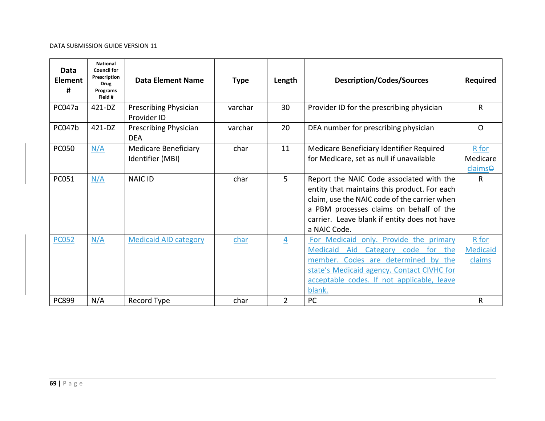| Data<br><b>Element</b><br># | <b>National</b><br><b>Council for</b><br>Prescription<br><b>Drug</b><br>Programs<br>Field # | <b>Data Element Name</b>                        | <b>Type</b> | Length         | <b>Description/Codes/Sources</b>                                                                                                                                                                                                                    | <b>Required</b>                    |
|-----------------------------|---------------------------------------------------------------------------------------------|-------------------------------------------------|-------------|----------------|-----------------------------------------------------------------------------------------------------------------------------------------------------------------------------------------------------------------------------------------------------|------------------------------------|
| PC047a                      | 421-DZ                                                                                      | Prescribing Physician<br>Provider ID            | varchar     | 30             | Provider ID for the prescribing physician                                                                                                                                                                                                           | R                                  |
| PC047b                      | 421-DZ                                                                                      | Prescribing Physician<br><b>DEA</b>             | varchar     | 20             | DEA number for prescribing physician                                                                                                                                                                                                                | $\Omega$                           |
| <b>PC050</b>                | N/A                                                                                         | <b>Medicare Beneficiary</b><br>Identifier (MBI) | char        | 11             | Medicare Beneficiary Identifier Required<br>for Medicare, set as null if unavailable                                                                                                                                                                | R for<br>Medicare<br>claimse       |
| PC051                       | N/A                                                                                         | <b>NAIC ID</b>                                  | char        | 5              | Report the NAIC Code associated with the<br>entity that maintains this product. For each<br>claim, use the NAIC code of the carrier when<br>a PBM processes claims on behalf of the<br>carrier. Leave blank if entity does not have<br>a NAIC Code. | R                                  |
| <b>PC052</b>                | N/A                                                                                         | <b>Medicaid AID category</b>                    | char        | 4              | For Medicaid only. Provide the primary<br>Medicaid<br>for the<br>Aid<br>Category code<br>member. Codes are determined by the<br>state's Medicaid agency. Contact CIVHC for<br>acceptable codes. If not applicable, leave<br>blank.                  | R for<br><b>Medicaid</b><br>claims |
| <b>PC899</b>                | N/A                                                                                         | Record Type                                     | char        | $\overline{2}$ | PC                                                                                                                                                                                                                                                  | R                                  |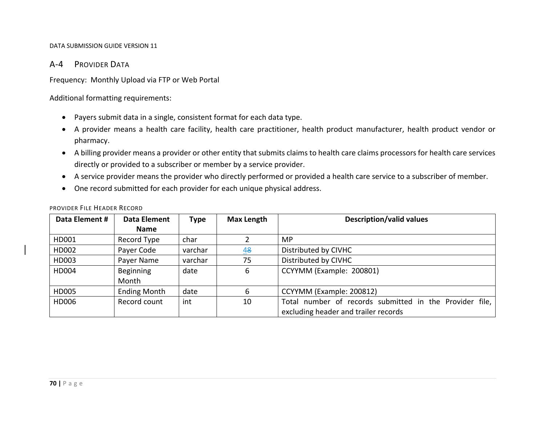# A‐4 PROVIDER DATA

Frequency: Monthly Upload via FTP or Web Portal

Additional formatting requirements:

- Payers submit data in <sup>a</sup> single, consistent format for each data type.
- A provider means <sup>a</sup> health care facility, health care practitioner, health product manufacturer, health product vendor or pharmacy.
- A billing provider means <sup>a</sup> provider or other entity that submits claims to health care claims processors for health care services directly or provided to <sup>a</sup> subscriber or member by <sup>a</sup> service provider.
- A service provider means the provider who directly performed or provided <sup>a</sup> health care service to <sup>a</sup> subscriber of member.
- One record submitted for each provider for each unique physical address.

| Data Element # | Data Element              | <b>Type</b> | <b>Max Length</b> | <b>Description/valid values</b>                                                                 |
|----------------|---------------------------|-------------|-------------------|-------------------------------------------------------------------------------------------------|
|                | <b>Name</b>               |             |                   |                                                                                                 |
| HD001          | Record Type               | char        |                   | MP.                                                                                             |
| HD002          | Payer Code                | varchar     | 48                | Distributed by CIVHC                                                                            |
| HD003          | Payer Name                | varchar     | 75                | Distributed by CIVHC                                                                            |
| HD004          | <b>Beginning</b><br>Month | date        | 6                 | CCYYMM (Example: 200801)                                                                        |
| HD005          | <b>Ending Month</b>       | date        | 6                 | CCYYMM (Example: 200812)                                                                        |
| HD006          | Record count              | int         | 10                | Total number of records submitted in the Provider file,<br>excluding header and trailer records |

## PROVIDER FILE HEADER RECORD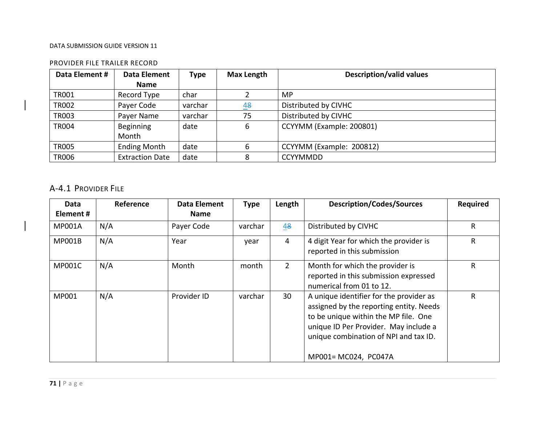# PROVIDER FILE TRAILER RECORD

| Data Element # | Data Element           | <b>Type</b> | <b>Max Length</b> | <b>Description/valid values</b> |
|----------------|------------------------|-------------|-------------------|---------------------------------|
|                | <b>Name</b>            |             |                   |                                 |
| <b>TR001</b>   | Record Type            | char        |                   | MP                              |
| <b>TR002</b>   | Payer Code             | varchar     | 48                | Distributed by CIVHC            |
| <b>TR003</b>   | Payer Name             | varchar     | 75                | Distributed by CIVHC            |
| <b>TR004</b>   | Beginning              | date        | 6                 | CCYYMM (Example: 200801)        |
|                | Month                  |             |                   |                                 |
| <b>TR005</b>   | <b>Ending Month</b>    | date        | 6                 | CCYYMM (Example: 200812)        |
| <b>TR006</b>   | <b>Extraction Date</b> | date        | 8                 | <b>CCYYMMDD</b>                 |

# A‐4.1 PROVIDER FILE

| Data          | Reference | <b>Data Element</b> | <b>Type</b> | Length         | <b>Description/Codes/Sources</b>                                                                                                                                                                             | <b>Required</b> |
|---------------|-----------|---------------------|-------------|----------------|--------------------------------------------------------------------------------------------------------------------------------------------------------------------------------------------------------------|-----------------|
| Element#      |           | <b>Name</b>         |             |                |                                                                                                                                                                                                              |                 |
| <b>MP001A</b> | N/A       | Payer Code          | varchar     | 48             | Distributed by CIVHC                                                                                                                                                                                         | R               |
| <b>MP001B</b> | N/A       | Year                | year        | $\overline{4}$ | 4 digit Year for which the provider is<br>reported in this submission                                                                                                                                        | R               |
| <b>MP001C</b> | N/A       | Month               | month       | $\overline{2}$ | Month for which the provider is<br>reported in this submission expressed<br>numerical from 01 to 12.                                                                                                         | R               |
| MP001         | N/A       | Provider ID         | varchar     | 30             | A unique identifier for the provider as<br>assigned by the reporting entity. Needs<br>to be unique within the MP file. One<br>unique ID Per Provider. May include a<br>unique combination of NPI and tax ID. | R               |
|               |           |                     |             |                | MP001= MC024, PC047A                                                                                                                                                                                         |                 |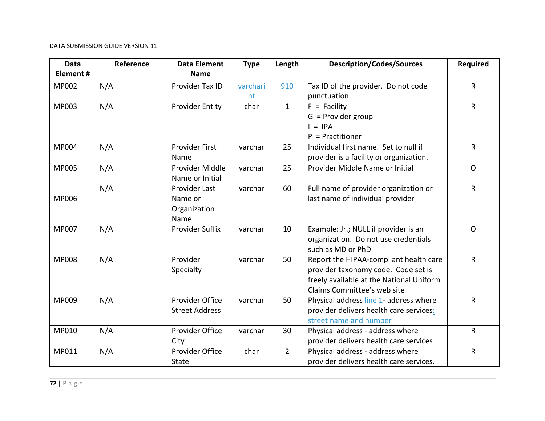| <b>Data</b><br>Element# | Reference | <b>Data Element</b><br><b>Name</b>               | <b>Type</b>    | Length         | <b>Description/Codes/Sources</b>                                                                                                                         | <b>Required</b> |
|-------------------------|-----------|--------------------------------------------------|----------------|----------------|----------------------------------------------------------------------------------------------------------------------------------------------------------|-----------------|
| <b>MP002</b>            | N/A       | Provider Tax ID                                  | varchari<br>nt | 910            | Tax ID of the provider. Do not code<br>punctuation.                                                                                                      | $\sf R$         |
| <b>MP003</b>            | N/A       | <b>Provider Entity</b>                           | char           | $\mathbf{1}$   | $F =$ Facility<br>$G =$ Provider group<br>$I = IPA$<br>$P =$ Practitioner                                                                                | $\mathsf{R}$    |
| MP004                   | N/A       | Provider First<br>Name                           | varchar        | 25             | Individual first name. Set to null if<br>provider is a facility or organization.                                                                         | $\mathsf{R}$    |
| <b>MP005</b>            | N/A       | Provider Middle<br>Name or Initial               | varchar        | 25             | Provider Middle Name or Initial                                                                                                                          | $\Omega$        |
| <b>MP006</b>            | N/A       | Provider Last<br>Name or<br>Organization<br>Name | varchar        | 60             | Full name of provider organization or<br>last name of individual provider                                                                                | $\mathsf{R}$    |
| MP007                   | N/A       | <b>Provider Suffix</b>                           | varchar        | 10             | Example: Jr.; NULL if provider is an<br>organization. Do not use credentials<br>such as MD or PhD                                                        | $\Omega$        |
| <b>MP008</b>            | N/A       | Provider<br>Specialty                            | varchar        | 50             | Report the HIPAA-compliant health care<br>provider taxonomy code. Code set is<br>freely available at the National Uniform<br>Claims Committee's web site | $\mathsf{R}$    |
| MP009                   | N/A       | Provider Office<br><b>Street Address</b>         | varchar        | 50             | Physical address line 1- address where<br>provider delivers health care services:<br>street name and number                                              | $\mathsf{R}$    |
| MP010                   | N/A       | Provider Office<br>City                          | varchar        | 30             | Physical address - address where<br>provider delivers health care services                                                                               | $\mathsf{R}$    |
| MP011                   | N/A       | Provider Office<br><b>State</b>                  | char           | $\overline{2}$ | Physical address - address where<br>provider delivers health care services.                                                                              | ${\sf R}$       |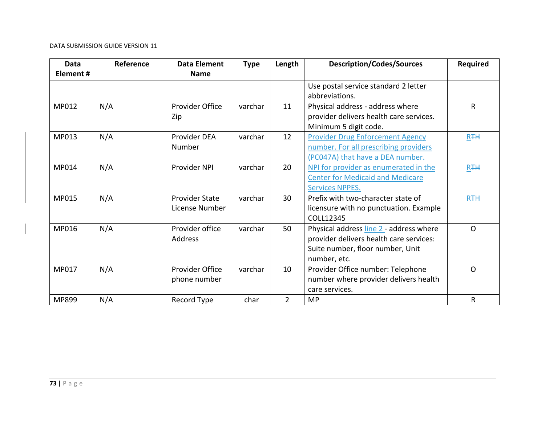| <b>Data</b><br>Element# | Reference | <b>Data Element</b><br><b>Name</b> | <b>Type</b> | Length         | <b>Description/Codes/Sources</b>        | <b>Required</b> |
|-------------------------|-----------|------------------------------------|-------------|----------------|-----------------------------------------|-----------------|
|                         |           |                                    |             |                | Use postal service standard 2 letter    |                 |
|                         |           |                                    |             |                | abbreviations.                          |                 |
| MP012                   | N/A       | Provider Office                    | varchar     | 11             | Physical address - address where        | $\mathsf{R}$    |
|                         |           | Zip                                |             |                | provider delivers health care services. |                 |
|                         |           |                                    |             |                | Minimum 5 digit code.                   |                 |
| MP013                   | N/A       | Provider DEA                       | varchar     | 12             | <b>Provider Drug Enforcement Agency</b> | R <sub>TH</sub> |
|                         |           | Number                             |             |                | number. For all prescribing providers   |                 |
|                         |           |                                    |             |                | (PC047A) that have a DEA number.        |                 |
| MP014                   | N/A       | Provider NPI                       | varchar     | 20             | NPI for provider as enumerated in the   | R <sub>TH</sub> |
|                         |           |                                    |             |                | <b>Center for Medicaid and Medicare</b> |                 |
|                         |           |                                    |             |                | <b>Services NPPES.</b>                  |                 |
| MP015                   | N/A       | <b>Provider State</b>              | varchar     | 30             | Prefix with two-character state of      | R <sub>TH</sub> |
|                         |           | License Number                     |             |                | licensure with no punctuation. Example  |                 |
|                         |           |                                    |             |                | COLL12345                               |                 |
| MP016                   | N/A       | Provider office                    | varchar     | 50             | Physical address line 2 - address where | $\Omega$        |
|                         |           | Address                            |             |                | provider delivers health care services: |                 |
|                         |           |                                    |             |                | Suite number, floor number, Unit        |                 |
|                         |           |                                    |             |                | number, etc.                            |                 |
| <b>MP017</b>            | N/A       | Provider Office                    | varchar     | 10             | Provider Office number: Telephone       | $\Omega$        |
|                         |           | phone number                       |             |                | number where provider delivers health   |                 |
|                         |           |                                    |             |                | care services.                          |                 |
| MP899                   | N/A       | Record Type                        | char        | $\overline{2}$ | <b>MP</b>                               | $\mathsf{R}$    |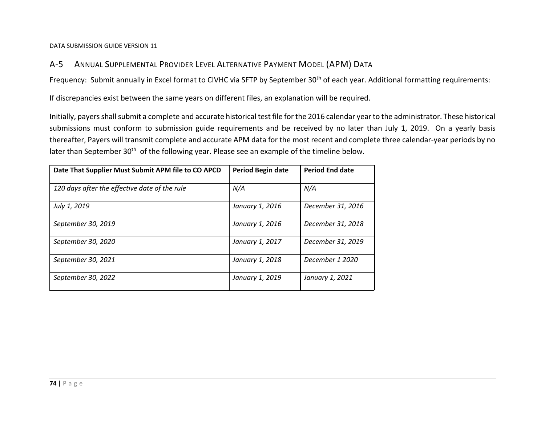#### $A-5$ ANNUAL SUPPLEMENTAL PROVIDER LEVEL ALTERNATIVE PAYMENT MODEL (APM) DATA

Frequency: Submit annually in Excel format to CIVHC via SFTP by September 30<sup>th</sup> of each year. Additional formatting requirements:

If discrepancies exist between the same years on different files, an explanation will be required.

Initially, payers shall submit a complete and accurate historical test file for the 2016 calendar year to the administrator. These historical submissions must conform to submission guide requirements and be received by no later than July 1, 2019. On <sup>a</sup> yearly basis thereafter, Payers will transmit complete and accurate APM data for the most recent and complete three calendar‐year periods by no later than September 30<sup>th</sup> of the following year. Please see an example of the timeline below.

| Date That Supplier Must Submit APM file to CO APCD | Period Begin date | <b>Period End date</b> |
|----------------------------------------------------|-------------------|------------------------|
| 120 days after the effective date of the rule      | N/A               | N/A                    |
| July 1, 2019                                       | January 1, 2016   | December 31, 2016      |
| September 30, 2019                                 | January 1, 2016   | December 31, 2018      |
| September 30, 2020                                 | January 1, 2017   | December 31, 2019      |
| September 30, 2021                                 | January 1, 2018   | December 1 2020        |
| September 30, 2022                                 | January 1, 2019   | January 1, 2021        |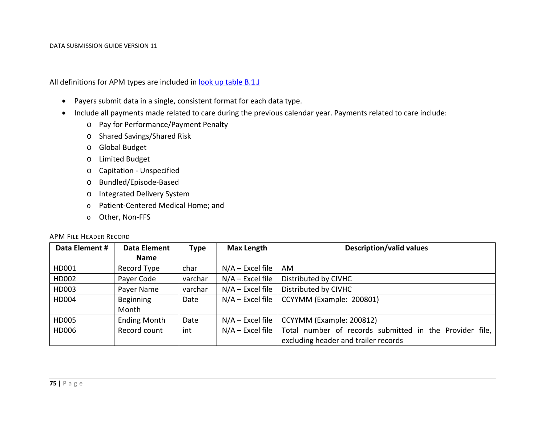All definitions for APM types are included in <u>look up table B.1.J</u>

- Payers submit data in <sup>a</sup> single, consistent format for each data type.
- Include all payments made related to care during the previous calendar year. Payments related to care include:
	- o Pay for Performance/Payment Penalty
	- o Shared Savings/Shared Risk
	- o Global Budget
	- o Limited Budget
	- o Capitation ‐ Unspecified
	- o Bundled/Episode‐Based
	- o Integrated Delivery System
	- o Patient‐Centered Medical Home; and
	- o Other, Non‐FFS

### APM FILE HEADER RECORD

| Data Element # | <b>Data Element</b> | <b>Type</b> | <b>Max Length</b>  | <b>Description/valid values</b>                         |
|----------------|---------------------|-------------|--------------------|---------------------------------------------------------|
|                | <b>Name</b>         |             |                    |                                                         |
| HD001          | Record Type         | char        | $N/A$ – Excel file | AM                                                      |
| HD002          | Payer Code          | varchar     | $N/A$ – Excel file | Distributed by CIVHC                                    |
| HD003          | Payer Name          | varchar     | $N/A$ – Excel file | Distributed by CIVHC                                    |
| HD004          | Beginning           | Date        | $N/A$ – Excel file | CCYYMM (Example: 200801)                                |
|                | Month               |             |                    |                                                         |
| HD005          | <b>Ending Month</b> | Date        | $N/A$ – Excel file | CCYYMM (Example: 200812)                                |
| HD006          | Record count        | int         | $N/A$ – Excel file | Total number of records submitted in the Provider file, |
|                |                     |             |                    | excluding header and trailer records                    |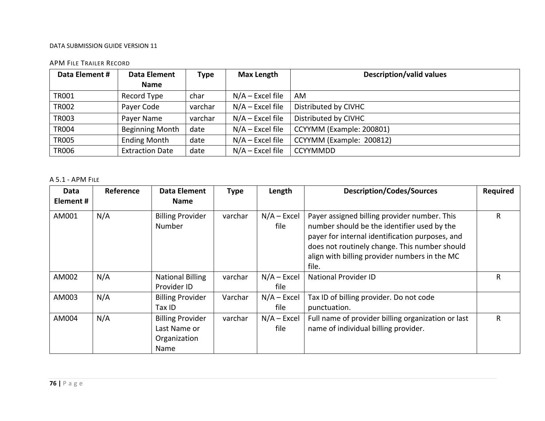### APM FILE TRAILER RECORD

| Data Element # | Data Element           | <b>Type</b> | <b>Max Length</b>  | <b>Description/valid values</b> |
|----------------|------------------------|-------------|--------------------|---------------------------------|
|                | <b>Name</b>            |             |                    |                                 |
| TR001          | Record Type            | char        | $N/A$ – Excel file | AM                              |
| <b>TR002</b>   | Payer Code             | varchar     | $N/A$ – Excel file | Distributed by CIVHC            |
| <b>TR003</b>   | Payer Name             | varchar     | $N/A$ – Excel file | Distributed by CIVHC            |
| <b>TR004</b>   | <b>Beginning Month</b> | date        | $N/A$ – Excel file | CCYYMM (Example: 200801)        |
| <b>TR005</b>   | <b>Ending Month</b>    | date        | $N/A$ – Excel file | CCYYMM (Example: 200812)        |
| <b>TR006</b>   | <b>Extraction Date</b> | date        | $N/A$ – Excel file | <b>CCYYMMDD</b>                 |

### A 5.1 ‐ APM FILE

| Data<br>Element# | Reference | <b>Data Element</b><br><b>Name</b>                              | <b>Type</b> | Length                | <b>Description/Codes/Sources</b>                                                                                                                                                                                                                          | Required |
|------------------|-----------|-----------------------------------------------------------------|-------------|-----------------------|-----------------------------------------------------------------------------------------------------------------------------------------------------------------------------------------------------------------------------------------------------------|----------|
| AM001            | N/A       | <b>Billing Provider</b><br><b>Number</b>                        | varchar     | $N/A - Excel$<br>file | Payer assigned billing provider number. This<br>number should be the identifier used by the<br>payer for internal identification purposes, and<br>does not routinely change. This number should<br>align with billing provider numbers in the MC<br>file. | R        |
| AM002            | N/A       | <b>National Billing</b><br>Provider ID                          | varchar     | $N/A - Excel$<br>file | <b>National Provider ID</b>                                                                                                                                                                                                                               | R        |
| AM003            | N/A       | <b>Billing Provider</b><br>Tax ID                               | Varchar     | $N/A - Excel$<br>file | Tax ID of billing provider. Do not code<br>punctuation.                                                                                                                                                                                                   |          |
| AM004            | N/A       | <b>Billing Provider</b><br>Last Name or<br>Organization<br>Name | varchar     | $N/A - Excel$<br>file | Full name of provider billing organization or last<br>name of individual billing provider.                                                                                                                                                                | R        |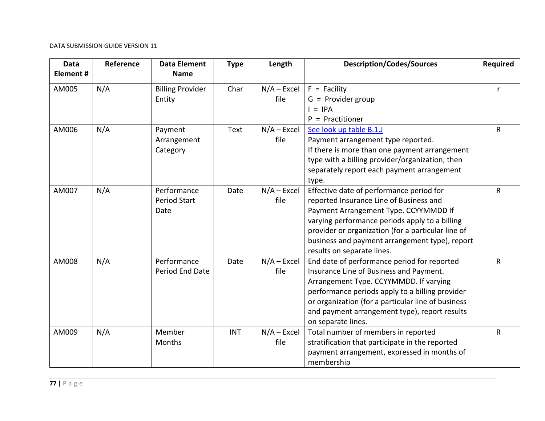| <b>Data</b><br>Element# | Reference | <b>Data Element</b><br><b>Name</b>         | <b>Type</b> | Length                | <b>Description/Codes/Sources</b>                                                                                                                                                                                                                                                                                     | Required |
|-------------------------|-----------|--------------------------------------------|-------------|-----------------------|----------------------------------------------------------------------------------------------------------------------------------------------------------------------------------------------------------------------------------------------------------------------------------------------------------------------|----------|
| AM005                   | N/A       | <b>Billing Provider</b><br>Entity          | Char        | $N/A - Excel$<br>file | $F =$ Facility<br>$G =$ Provider group<br>$=$ IPA<br>$P =$ Practitioner                                                                                                                                                                                                                                              | r        |
| AM006                   | N/A       | Payment<br>Arrangement<br>Category         | Text        | $N/A - Excel$<br>file | See look up table B.1.J<br>Payment arrangement type reported.<br>If there is more than one payment arrangement<br>type with a billing provider/organization, then<br>separately report each payment arrangement<br>type.                                                                                             | R        |
| AM007                   | N/A       | Performance<br><b>Period Start</b><br>Date | Date        | $N/A - Excel$<br>file | Effective date of performance period for<br>reported Insurance Line of Business and<br>Payment Arrangement Type. CCYYMMDD If<br>varying performance periods apply to a billing<br>provider or organization (for a particular line of<br>business and payment arrangement type), report<br>results on separate lines. | R        |
| AM008                   | N/A       | Performance<br>Period End Date             | Date        | $N/A$ – Excel<br>file | End date of performance period for reported<br>Insurance Line of Business and Payment.<br>Arrangement Type. CCYYMMDD. If varying<br>performance periods apply to a billing provider<br>or organization (for a particular line of business<br>and payment arrangement type), report results<br>on separate lines.     | R        |
| AM009                   | N/A       | Member<br>Months                           | <b>INT</b>  | $N/A$ – Excel<br>file | Total number of members in reported<br>stratification that participate in the reported<br>payment arrangement, expressed in months of<br>membership                                                                                                                                                                  | R        |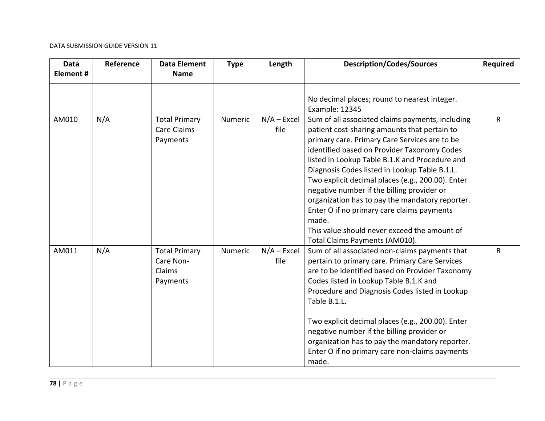| <b>Data</b><br>Element# | Reference | <b>Data Element</b><br><b>Name</b>                      | <b>Type</b> | Length                | <b>Description/Codes/Sources</b>                                                                                                                                                                                                                                                                                                                                                                                                                                                                                                                                                                   | <b>Required</b> |
|-------------------------|-----------|---------------------------------------------------------|-------------|-----------------------|----------------------------------------------------------------------------------------------------------------------------------------------------------------------------------------------------------------------------------------------------------------------------------------------------------------------------------------------------------------------------------------------------------------------------------------------------------------------------------------------------------------------------------------------------------------------------------------------------|-----------------|
|                         |           |                                                         |             |                       | No decimal places; round to nearest integer.<br>Example: 12345                                                                                                                                                                                                                                                                                                                                                                                                                                                                                                                                     |                 |
| AM010                   | N/A       | <b>Total Primary</b><br><b>Care Claims</b><br>Payments  | Numeric     | $N/A$ – Excel<br>file | Sum of all associated claims payments, including<br>patient cost-sharing amounts that pertain to<br>primary care. Primary Care Services are to be<br>identified based on Provider Taxonomy Codes<br>listed in Lookup Table B.1.K and Procedure and<br>Diagnosis Codes listed in Lookup Table B.1.L.<br>Two explicit decimal places (e.g., 200.00). Enter<br>negative number if the billing provider or<br>organization has to pay the mandatory reporter.<br>Enter O if no primary care claims payments<br>made.<br>This value should never exceed the amount of<br>Total Claims Payments (AM010). | R               |
| AM011                   | N/A       | <b>Total Primary</b><br>Care Non-<br>Claims<br>Payments | Numeric     | $N/A - Excel$<br>file | Sum of all associated non-claims payments that<br>pertain to primary care. Primary Care Services<br>are to be identified based on Provider Taxonomy<br>Codes listed in Lookup Table B.1.K and<br>Procedure and Diagnosis Codes listed in Lookup<br>Table B.1.L.<br>Two explicit decimal places (e.g., 200.00). Enter<br>negative number if the billing provider or<br>organization has to pay the mandatory reporter.<br>Enter O if no primary care non-claims payments<br>made.                                                                                                                   | $\mathsf{R}$    |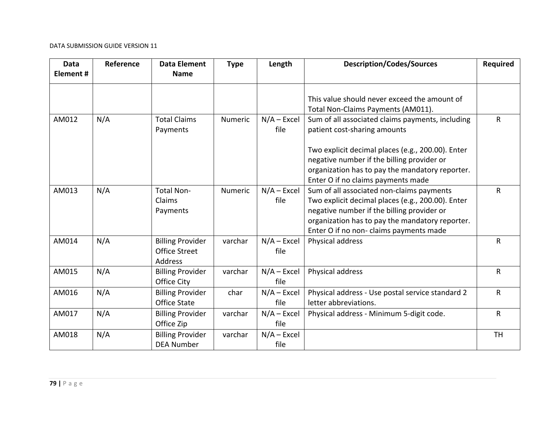| <b>Data</b><br>Element # | Reference | <b>Data Element</b><br><b>Name</b>                         | <b>Type</b> | Length                | <b>Description/Codes/Sources</b>                                                                                                                                                                                                           | <b>Required</b> |
|--------------------------|-----------|------------------------------------------------------------|-------------|-----------------------|--------------------------------------------------------------------------------------------------------------------------------------------------------------------------------------------------------------------------------------------|-----------------|
|                          |           |                                                            |             |                       | This value should never exceed the amount of<br>Total Non-Claims Payments (AM011).                                                                                                                                                         |                 |
| AM012                    | N/A       | <b>Total Claims</b><br>Payments                            | Numeric     | $N/A - Excel$<br>file | Sum of all associated claims payments, including<br>patient cost-sharing amounts                                                                                                                                                           | R               |
|                          |           |                                                            |             |                       | Two explicit decimal places (e.g., 200.00). Enter<br>negative number if the billing provider or<br>organization has to pay the mandatory reporter.<br>Enter O if no claims payments made                                                   |                 |
| AM013                    | N/A       | Total Non-<br>Claims<br>Payments                           | Numeric     | $N/A$ – Excel<br>file | Sum of all associated non-claims payments<br>Two explicit decimal places (e.g., 200.00). Enter<br>negative number if the billing provider or<br>organization has to pay the mandatory reporter.<br>Enter O if no non- claims payments made | R               |
| AM014                    | N/A       | <b>Billing Provider</b><br><b>Office Street</b><br>Address | varchar     | $N/A$ – Excel<br>file | Physical address                                                                                                                                                                                                                           | R               |
| AM015                    | N/A       | <b>Billing Provider</b><br>Office City                     | varchar     | $N/A - Excel$<br>file | Physical address                                                                                                                                                                                                                           | $\mathsf R$     |
| AM016                    | N/A       | <b>Billing Provider</b><br><b>Office State</b>             | char        | $N/A$ – Excel<br>file | Physical address - Use postal service standard 2<br>letter abbreviations.                                                                                                                                                                  | R               |
| AM017                    | N/A       | <b>Billing Provider</b><br>Office Zip                      | varchar     | $N/A$ – Excel<br>file | Physical address - Minimum 5-digit code.                                                                                                                                                                                                   | $\mathsf{R}$    |
| AM018                    | N/A       | <b>Billing Provider</b><br><b>DEA Number</b>               | varchar     | $N/A - Excel$<br>file |                                                                                                                                                                                                                                            | <b>TH</b>       |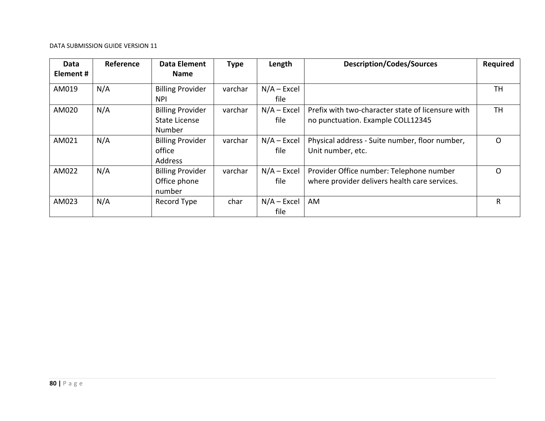| Data      | Reference | <b>Data Element</b>     | <b>Type</b> | Length        | <b>Description/Codes/Sources</b>                  | <b>Required</b> |
|-----------|-----------|-------------------------|-------------|---------------|---------------------------------------------------|-----------------|
| Element # |           | <b>Name</b>             |             |               |                                                   |                 |
| AM019     | N/A       | <b>Billing Provider</b> | varchar     | $N/A - Excel$ |                                                   | TН              |
|           |           | <b>NPI</b>              |             | file          |                                                   |                 |
| AM020     | N/A       | <b>Billing Provider</b> | varchar     | $N/A - Excel$ | Prefix with two-character state of licensure with | <b>TH</b>       |
|           |           | <b>State License</b>    |             | file          | no punctuation. Example COLL12345                 |                 |
|           |           | Number                  |             |               |                                                   |                 |
| AM021     | N/A       | <b>Billing Provider</b> | varchar     | $N/A - Excel$ | Physical address - Suite number, floor number,    | O               |
|           |           | office                  |             | file          | Unit number, etc.                                 |                 |
|           |           | <b>Address</b>          |             |               |                                                   |                 |
| AM022     | N/A       | <b>Billing Provider</b> | varchar     | $N/A - Excel$ | Provider Office number: Telephone number          | O               |
|           |           | Office phone            |             | file          | where provider delivers health care services.     |                 |
|           |           | number                  |             |               |                                                   |                 |
| AM023     | N/A       | Record Type             | char        | $N/A - Excel$ | AM                                                | R               |
|           |           |                         |             | file          |                                                   |                 |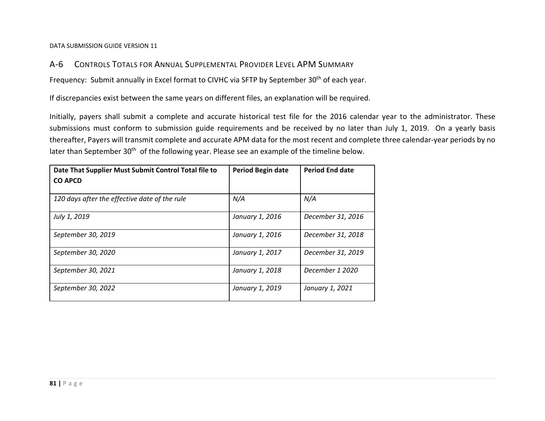#### $A-6$ CONTROLS TOTALS FOR ANNUAL SUPPLEMENTAL PROVIDER LEVEL APM SUMMARY

Frequency: Submit annually in Excel format to CIVHC via SFTP by September 30<sup>th</sup> of each year.

If discrepancies exist between the same years on different files, an explanation will be required.

Initially, payers shall submit <sup>a</sup> complete and accurate historical test file for the 2016 calendar year to the administrator. These submissions must conform to submission guide requirements and be received by no later than July 1, 2019. On <sup>a</sup> yearly basis thereafter, Payers will transmit complete and accurate APM data for the most recent and complete three calendar‐year periods by no later than September 30<sup>th</sup> of the following year. Please see an example of the timeline below.

| Date That Supplier Must Submit Control Total file to<br><b>CO APCD</b> | Period Begin date | <b>Period End date</b> |
|------------------------------------------------------------------------|-------------------|------------------------|
| 120 days after the effective date of the rule                          | N/A               | N/A                    |
| July 1, 2019                                                           | January 1, 2016   | December 31, 2016      |
| September 30, 2019                                                     | January 1, 2016   | December 31, 2018      |
| September 30, 2020                                                     | January 1, 2017   | December 31, 2019      |
| September 30, 2021                                                     | January 1, 2018   | December 1 2020        |
| September 30, 2022                                                     | January 1, 2019   | January 1, 2021        |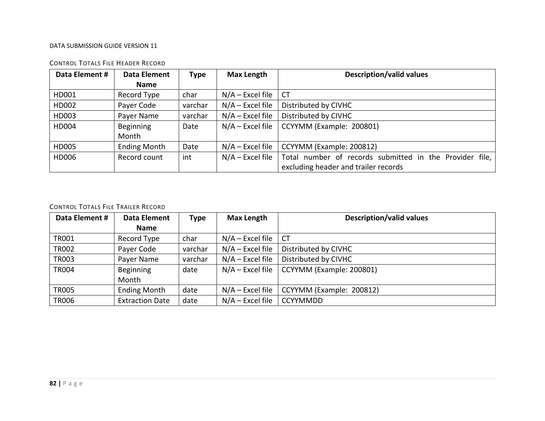| Data Element # | Data Element        | <b>Type</b> | <b>Max Length</b>  | <b>Description/valid values</b>                         |
|----------------|---------------------|-------------|--------------------|---------------------------------------------------------|
|                | <b>Name</b>         |             |                    |                                                         |
| HD001          | Record Type         | char        | $N/A$ – Excel file | <b>CT</b>                                               |
| HD002          | Payer Code          | varchar     | $N/A$ – Excel file | Distributed by CIVHC                                    |
| HD003          | Payer Name          | varchar     | $N/A$ – Excel file | Distributed by CIVHC                                    |
| HD004          | Beginning           | Date        | $N/A$ – Excel file | CCYYMM (Example: 200801)                                |
|                | Month               |             |                    |                                                         |
| HD005          | <b>Ending Month</b> | Date        | $N/A$ – Excel file | CCYYMM (Example: 200812)                                |
| HD006          | Record count        | int         | $N/A$ – Excel file | Total number of records submitted in the Provider file, |
|                |                     |             |                    | excluding header and trailer records                    |

### CONTROL TOTALS FILE HEADER RECORD

### CONTROL TOTALS FILE TRAILER RECORD

| Data Element # | <b>Data Element</b>    | <b>Type</b> | <b>Max Length</b>  | <b>Description/valid values</b> |
|----------------|------------------------|-------------|--------------------|---------------------------------|
|                | <b>Name</b>            |             |                    |                                 |
| <b>TR001</b>   | Record Type            | char        | $N/A$ – Excel file | <b>CT</b>                       |
| <b>TR002</b>   | Payer Code             | varchar     | $N/A$ – Excel file | Distributed by CIVHC            |
| <b>TR003</b>   | Payer Name             | varchar     | $N/A$ – Excel file | Distributed by CIVHC            |
| <b>TR004</b>   | <b>Beginning</b>       | date        | $N/A$ – Excel file | CCYYMM (Example: 200801)        |
|                | Month                  |             |                    |                                 |
| <b>TR005</b>   | <b>Ending Month</b>    | date        | $N/A$ – Excel file | CCYYMM (Example: 200812)        |
| <b>TR006</b>   | <b>Extraction Date</b> | date        | $N/A$ – Excel file | <b>CCYYMMDD</b>                 |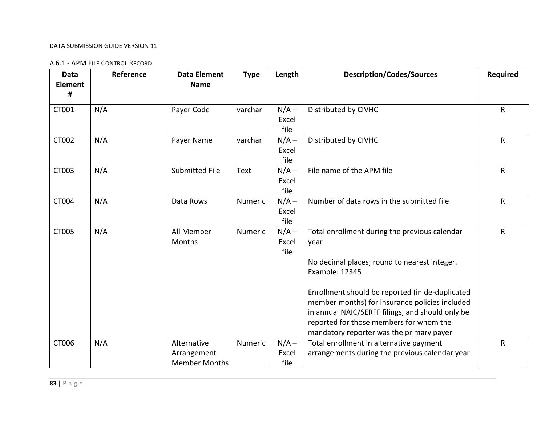### A 6.1 ‐ APM FILE CONTROL RECORD

| Data<br><b>Element</b><br># | Reference | <b>Data Element</b><br><b>Name</b>                 | <b>Type</b> | Length                   | <b>Description/Codes/Sources</b>                                                                                                                                                                                                                                                                                                                                        | <b>Required</b> |
|-----------------------------|-----------|----------------------------------------------------|-------------|--------------------------|-------------------------------------------------------------------------------------------------------------------------------------------------------------------------------------------------------------------------------------------------------------------------------------------------------------------------------------------------------------------------|-----------------|
| CT001                       | N/A       | Payer Code                                         | varchar     | $N/A -$<br>Excel<br>file | Distributed by CIVHC                                                                                                                                                                                                                                                                                                                                                    | $\mathsf{R}$    |
| CT002                       | N/A       | Payer Name                                         | varchar     | $N/A -$<br>Excel<br>file | Distributed by CIVHC                                                                                                                                                                                                                                                                                                                                                    | $\mathsf R$     |
| CT003                       | N/A       | <b>Submitted File</b>                              | <b>Text</b> | $N/A -$<br>Excel<br>file | File name of the APM file                                                                                                                                                                                                                                                                                                                                               | $\mathsf{R}$    |
| CT004                       | N/A       | Data Rows                                          | Numeric     | $N/A -$<br>Excel<br>file | Number of data rows in the submitted file                                                                                                                                                                                                                                                                                                                               | $\mathsf R$     |
| CT005                       | N/A       | All Member<br>Months                               | Numeric     | $N/A -$<br>Excel<br>file | Total enrollment during the previous calendar<br>year<br>No decimal places; round to nearest integer.<br>Example: 12345<br>Enrollment should be reported (in de-duplicated<br>member months) for insurance policies included<br>in annual NAIC/SERFF filings, and should only be<br>reported for those members for whom the<br>mandatory reporter was the primary payer | ${\sf R}$       |
| CT006                       | N/A       | Alternative<br>Arrangement<br><b>Member Months</b> | Numeric     | $N/A -$<br>Excel<br>file | Total enrollment in alternative payment<br>arrangements during the previous calendar year                                                                                                                                                                                                                                                                               | ${\sf R}$       |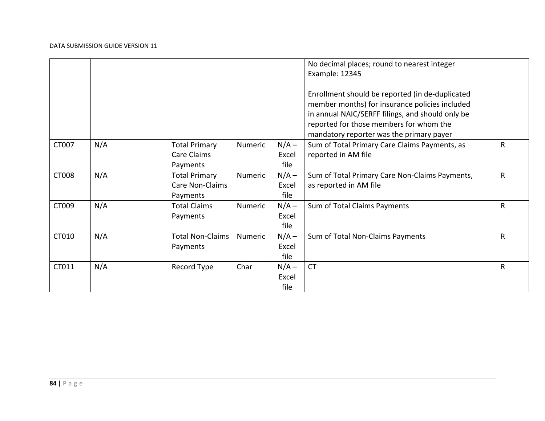|       |     |                         |                |         | No decimal places; round to nearest integer<br>Example: 12345 |              |
|-------|-----|-------------------------|----------------|---------|---------------------------------------------------------------|--------------|
|       |     |                         |                |         | Enrollment should be reported (in de-duplicated               |              |
|       |     |                         |                |         | member months) for insurance policies included                |              |
|       |     |                         |                |         | in annual NAIC/SERFF filings, and should only be              |              |
|       |     |                         |                |         | reported for those members for whom the                       |              |
|       |     |                         |                |         | mandatory reporter was the primary payer                      |              |
| CT007 | N/A | <b>Total Primary</b>    | <b>Numeric</b> | $N/A -$ | Sum of Total Primary Care Claims Payments, as                 | R            |
|       |     | Care Claims             |                | Excel   | reported in AM file                                           |              |
|       |     | Payments                |                | file    |                                                               |              |
| CT008 | N/A | <b>Total Primary</b>    | Numeric        | $N/A -$ | Sum of Total Primary Care Non-Claims Payments,                | R            |
|       |     | <b>Care Non-Claims</b>  |                | Excel   | as reported in AM file                                        |              |
|       |     | Payments                |                | file    |                                                               |              |
| CT009 | N/A | <b>Total Claims</b>     | <b>Numeric</b> | $N/A -$ | Sum of Total Claims Payments                                  | R            |
|       |     | Payments                |                | Excel   |                                                               |              |
|       |     |                         |                | file    |                                                               |              |
| CT010 | N/A | <b>Total Non-Claims</b> | Numeric        | $N/A -$ | Sum of Total Non-Claims Payments                              | $\mathsf{R}$ |
|       |     | Payments                |                | Excel   |                                                               |              |
|       |     |                         |                | file    |                                                               |              |
| CT011 | N/A | Record Type             | Char           | $N/A -$ | <b>CT</b>                                                     | R            |
|       |     |                         |                | Excel   |                                                               |              |
|       |     |                         |                | file    |                                                               |              |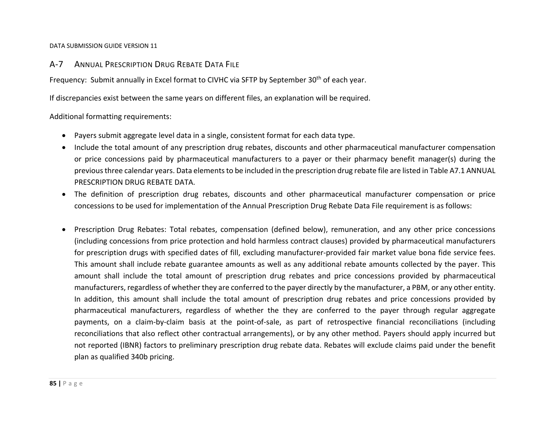# A‐7 ANNUAL PRESCRIPTION DRUG REBATE DATA FILE

Frequency: Submit annually in Excel format to CIVHC via SFTP by September 30<sup>th</sup> of each year.

If discrepancies exist between the same years on different files, an explanation will be required.

Additional formatting requirements:

- Payers submit aggregate level data in <sup>a</sup> single, consistent format for each data type.
- Include the total amount of any prescription drug rebates, discounts and other pharmaceutical manufacturer compensation or price concessions paid by pharmaceutical manufacturers to <sup>a</sup> payer or their pharmacy benefit manager(s) during the previousthree calendar years. Data elementsto be included in the prescription drug rebate file are listed in Table A7.1 ANNUAL PRESCRIPTION DRUG REBATE DATA.
- The definition of prescription drug rebates, discounts and other pharmaceutical manufacturer compensation or price concessions to be used for implementation of the Annual Prescription Drug Rebate Data File requirement is as follows:
- Prescription Drug Rebates: Total rebates, compensation (defined below), remuneration, and any other price concessions (including concessions from price protection and hold harmless contract clauses) provided by pharmaceutical manufacturers for prescription drugs with specified dates of fill, excluding manufacturer‐provided fair market value bona fide service fees. This amount shall include rebate guarantee amounts as well as any additional rebate amounts collected by the payer. This amount shall include the total amount of prescription drug rebates and price concessions provided by pharmaceutical manufacturers, regardless of whether they are conferred to the payer directly by the manufacturer, <sup>a</sup> PBM, or any other entity. In addition, this amount shall include the total amount of prescription drug rebates and price concessions provided by pharmaceutical manufacturers, regardless of whether the they are conferred to the payer through regular aggregate payments, on <sup>a</sup> claim‐by‐claim basis at the point‐of‐sale, as part of retrospective financial reconciliations (including reconciliations that also reflect other contractual arrangements), or by any other method. Payers should apply incurred but not reported (IBNR) factors to preliminary prescription drug rebate data. Rebates will exclude claims paid under the benefit plan as qualified 340b pricing.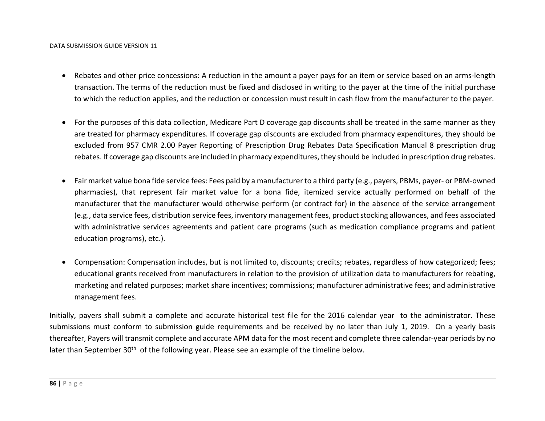- Rebates and other price concessions: A reduction in the amount a payer pays for an item or service based on an arms-length transaction. The terms of the reduction must be fixed and disclosed in writing to the payer at the time of the initial purchase to which the reduction applies, and the reduction or concession must result in cash flow from the manufacturer to the payer.
- For the purposes of this data collection, Medicare Part D coverage gap discounts shall be treated in the same manner as they are treated for pharmacy expenditures. If coverage gap discounts are excluded from pharmacy expenditures, they should be excluded from 957 CMR 2.00 Payer Reporting of Prescription Drug Rebates Data Specification Manual 8 prescription drug rebates. If coverage gap discounts are included in pharmacy expenditures, they should be included in prescription drug rebates.
- $\bullet$  Fair market value bona fide service fees: Fees paid by <sup>a</sup> manufacturer to <sup>a</sup> third party (e.g., payers, PBMs, payer‐ or PBM‐owned pharmacies), that represent fair market value for <sup>a</sup> bona fide, itemized service actually performed on behalf of the manufacturer that the manufacturer would otherwise perform (or contract for) in the absence of the service arrangement (e.g., data service fees, distribution service fees, inventory management fees, product stocking allowances, and fees associated with administrative services agreements and patient care programs (such as medication compliance programs and patient education programs), etc.).
- Compensation: Compensation includes, but is not limited to, discounts; credits; rebates, regardless of how categorized; fees; educational grants received from manufacturers in relation to the provision of utilization data to manufacturers for rebating, marketing and related purposes; market share incentives; commissions; manufacturer administrative fees; and administrative management fees.

Initially, payers shall submit <sup>a</sup> complete and accurate historical test file for the 2016 calendar year to the administrator. These submissions must conform to submission guide requirements and be received by no later than July 1, 2019. On <sup>a</sup> yearly basis thereafter, Payers will transmit complete and accurate APM data for the most recent and complete three calendar‐year periods by no later than September 30<sup>th</sup> of the following year. Please see an example of the timeline below.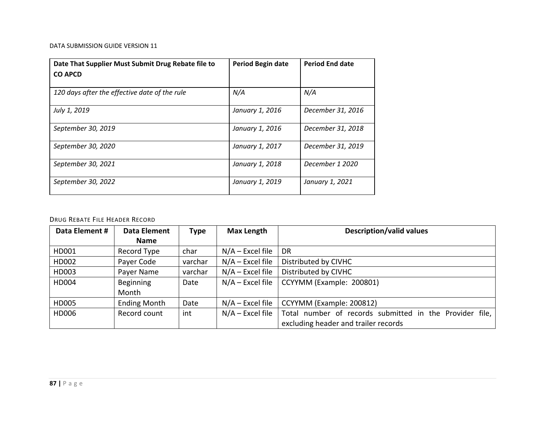| Date That Supplier Must Submit Drug Rebate file to<br><b>CO APCD</b> | <b>Period Begin date</b> | <b>Period End date</b> |
|----------------------------------------------------------------------|--------------------------|------------------------|
| 120 days after the effective date of the rule                        | N/A                      | N/A                    |
| July 1, 2019                                                         | January 1, 2016          | December 31, 2016      |
| September 30, 2019                                                   | January 1, 2016          | December 31, 2018      |
| September 30, 2020                                                   | January 1, 2017          | December 31, 2019      |
| September 30, 2021                                                   | January 1, 2018          | December 1 2020        |
| September 30, 2022                                                   | January 1, 2019          | January 1, 2021        |

### DRUG REBATE FILE HEADER RECORD

| Data Element # | <b>Data Element</b> | <b>Type</b> | <b>Max Length</b>  | <b>Description/valid values</b>                         |
|----------------|---------------------|-------------|--------------------|---------------------------------------------------------|
|                | <b>Name</b>         |             |                    |                                                         |
| HD001          | Record Type         | char        | $N/A$ – Excel file | <b>DR</b>                                               |
| HD002          | Payer Code          | varchar     | $N/A$ – Excel file | Distributed by CIVHC                                    |
| HD003          | Payer Name          | varchar     | $N/A$ – Excel file | Distributed by CIVHC                                    |
| HD004          | <b>Beginning</b>    | Date        | $N/A$ – Excel file | CCYYMM (Example: 200801)                                |
|                | Month               |             |                    |                                                         |
| HD005          | <b>Ending Month</b> | Date        | $N/A$ – Excel file | CCYYMM (Example: 200812)                                |
| HD006          | Record count        | int         | $N/A$ – Excel file | Total number of records submitted in the Provider file, |
|                |                     |             |                    | excluding header and trailer records                    |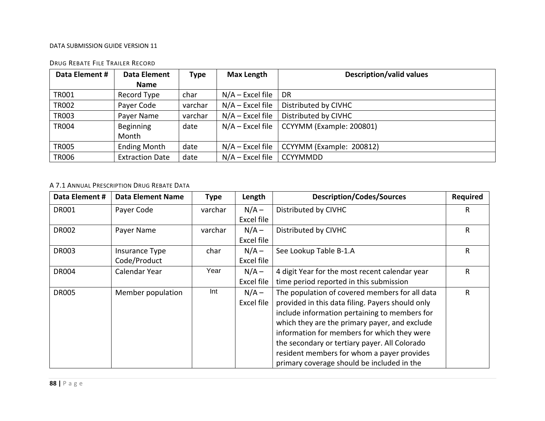| Data Element # | Data Element           | Type    | <b>Max Length</b>  | <b>Description/valid values</b> |
|----------------|------------------------|---------|--------------------|---------------------------------|
|                | <b>Name</b>            |         |                    |                                 |
| <b>TR001</b>   | Record Type            | char    | $N/A$ – Excel file | <b>DR</b>                       |
| <b>TR002</b>   | Payer Code             | varchar | $N/A$ – Excel file | Distributed by CIVHC            |
| <b>TR003</b>   | Payer Name             | varchar | $N/A$ – Excel file | Distributed by CIVHC            |
| <b>TR004</b>   | <b>Beginning</b>       | date    | $N/A$ – Excel file | CCYYMM (Example: 200801)        |
|                | Month                  |         |                    |                                 |
| <b>TR005</b>   | <b>Ending Month</b>    | date    | $N/A$ – Excel file | CCYYMM (Example: 200812)        |
| <b>TR006</b>   | <b>Extraction Date</b> | date    | $N/A$ – Excel file | <b>CCYYMMDD</b>                 |

### DRUG REBATE FILE TRAILER RECORD

### A 7.1 ANNUAL PRESCRIPTION DRUG REBATE DATA

| Data Element # | <b>Data Element Name</b> | Type    | Length     | <b>Description/Codes/Sources</b>                 | <b>Required</b> |
|----------------|--------------------------|---------|------------|--------------------------------------------------|-----------------|
| <b>DR001</b>   | Payer Code               | varchar | $N/A -$    | Distributed by CIVHC                             | R.              |
|                |                          |         | Excel file |                                                  |                 |
| <b>DR002</b>   | Payer Name               | varchar | $N/A -$    | Distributed by CIVHC                             | R               |
|                |                          |         | Excel file |                                                  |                 |
| <b>DR003</b>   | Insurance Type           | char    | $N/A -$    | See Lookup Table B-1.A                           | R               |
|                | Code/Product             |         | Excel file |                                                  |                 |
| <b>DR004</b>   | Calendar Year            | Year    | $N/A -$    | 4 digit Year for the most recent calendar year   | R               |
|                |                          |         | Excel file | time period reported in this submission          |                 |
| <b>DR005</b>   | Member population        | Int     | $N/A -$    | The population of covered members for all data   | R               |
|                |                          |         | Excel file | provided in this data filing. Payers should only |                 |
|                |                          |         |            | include information pertaining to members for    |                 |
|                |                          |         |            | which they are the primary payer, and exclude    |                 |
|                |                          |         |            | information for members for which they were      |                 |
|                |                          |         |            | the secondary or tertiary payer. All Colorado    |                 |
|                |                          |         |            | resident members for whom a payer provides       |                 |
|                |                          |         |            | primary coverage should be included in the       |                 |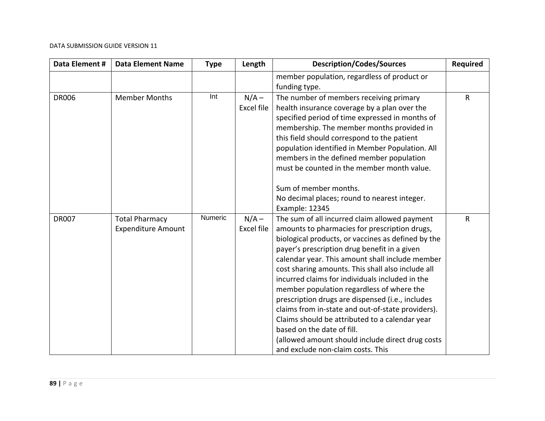| Data Element # | <b>Data Element Name</b>                           | <b>Type</b> | Length                       | <b>Description/Codes/Sources</b>                                                                                                                                                                                                                                                                                                                                                                                                                                                                                                                                                                                                                                                               | <b>Required</b> |
|----------------|----------------------------------------------------|-------------|------------------------------|------------------------------------------------------------------------------------------------------------------------------------------------------------------------------------------------------------------------------------------------------------------------------------------------------------------------------------------------------------------------------------------------------------------------------------------------------------------------------------------------------------------------------------------------------------------------------------------------------------------------------------------------------------------------------------------------|-----------------|
|                |                                                    |             |                              | member population, regardless of product or<br>funding type.                                                                                                                                                                                                                                                                                                                                                                                                                                                                                                                                                                                                                                   |                 |
| <b>DR006</b>   | <b>Member Months</b>                               | Int         | $N/A -$<br><b>Excel file</b> | The number of members receiving primary<br>health insurance coverage by a plan over the<br>specified period of time expressed in months of<br>membership. The member months provided in<br>this field should correspond to the patient<br>population identified in Member Population. All<br>members in the defined member population<br>must be counted in the member month value.                                                                                                                                                                                                                                                                                                            | $\mathsf{R}$    |
|                |                                                    |             |                              | Sum of member months.<br>No decimal places; round to nearest integer.<br>Example: 12345                                                                                                                                                                                                                                                                                                                                                                                                                                                                                                                                                                                                        |                 |
| <b>DR007</b>   | <b>Total Pharmacy</b><br><b>Expenditure Amount</b> | Numeric     | $N/A -$<br><b>Excel file</b> | The sum of all incurred claim allowed payment<br>amounts to pharmacies for prescription drugs,<br>biological products, or vaccines as defined by the<br>payer's prescription drug benefit in a given<br>calendar year. This amount shall include member<br>cost sharing amounts. This shall also include all<br>incurred claims for individuals included in the<br>member population regardless of where the<br>prescription drugs are dispensed (i.e., includes<br>claims from in-state and out-of-state providers).<br>Claims should be attributed to a calendar year<br>based on the date of fill.<br>(allowed amount should include direct drug costs<br>and exclude non-claim costs. This | $\mathsf{R}$    |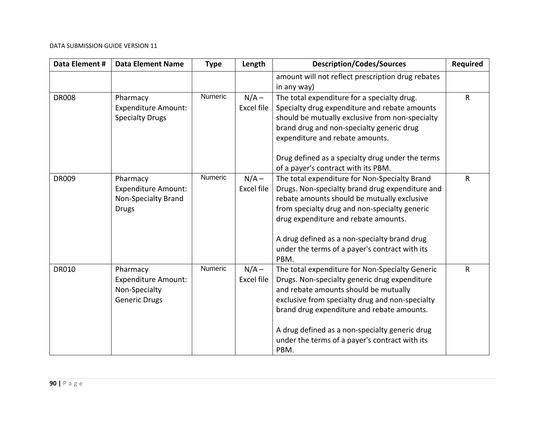| Data Element # | <b>Data Element Name</b>                                                        | <b>Type</b> | Length                       | <b>Description/Codes/Sources</b>                                                                                                                                                                                                                                                                                                                       | <b>Required</b> |
|----------------|---------------------------------------------------------------------------------|-------------|------------------------------|--------------------------------------------------------------------------------------------------------------------------------------------------------------------------------------------------------------------------------------------------------------------------------------------------------------------------------------------------------|-----------------|
|                |                                                                                 |             |                              | amount will not reflect prescription drug rebates<br>in any way)                                                                                                                                                                                                                                                                                       |                 |
| <b>DR008</b>   | Pharmacy<br><b>Expenditure Amount:</b><br><b>Specialty Drugs</b>                | Numeric     | $N/A -$<br>Excel file        | The total expenditure for a specialty drug.<br>Specialty drug expenditure and rebate amounts<br>should be mutually exclusive from non-specialty<br>brand drug and non-specialty generic drug<br>expenditure and rebate amounts.                                                                                                                        | $\mathsf{R}$    |
|                |                                                                                 |             |                              | Drug defined as a specialty drug under the terms<br>of a payer's contract with its PBM.                                                                                                                                                                                                                                                                |                 |
| <b>DR009</b>   | Pharmacy<br><b>Expenditure Amount:</b><br>Non-Specialty Brand<br><b>Drugs</b>   | Numeric     | $N/A -$<br>Excel file        | The total expenditure for Non-Specialty Brand<br>Drugs. Non-specialty brand drug expenditure and<br>rebate amounts should be mutually exclusive<br>from specialty drug and non-specialty generic<br>drug expenditure and rebate amounts.<br>A drug defined as a non-specialty brand drug<br>under the terms of a payer's contract with its<br>PBM.     | $\mathsf{R}$    |
| <b>DR010</b>   | Pharmacy<br><b>Expenditure Amount:</b><br>Non-Specialty<br><b>Generic Drugs</b> | Numeric     | $N/A -$<br><b>Excel file</b> | The total expenditure for Non-Specialty Generic<br>Drugs. Non-specialty generic drug expenditure<br>and rebate amounts should be mutually<br>exclusive from specialty drug and non-specialty<br>brand drug expenditure and rebate amounts.<br>A drug defined as a non-specialty generic drug<br>under the terms of a payer's contract with its<br>PBM. | $\mathsf{R}$    |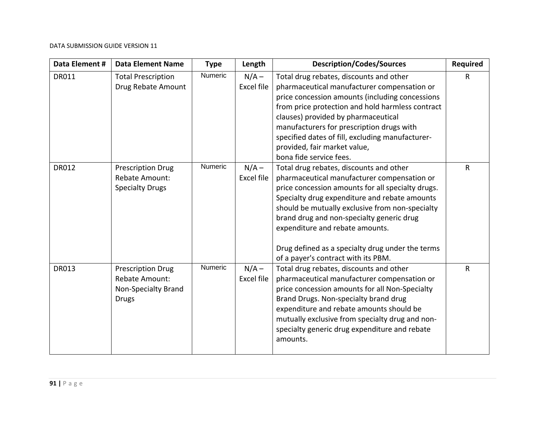| Data Element # | <b>Data Element Name</b>                                                          | <b>Type</b>    | Length                       | <b>Description/Codes/Sources</b>                                                                                                                                                                                                                                                                                                                                                                                           | <b>Required</b> |
|----------------|-----------------------------------------------------------------------------------|----------------|------------------------------|----------------------------------------------------------------------------------------------------------------------------------------------------------------------------------------------------------------------------------------------------------------------------------------------------------------------------------------------------------------------------------------------------------------------------|-----------------|
| <b>DR011</b>   | <b>Total Prescription</b><br>Drug Rebate Amount                                   | <b>Numeric</b> | $N/A -$<br>Excel file        | Total drug rebates, discounts and other<br>pharmaceutical manufacturer compensation or<br>price concession amounts (including concessions<br>from price protection and hold harmless contract<br>clauses) provided by pharmaceutical<br>manufacturers for prescription drugs with<br>specified dates of fill, excluding manufacturer-<br>provided, fair market value,<br>bona fide service fees.                           | $\mathsf{R}$    |
| <b>DR012</b>   | <b>Prescription Drug</b><br>Rebate Amount:<br><b>Specialty Drugs</b>              | Numeric        | $N/A -$<br><b>Excel file</b> | Total drug rebates, discounts and other<br>pharmaceutical manufacturer compensation or<br>price concession amounts for all specialty drugs.<br>Specialty drug expenditure and rebate amounts<br>should be mutually exclusive from non-specialty<br>brand drug and non-specialty generic drug<br>expenditure and rebate amounts.<br>Drug defined as a specialty drug under the terms<br>of a payer's contract with its PBM. | $\mathsf{R}$    |
| <b>DR013</b>   | <b>Prescription Drug</b><br>Rebate Amount:<br>Non-Specialty Brand<br><b>Drugs</b> | Numeric        | $N/A -$<br><b>Excel file</b> | Total drug rebates, discounts and other<br>pharmaceutical manufacturer compensation or<br>price concession amounts for all Non-Specialty<br>Brand Drugs. Non-specialty brand drug<br>expenditure and rebate amounts should be<br>mutually exclusive from specialty drug and non-<br>specialty generic drug expenditure and rebate<br>amounts.                                                                              | $\mathsf{R}$    |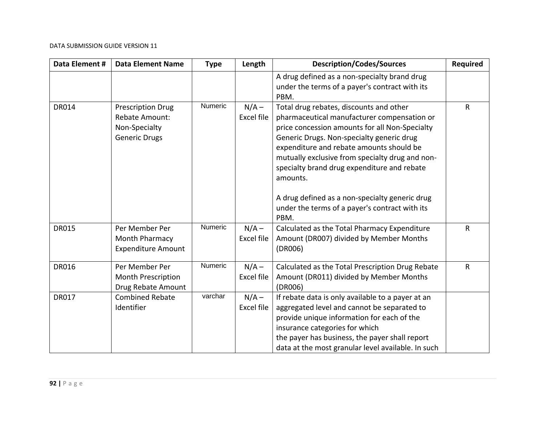| Data Element # | <b>Data Element Name</b>                                                                   | <b>Type</b> | Length                       | <b>Description/Codes/Sources</b>                                                                                                                                                                                                                                                                                                                                                                                                                    | <b>Required</b> |
|----------------|--------------------------------------------------------------------------------------------|-------------|------------------------------|-----------------------------------------------------------------------------------------------------------------------------------------------------------------------------------------------------------------------------------------------------------------------------------------------------------------------------------------------------------------------------------------------------------------------------------------------------|-----------------|
|                |                                                                                            |             |                              | A drug defined as a non-specialty brand drug<br>under the terms of a payer's contract with its<br>PBM.                                                                                                                                                                                                                                                                                                                                              |                 |
| <b>DR014</b>   | <b>Prescription Drug</b><br><b>Rebate Amount:</b><br>Non-Specialty<br><b>Generic Drugs</b> | Numeric     | $N/A -$<br><b>Excel file</b> | Total drug rebates, discounts and other<br>pharmaceutical manufacturer compensation or<br>price concession amounts for all Non-Specialty<br>Generic Drugs. Non-specialty generic drug<br>expenditure and rebate amounts should be<br>mutually exclusive from specialty drug and non-<br>specialty brand drug expenditure and rebate<br>amounts.<br>A drug defined as a non-specialty generic drug<br>under the terms of a payer's contract with its | $\mathsf{R}$    |
|                |                                                                                            |             |                              | PBM.                                                                                                                                                                                                                                                                                                                                                                                                                                                |                 |
| <b>DR015</b>   | Per Member Per<br>Month Pharmacy<br><b>Expenditure Amount</b>                              | Numeric     | $N/A -$<br><b>Excel file</b> | Calculated as the Total Pharmacy Expenditure<br>Amount (DR007) divided by Member Months<br>(DR006)                                                                                                                                                                                                                                                                                                                                                  | $\mathsf{R}$    |
| <b>DR016</b>   | Per Member Per<br>Month Prescription<br>Drug Rebate Amount                                 | Numeric     | $N/A -$<br><b>Excel file</b> | Calculated as the Total Prescription Drug Rebate<br>Amount (DR011) divided by Member Months<br>(DR006)                                                                                                                                                                                                                                                                                                                                              | ${\sf R}$       |
| <b>DR017</b>   | <b>Combined Rebate</b><br>Identifier                                                       | varchar     | $N/A -$<br><b>Excel file</b> | If rebate data is only available to a payer at an<br>aggregated level and cannot be separated to<br>provide unique information for each of the<br>insurance categories for which<br>the payer has business, the payer shall report<br>data at the most granular level available. In such                                                                                                                                                            |                 |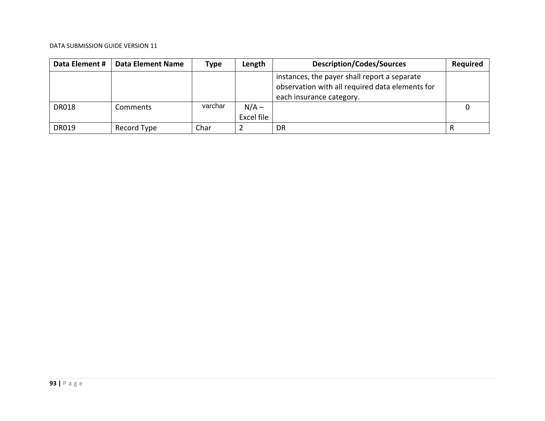| Data Element # | Data Element Name | Type    | Length                | <b>Description/Codes/Sources</b>                                                                                            | <b>Required</b> |
|----------------|-------------------|---------|-----------------------|-----------------------------------------------------------------------------------------------------------------------------|-----------------|
|                |                   |         |                       | instances, the payer shall report a separate<br>observation with all required data elements for<br>each insurance category. |                 |
| <b>DR018</b>   | Comments          | varchar | $N/A -$<br>Excel file |                                                                                                                             |                 |
| <b>DR019</b>   | Record Type       | Char    |                       | DR.                                                                                                                         | R               |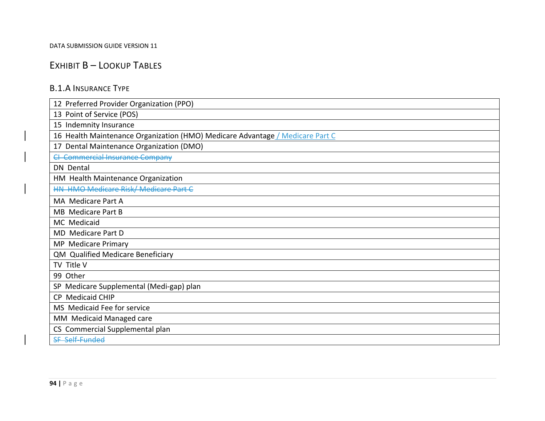# EXHIBIT B – LOOKUP TABLES

### B.1.A INSURANCE TYPE

| 12 Preferred Provider Organization (PPO)                                      |
|-------------------------------------------------------------------------------|
| 13 Point of Service (POS)                                                     |
| 15 Indemnity Insurance                                                        |
| 16 Health Maintenance Organization (HMO) Medicare Advantage / Medicare Part C |
| Dental Maintenance Organization (DMO)<br>17                                   |
| <b>CI Commercial Insurance Company</b>                                        |
| <b>DN</b> Dental                                                              |
| HM Health Maintenance Organization                                            |
| HN HMO Medicare Risk/ Medicare Part C                                         |
| MA Medicare Part A                                                            |
| <b>MB</b> Medicare Part B                                                     |
| MC Medicaid                                                                   |
| MD Medicare Part D                                                            |
| MP Medicare Primary                                                           |
| QM Qualified Medicare Beneficiary                                             |
| TV Title V                                                                    |
| 99 Other                                                                      |
| SP Medicare Supplemental (Medi-gap) plan                                      |
| <b>Medicaid CHIP</b><br>CP.                                                   |
| MS Medicaid Fee for service                                                   |
| MM Medicaid Managed care                                                      |
| CS Commercial Supplemental plan                                               |
| SF Self-Funded                                                                |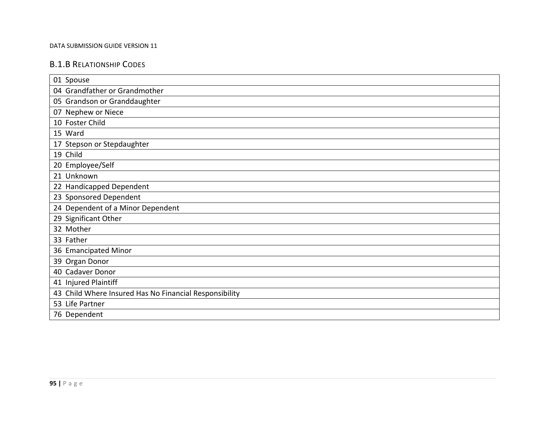## B.1.B RELATIONSHIP CODES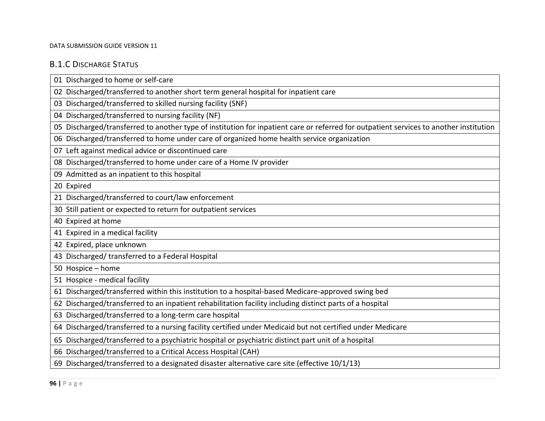# B.1.C DISCHARGE STATUS

| 02 Discharged/transferred to another short term general hospital for inpatient care<br>03 Discharged/transferred to skilled nursing facility (SNF)<br>04 Discharged/transferred to nursing facility (NF) |
|----------------------------------------------------------------------------------------------------------------------------------------------------------------------------------------------------------|
|                                                                                                                                                                                                          |
|                                                                                                                                                                                                          |
|                                                                                                                                                                                                          |
| 05 Discharged/transferred to another type of institution for inpatient care or referred for outpatient services to another institution                                                                   |
| 06 Discharged/transferred to home under care of organized home health service organization                                                                                                               |
| 07 Left against medical advice or discontinued care                                                                                                                                                      |
| 08 Discharged/transferred to home under care of a Home IV provider                                                                                                                                       |
| 09 Admitted as an inpatient to this hospital                                                                                                                                                             |
| 20 Expired                                                                                                                                                                                               |
| 21 Discharged/transferred to court/law enforcement                                                                                                                                                       |
| 30 Still patient or expected to return for outpatient services                                                                                                                                           |
| 40 Expired at home                                                                                                                                                                                       |
| 41 Expired in a medical facility                                                                                                                                                                         |
| 42 Expired, place unknown                                                                                                                                                                                |
| 43 Discharged/ transferred to a Federal Hospital                                                                                                                                                         |
| 50 Hospice - home                                                                                                                                                                                        |
| 51 Hospice - medical facility                                                                                                                                                                            |
| 61 Discharged/transferred within this institution to a hospital-based Medicare-approved swing bed                                                                                                        |
| 62 Discharged/transferred to an inpatient rehabilitation facility including distinct parts of a hospital                                                                                                 |
| 63 Discharged/transferred to a long-term care hospital                                                                                                                                                   |
| 64 Discharged/transferred to a nursing facility certified under Medicaid but not certified under Medicare                                                                                                |
| 65 Discharged/transferred to a psychiatric hospital or psychiatric distinct part unit of a hospital                                                                                                      |
| 66 Discharged/transferred to a Critical Access Hospital (CAH)                                                                                                                                            |
| 69 Discharged/transferred to a designated disaster alternative care site (effective 10/1/13)                                                                                                             |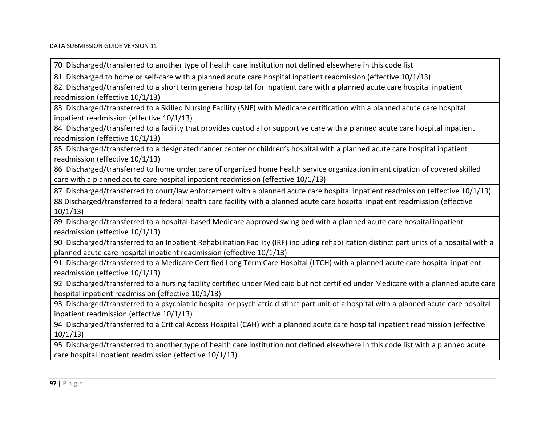70 Discharged/transferred to another type of health care institution not defined elsewhere in this code list

81 Discharged to home or self‐care with <sup>a</sup> planned acute care hospital inpatient readmission (effective 10/1/13)

82 Discharged/transferred to <sup>a</sup> short term general hospital for inpatient care with <sup>a</sup> planned acute care hospital inpatient readmission (effective 10/1/13)

83 Discharged/transferred to <sup>a</sup> Skilled Nursing Facility (SNF) with Medicare certification with <sup>a</sup> planned acute care hospital inpatient readmission (effective 10/1/13)

84 Discharged/transferred to <sup>a</sup> facility that provides custodial or supportive care with <sup>a</sup> planned acute care hospital inpatient readmission (effective 10/1/13)

85 Discharged/transferred to <sup>a</sup> designated cancer center or children's hospital with <sup>a</sup> planned acute care hospital inpatient readmission (effective 10/1/13)

86 Discharged/transferred to home under care of organized home health service organization in anticipation of covered skilled care with <sup>a</sup> planned acute care hospital inpatient readmission (effective 10/1/13)

87 Discharged/transferred to court/law enforcement with <sup>a</sup> planned acute care hospital inpatient readmission (effective 10/1/13)

88 Discharged/transferred to <sup>a</sup> federal health care facility with <sup>a</sup> planned acute care hospital inpatient readmission (effective 10/1/13)

89 Discharged/transferred to <sup>a</sup> hospital‐based Medicare approved swing bed with <sup>a</sup> planned acute care hospital inpatient readmission (effective 10/1/13)

90 Discharged/transferred to an Inpatient Rehabilitation Facility (IRF) including rehabilitation distinct part units of <sup>a</sup> hospital with <sup>a</sup> planned acute care hospital inpatient readmission (effective 10/1/13)

91 Discharged/transferred to <sup>a</sup> Medicare Certified Long Term Care Hospital (LTCH) with <sup>a</sup> planned acute care hospital inpatient readmission (effective 10/1/13)

92 Discharged/transferred to <sup>a</sup> nursing facility certified under Medicaid but not certified under Medicare with <sup>a</sup> planned acute care hospital inpatient readmission (effective 10/1/13)

93 Discharged/transferred to <sup>a</sup> psychiatric hospital or psychiatric distinct part unit of <sup>a</sup> hospital with <sup>a</sup> planned acute care hospital inpatient readmission (effective 10/1/13)

94 Discharged/transferred to <sup>a</sup> Critical Access Hospital (CAH) with <sup>a</sup> planned acute care hospital inpatient readmission (effective 10/1/13)

95 Discharged/transferred to another type of health care institution not defined elsewhere in this code list with <sup>a</sup> planned acute care hospital inpatient readmission (effective 10/1/13)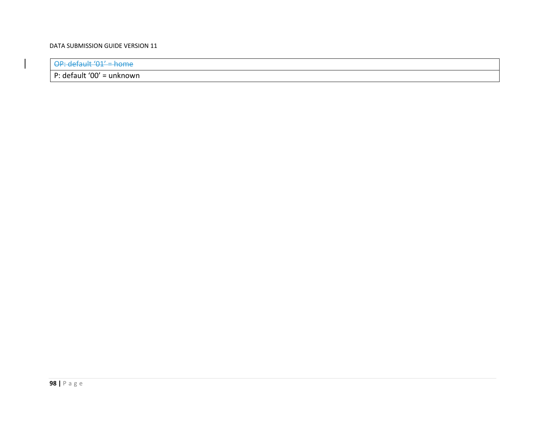OP: default '01' <sup>=</sup> home

P: default '00' <sup>=</sup> unknown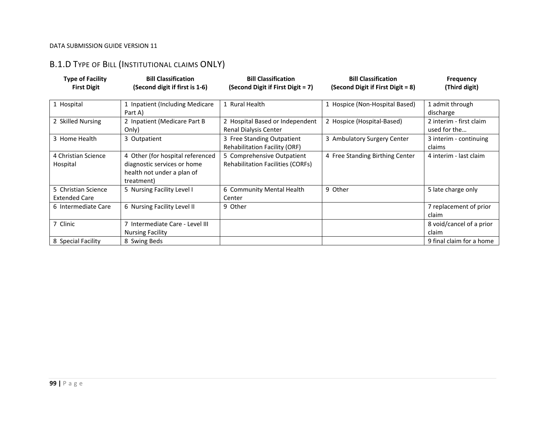# B.1.D TYPE OF BILL (INSTITUTIONAL CLAIMS ONLY)

| <b>Type of Facility</b><br><b>First Digit</b> | <b>Bill Classification</b><br>(Second digit if first is 1-6)                                                | <b>Bill Classification</b><br>(Second Digit if First Digit = 7)        | <b>Bill Classification</b><br>(Second Digit if First Digit = 8) | <b>Frequency</b><br>(Third digit)       |
|-----------------------------------------------|-------------------------------------------------------------------------------------------------------------|------------------------------------------------------------------------|-----------------------------------------------------------------|-----------------------------------------|
| 1 Hospital                                    | 1 Inpatient (Including Medicare<br>Part A)                                                                  | 1 Rural Health                                                         | 1 Hospice (Non-Hospital Based)                                  | 1 admit through<br>discharge            |
| 2 Skilled Nursing                             | 2 Inpatient (Medicare Part B<br>Only)                                                                       | 2 Hospital Based or Independent<br>Renal Dialysis Center               | 2 Hospice (Hospital-Based)                                      | 2 interim - first claim<br>used for the |
| 3 Home Health                                 | 3 Outpatient                                                                                                | 3 Free Standing Outpatient<br><b>Rehabilitation Facility (ORF)</b>     | 3 Ambulatory Surgery Center                                     | 3 interim - continuing<br>claims        |
| 4 Christian Science<br>Hospital               | 4 Other (for hospital referenced<br>diagnostic services or home<br>health not under a plan of<br>treatment) | 5 Comprehensive Outpatient<br><b>Rehabilitation Facilities (CORFs)</b> | 4 Free Standing Birthing Center                                 | 4 interim - last claim                  |
| 5 Christian Science<br><b>Extended Care</b>   | 5 Nursing Facility Level I                                                                                  | 6 Community Mental Health<br>Center                                    | 9 Other                                                         | 5 late charge only                      |
| 6 Intermediate Care                           | 6 Nursing Facility Level II                                                                                 | 9 Other                                                                |                                                                 | 7 replacement of prior<br>claim         |
| 7 Clinic                                      | 7 Intermediate Care - Level III<br><b>Nursing Facility</b>                                                  |                                                                        |                                                                 | 8 void/cancel of a prior<br>claim       |
| 8 Special Facility                            | 8 Swing Beds                                                                                                |                                                                        |                                                                 | 9 final claim for a home                |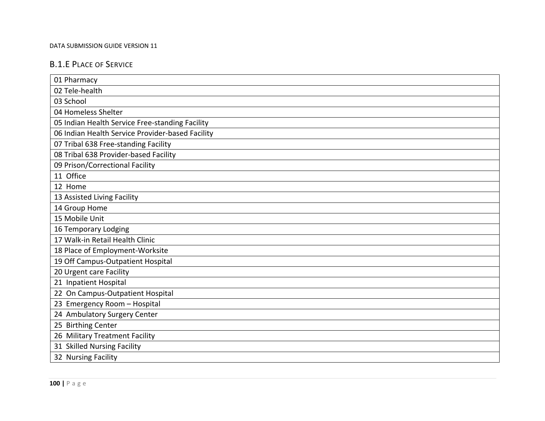# B.1.E PLACE OF SERVICE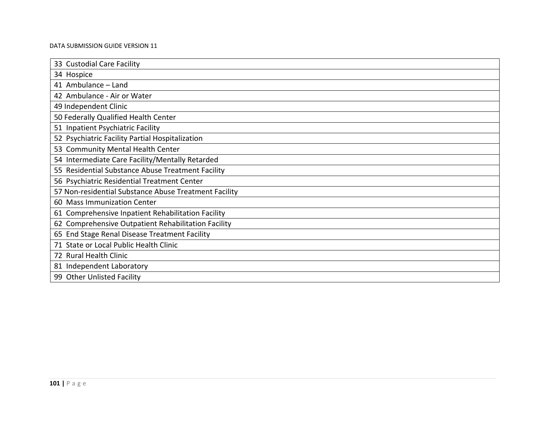| 33 Custodial Care Facility                            |
|-------------------------------------------------------|
| 34 Hospice                                            |
| 41 Ambulance - Land                                   |
| 42 Ambulance - Air or Water                           |
| 49 Independent Clinic                                 |
| 50 Federally Qualified Health Center                  |
| 51 Inpatient Psychiatric Facility                     |
| 52 Psychiatric Facility Partial Hospitalization       |
| 53 Community Mental Health Center                     |
| 54 Intermediate Care Facility/Mentally Retarded       |
| 55 Residential Substance Abuse Treatment Facility     |
| 56 Psychiatric Residential Treatment Center           |
| 57 Non-residential Substance Abuse Treatment Facility |
| 60 Mass Immunization Center                           |
| 61 Comprehensive Inpatient Rehabilitation Facility    |
| 62 Comprehensive Outpatient Rehabilitation Facility   |
| 65 End Stage Renal Disease Treatment Facility         |
| 71 State or Local Public Health Clinic                |
| 72 Rural Health Clinic                                |
| 81 Independent Laboratory                             |
| 99 Other Unlisted Facility                            |
|                                                       |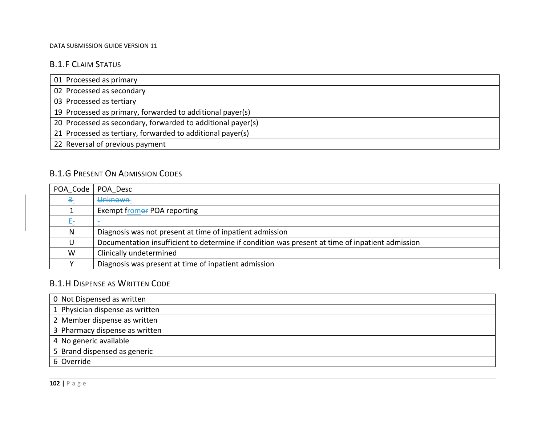# B.1.F CLAIM STATUS

| 01 Processed as primary                                     |  |
|-------------------------------------------------------------|--|
| 02 Processed as secondary                                   |  |
| 03 Processed as tertiary                                    |  |
| 19 Processed as primary, forwarded to additional payer(s)   |  |
| 20 Processed as secondary, forwarded to additional payer(s) |  |
| 21 Processed as tertiary, forwarded to additional payer(s)  |  |
| 22 Reversal of previous payment                             |  |

# B.1.G PRESENT ON ADMISSION CODES

| POA Code | POA Desc                                                                                        |
|----------|-------------------------------------------------------------------------------------------------|
| — 공      | Unknown-                                                                                        |
|          | Exempt fromer POA reporting                                                                     |
| €        |                                                                                                 |
| N        | Diagnosis was not present at time of inpatient admission                                        |
| U        | Documentation insufficient to determine if condition was present at time of inpatient admission |
| W        | Clinically undetermined                                                                         |
|          | Diagnosis was present at time of inpatient admission                                            |

# B.1.H DISPENSE AS WRITTEN CODE

| 0 Not Dispensed as written      |
|---------------------------------|
| 1 Physician dispense as written |
| 2 Member dispense as written    |
| 3 Pharmacy dispense as written  |
| 4 No generic available          |
| 5 Brand dispensed as generic    |
| 6 Override                      |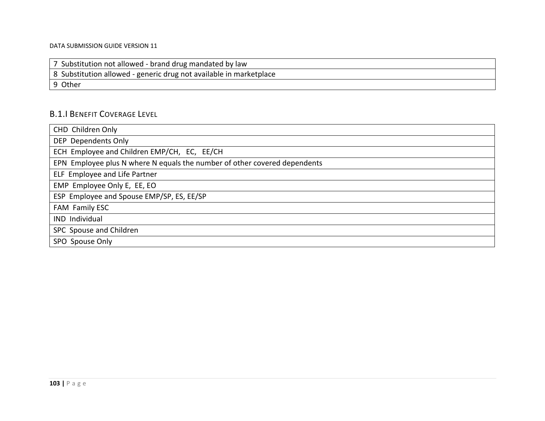|  | 7 Substitution not allowed - brand drug mandated by law |  |
|--|---------------------------------------------------------|--|
|--|---------------------------------------------------------|--|

8 Substitution allowed ‐ generic drug not available in marketplace

9 Other

# B.1.I BENEFIT COVERAGE LEVEL

| CHD Children Only                                                         |
|---------------------------------------------------------------------------|
| DEP Dependents Only                                                       |
| ECH Employee and Children EMP/CH, EC, EE/CH                               |
| EPN Employee plus N where N equals the number of other covered dependents |
| ELF Employee and Life Partner                                             |
| EMP Employee Only E, EE, EO                                               |
| ESP Employee and Spouse EMP/SP, ES, EE/SP                                 |
| FAM Family ESC                                                            |
| IND Individual                                                            |
| SPC Spouse and Children                                                   |
| SPO Spouse Only                                                           |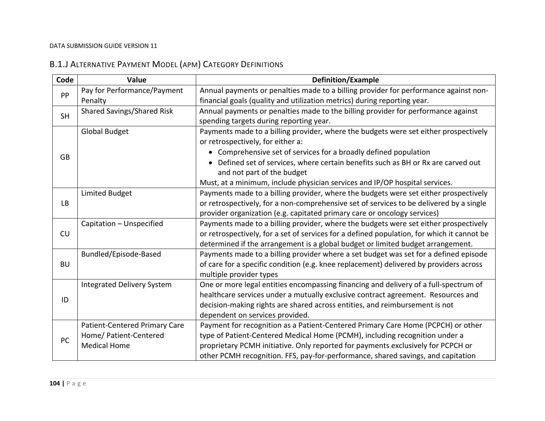# B.1.J ALTERNATIVE PAYMENT MODEL (APM) CATEGORY DEFINITIONS

| Code      | Value                             | <b>Definition/Example</b>                                                                  |
|-----------|-----------------------------------|--------------------------------------------------------------------------------------------|
| PP        | Pay for Performance/Payment       | Annual payments or penalties made to a billing provider for performance against non-       |
|           | Penalty                           | financial goals (quality and utilization metrics) during reporting year.                   |
| <b>SH</b> | <b>Shared Savings/Shared Risk</b> | Annual payments or penalties made to the billing provider for performance against          |
|           |                                   | spending targets during reporting year.                                                    |
|           | <b>Global Budget</b>              | Payments made to a billing provider, where the budgets were set either prospectively       |
|           |                                   | or retrospectively, for either a:                                                          |
| <b>GB</b> |                                   | • Comprehensive set of services for a broadly defined population                           |
|           |                                   | Defined set of services, where certain benefits such as BH or Rx are carved out            |
|           |                                   | and not part of the budget                                                                 |
|           |                                   | Must, at a minimum, include physician services and IP/OP hospital services.                |
|           | <b>Limited Budget</b>             | Payments made to a billing provider, where the budgets were set either prospectively       |
| <b>LB</b> |                                   | or retrospectively, for a non-comprehensive set of services to be delivered by a single    |
|           |                                   | provider organization (e.g. capitated primary care or oncology services)                   |
|           | Capitation - Unspecified          | Payments made to a billing provider, where the budgets were set either prospectively       |
| CU        |                                   | or retrospectively, for a set of services for a defined population, for which it cannot be |
|           |                                   | determined if the arrangement is a global budget or limited budget arrangement.            |
|           | Bundled/Episode-Based             | Payments made to a billing provider where a set budget was set for a defined episode       |
| <b>BU</b> |                                   | of care for a specific condition (e.g. knee replacement) delivered by providers across     |
|           |                                   | multiple provider types                                                                    |
|           | <b>Integrated Delivery System</b> | One or more legal entities encompassing financing and delivery of a full-spectrum of       |
| ID        |                                   | healthcare services under a mutually exclusive contract agreement. Resources and           |
|           |                                   | decision-making rights are shared across entities, and reimbursement is not                |
|           |                                   | dependent on services provided.                                                            |
|           | Patient-Centered Primary Care     | Payment for recognition as a Patient-Centered Primary Care Home (PCPCH) or other           |
| PC        | Home/ Patient-Centered            | type of Patient-Centered Medical Home (PCMH), including recognition under a                |
|           | <b>Medical Home</b>               | proprietary PCMH initiative. Only reported for payments exclusively for PCPCH or           |
|           |                                   | other PCMH recognition. FFS, pay-for-performance, shared savings, and capitation           |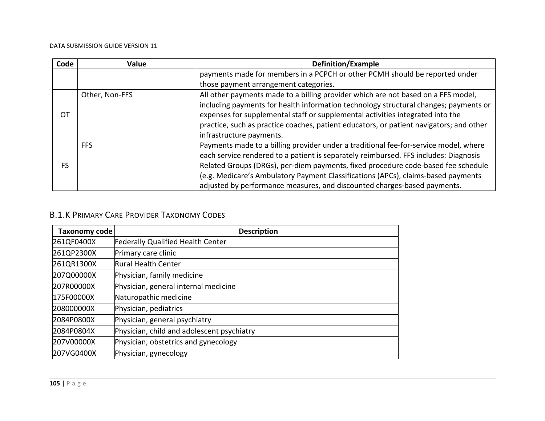| Code | Value          | Definition/Example                                                                      |
|------|----------------|-----------------------------------------------------------------------------------------|
|      |                | payments made for members in a PCPCH or other PCMH should be reported under             |
|      |                | those payment arrangement categories.                                                   |
|      | Other, Non-FFS | All other payments made to a billing provider which are not based on a FFS model,       |
|      |                | including payments for health information technology structural changes; payments or    |
| OT   |                | expenses for supplemental staff or supplemental activities integrated into the          |
|      |                | practice, such as practice coaches, patient educators, or patient navigators; and other |
|      |                | infrastructure payments.                                                                |
|      | <b>FFS</b>     | Payments made to a billing provider under a traditional fee-for-service model, where    |
|      |                | each service rendered to a patient is separately reimbursed. FFS includes: Diagnosis    |
| FS   |                | Related Groups (DRGs), per-diem payments, fixed procedure code-based fee schedule       |
|      |                | (e.g. Medicare's Ambulatory Payment Classifications (APCs), claims-based payments       |
|      |                | adjusted by performance measures, and discounted charges-based payments.                |

## B.1.K PRIMARY CARE PROVIDER TAXONOMY CODES

| Taxonomy code | <b>Description</b>                         |
|---------------|--------------------------------------------|
| 261QF0400X    | <b>Federally Qualified Health Center</b>   |
| 261QP2300X    | Primary care clinic                        |
| 261QR1300X    | Rural Health Center                        |
| 207Q00000X    | Physician, family medicine                 |
| 207R00000X    | Physician, general internal medicine       |
| 175F00000X    | Naturopathic medicine                      |
| 208000000X    | Physician, pediatrics                      |
| 2084P0800X    | Physician, general psychiatry              |
| 2084P0804X    | Physician, child and adolescent psychiatry |
| 207V00000X    | Physician, obstetrics and gynecology       |
| 207VG0400X    | Physician, gynecology                      |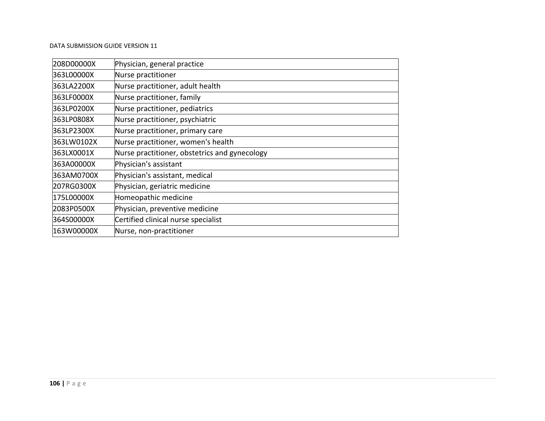| 208D00000X | Physician, general practice                   |
|------------|-----------------------------------------------|
| 363L00000X | Nurse practitioner                            |
| 363LA2200X | Nurse practitioner, adult health              |
| 363LF0000X | Nurse practitioner, family                    |
| 363LP0200X | Nurse practitioner, pediatrics                |
| 363LP0808X | Nurse practitioner, psychiatric               |
| 363LP2300X | Nurse practitioner, primary care              |
| 363LW0102X | Nurse practitioner, women's health            |
| 363LX0001X | Nurse practitioner, obstetrics and gynecology |
| 363A00000X | Physician's assistant                         |
| 363AM0700X | Physician's assistant, medical                |
| 207RG0300X | Physician, geriatric medicine                 |
| 175L00000X | Homeopathic medicine                          |
| 2083P0500X | Physician, preventive medicine                |
| 364S00000X | Certified clinical nurse specialist           |
| 163W00000X | Nurse, non-practitioner                       |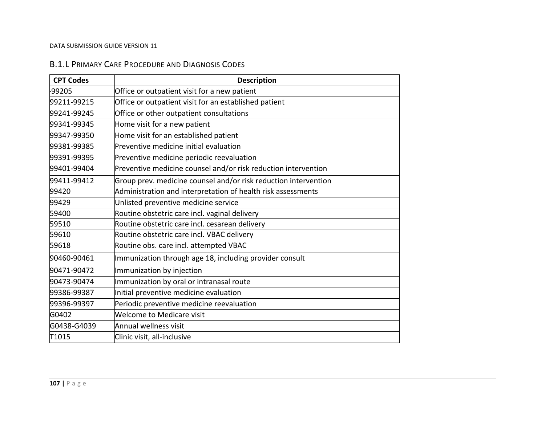### B.1.L PRIMARY CARE PROCEDURE AND DIAGNOSIS CODES

| <b>CPT Codes</b> | <b>Description</b>                                              |
|------------------|-----------------------------------------------------------------|
| -99205           | Office or outpatient visit for a new patient                    |
| 99211-99215      | Office or outpatient visit for an established patient           |
| 99241-99245      | Office or other outpatient consultations                        |
| 99341-99345      | Home visit for a new patient                                    |
| 99347-99350      | Home visit for an established patient                           |
| 99381-99385      | Preventive medicine initial evaluation                          |
| 99391-99395      | Preventive medicine periodic reevaluation                       |
| 99401-99404      | Preventive medicine counsel and/or risk reduction intervention  |
| 99411-99412      | Group prev. medicine counsel and/or risk reduction intervention |
| 99420            | Administration and interpretation of health risk assessments    |
| 99429            | Unlisted preventive medicine service                            |
| 59400            | Routine obstetric care incl. vaginal delivery                   |
| 59510            | Routine obstetric care incl. cesarean delivery                  |
| 59610            | Routine obstetric care incl. VBAC delivery                      |
| 59618            | Routine obs. care incl. attempted VBAC                          |
| 90460-90461      | Immunization through age 18, including provider consult         |
| 90471-90472      | Immunization by injection                                       |
| 90473-90474      | Immunization by oral or intranasal route                        |
| 99386-99387      | Initial preventive medicine evaluation                          |
| 99396-99397      | Periodic preventive medicine reevaluation                       |
| G0402            | Welcome to Medicare visit                                       |
| G0438-G4039      | Annual wellness visit                                           |
| T1015            | Clinic visit, all-inclusive                                     |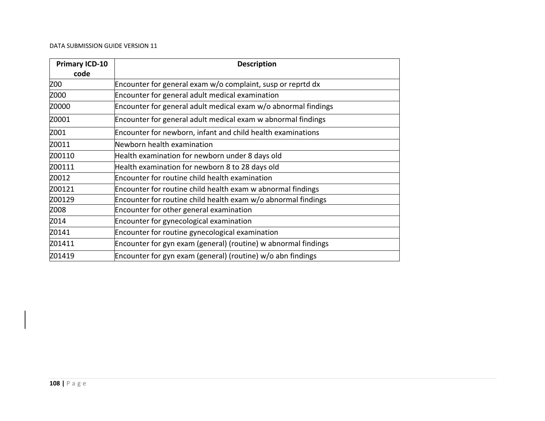| <b>Primary ICD-10</b><br>code | <b>Description</b>                                             |
|-------------------------------|----------------------------------------------------------------|
| Z00                           | Encounter for general exam w/o complaint, susp or reprtd dx    |
| Z000                          | Encounter for general adult medical examination                |
| Z0000                         | Encounter for general adult medical exam w/o abnormal findings |
| Z0001                         | Encounter for general adult medical exam w abnormal findings   |
| Z001                          | Encounter for newborn, infant and child health examinations    |
| Z0011                         | Newborn health examination                                     |
| Z00110                        | Health examination for newborn under 8 days old                |
| Z00111                        | Health examination for newborn 8 to 28 days old                |
| Z0012                         | Encounter for routine child health examination                 |
| Z00121                        | Encounter for routine child health exam w abnormal findings    |
| Z00129                        | Encounter for routine child health exam w/o abnormal findings  |
| Z008                          | Encounter for other general examination                        |
| Z014                          | Encounter for gynecological examination                        |
| Z0141                         | Encounter for routine gynecological examination                |
| Z01411                        | Encounter for gyn exam (general) (routine) w abnormal findings |
| Z01419                        | Encounter for gyn exam (general) (routine) w/o abn findings    |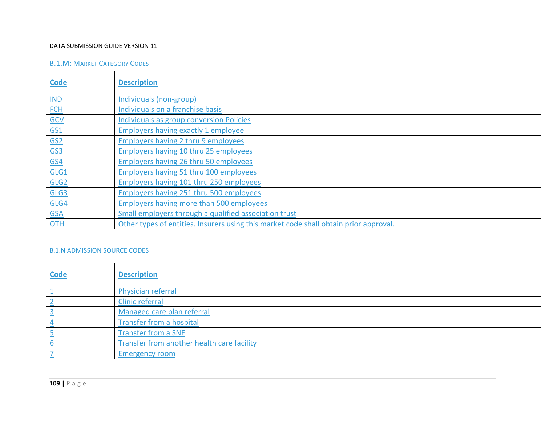## DATA SUBMISSION GUIDE VERSION 11

# B.1.M: MARKET CATEGORY CODES

| <b>Code</b>                | <b>Description</b>                                                                    |
|----------------------------|---------------------------------------------------------------------------------------|
| $IND$                      | Individuals (non-group)                                                               |
| <b>FCH</b>                 | Individuals on a franchise basis                                                      |
| GCV                        | <b>Individuals as group conversion Policies</b>                                       |
| $\underline{GS1}$          | <b>Employers having exactly 1 employee</b>                                            |
| $\underline{\mathsf{GS2}}$ | <b>Employers having 2 thru 9 employees</b>                                            |
| $\underline{GS3}$          | <b>Employers having 10 thru 25 employees</b>                                          |
| <b>GS4</b>                 | <b>Employers having 26 thru 50 employees</b>                                          |
| GLG1                       | <b>Employers having 51 thru 100 employees</b>                                         |
| GLG <sub>2</sub>           | <b>Employers having 101 thru 250 employees</b>                                        |
| GLG3                       | <b>Employers having 251 thru 500 employees</b>                                        |
| GLG4                       | <b>Employers having more than 500 employees</b>                                       |
| <b>GSA</b>                 | Small employers through a qualified association trust                                 |
| $OTH$                      | Other types of entities. Insurers using this market code shall obtain prior approval. |

# B.1.N ADMISSION SOURCE CODES

| <b>Code</b> | <b>Description</b>                         |
|-------------|--------------------------------------------|
|             | <b>Physician referral</b>                  |
|             | <b>Clinic referral</b>                     |
|             | Managed care plan referral                 |
|             | Transfer from a hospital                   |
|             | <b>Transfer from a SNF</b>                 |
|             | Transfer from another health care facility |
|             | <b>Emergency room</b>                      |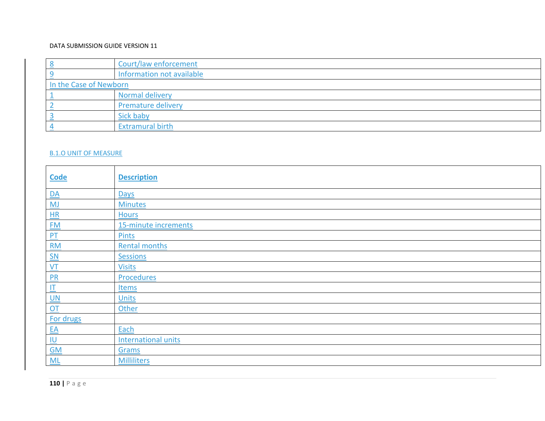## DATA SUBMISSION GUIDE VERSION 11

|                        | Court/law enforcement     |
|------------------------|---------------------------|
|                        | Information not available |
| In the Case of Newborn |                           |
|                        | Normal delivery           |
|                        | <b>Premature delivery</b> |
|                        | Sick baby                 |
|                        | <b>Extramural birth</b>   |

## B.1.O UNIT OF MEASURE

| <b>Code</b>                       | <b>Description</b>         |
|-----------------------------------|----------------------------|
| $\underline{\mathsf{DA}}$         | Days                       |
| MJ                                | <b>Minutes</b>             |
| H                                 | <b>Hours</b>               |
| EM                                | 15-minute increments       |
| $P_{\perp}$                       | <b>Pints</b>               |
| $\underline{RM}$                  | <b>Rental months</b>       |
|                                   | Sessions                   |
| $\frac{\mathsf{SN}}{\mathsf{VT}}$ | <b>Visits</b>              |
| $\frac{PR}{PR}$                   | Procedures                 |
| $\mathbf{I}$                      | <b>Items</b>               |
| $\frac{UN}{OT}$                   | <b>Units</b>               |
|                                   | Other                      |
| For drugs                         |                            |
|                                   | Each                       |
| $EA$                              | <b>International units</b> |
| $\underline{\mathsf{GM}}$         | Grams                      |
| ML                                | <b>Milliliters</b>         |